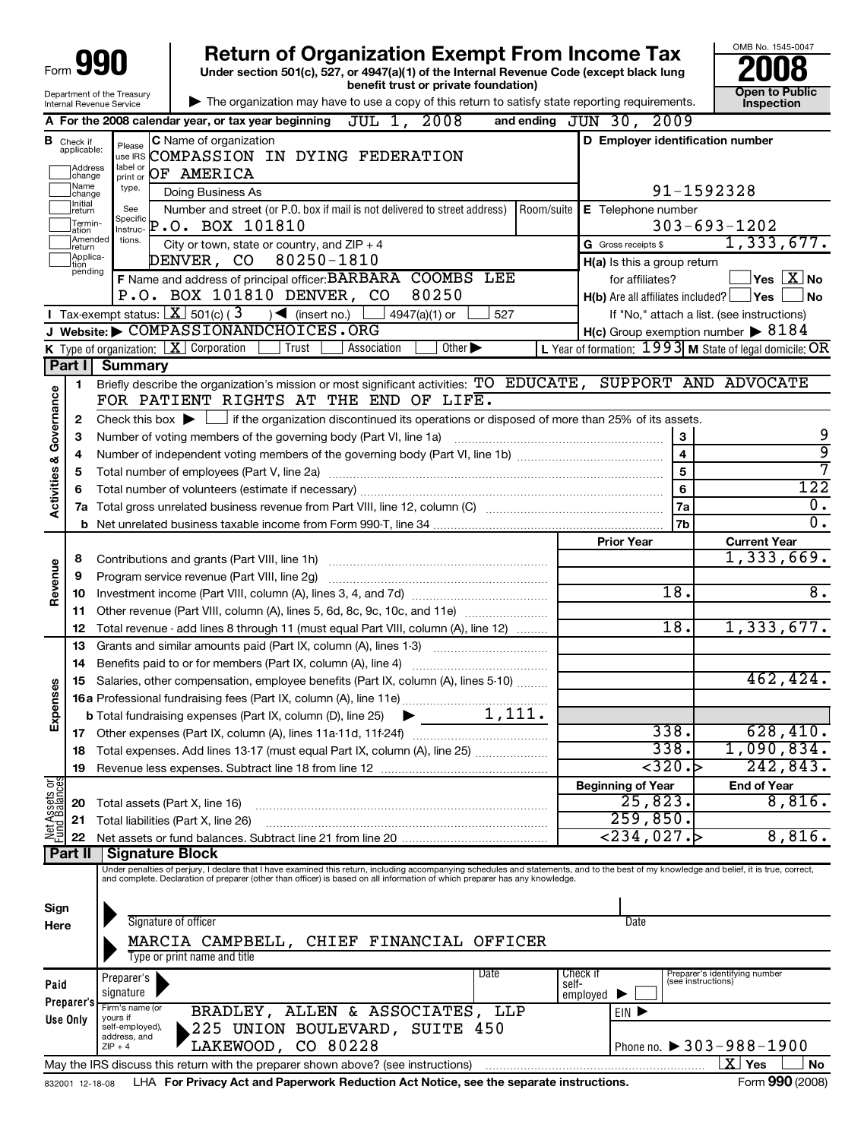|                         |                                                       |                                                        | <b>Return of Organization Exempt From Income Tax</b><br>Under section 501(c), 527, or 4947(a)(1) of the Internal Revenue Code (except black lung                                                                                                                                                                         |            |                                                                   |                         | OMB No. 1545-0047                                                                                   |
|-------------------------|-------------------------------------------------------|--------------------------------------------------------|--------------------------------------------------------------------------------------------------------------------------------------------------------------------------------------------------------------------------------------------------------------------------------------------------------------------------|------------|-------------------------------------------------------------------|-------------------------|-----------------------------------------------------------------------------------------------------|
|                         |                                                       | Department of the Treasury<br>Internal Revenue Service | benefit trust or private foundation)<br>The organization may have to use a copy of this return to satisfy state reporting requirements.                                                                                                                                                                                  |            |                                                                   |                         | <b>Open to Public</b><br><b>Inspection</b>                                                          |
|                         |                                                       |                                                        | A For the 2008 calendar year, or tax year beginning $JUL$ 1, $2008$                                                                                                                                                                                                                                                      |            | and ending JUN 30, 2009                                           |                         |                                                                                                     |
|                         | <b>B</b> Check if<br>applicable:<br>Address<br>change | Please<br>use IRS<br>label or<br>print or              | <b>C</b> Name of organization<br>COMPASSION IN DYING FEDERATION<br>OF AMERICA                                                                                                                                                                                                                                            |            | D Employer identification number                                  |                         |                                                                                                     |
|                         | Name<br>change<br>Ilnitial                            | type.                                                  | Doing Business As                                                                                                                                                                                                                                                                                                        |            |                                                                   |                         | 91-1592328                                                                                          |
|                         | return<br>Termin-<br>ation                            | See<br>Specific<br>Instruc-                            | Number and street (or P.O. box if mail is not delivered to street address)<br>$P.O.$ BOX 101810                                                                                                                                                                                                                          | Room/suite | E Telephone number                                                |                         | $303 - 693 - 1202$                                                                                  |
|                         | Amended<br>Ireturn                                    | tions.                                                 | City or town, state or country, and $ZIP + 4$                                                                                                                                                                                                                                                                            |            | <b>G</b> Gross receipts \$                                        |                         | 1,333,677.                                                                                          |
|                         | Applica-<br>tion<br>pending                           |                                                        | DENVER, CO 80250-1810                                                                                                                                                                                                                                                                                                    |            | $H(a)$ is this a group return                                     |                         |                                                                                                     |
|                         |                                                       |                                                        | F Name and address of principal officer: BARBARA COOMBS LEE<br>P.O. BOX 101810 DENVER, CO<br>80250<br>Tax-exempt status: $X$ 501(c) (3) $\blacktriangleleft$ (insert no.)<br>4947(a)(1) or<br>527                                                                                                                        |            | for affiliates?<br>$H(b)$ Are all affiliates included? $\Box$ Yes |                         | $\sqrt{}$ Yes $\sqrt{}$ $\overline{\rm X}$ No<br>  No<br>If "No," attach a list. (see instructions) |
|                         |                                                       |                                                        | Website: COMPASSIONANDCHOICES.ORG                                                                                                                                                                                                                                                                                        |            | $H(c)$ Group exemption number $\triangleright$ 8184               |                         |                                                                                                     |
|                         |                                                       |                                                        | K Type of organization: $X$ Corporation<br>Trust<br>Association<br>Other $\blacktriangleright$                                                                                                                                                                                                                           |            |                                                                   |                         | L Year of formation: $1993$ M State of legal domicile: OR                                           |
|                         | Part I<br>1                                           | <b>Summary</b>                                         | Briefly describe the organization's mission or most significant activities: TO EDUCATE, SUPPORT AND ADVOCATE                                                                                                                                                                                                             |            |                                                                   |                         |                                                                                                     |
| Activities & Governance |                                                       |                                                        | FOR PATIENT RIGHTS AT THE END OF LIFE.                                                                                                                                                                                                                                                                                   |            |                                                                   |                         |                                                                                                     |
|                         | 2                                                     |                                                        | Check this box $\blacktriangleright$ $\blacksquare$ if the organization discontinued its operations or disposed of more than 25% of its assets.                                                                                                                                                                          |            |                                                                   |                         |                                                                                                     |
|                         | 3                                                     |                                                        | Number of voting members of the governing body (Part VI, line 1a)                                                                                                                                                                                                                                                        |            |                                                                   | 3                       | 9                                                                                                   |
|                         | 4                                                     |                                                        |                                                                                                                                                                                                                                                                                                                          |            |                                                                   | $\overline{\mathbf{4}}$ | ब्र                                                                                                 |
|                         | 5                                                     |                                                        |                                                                                                                                                                                                                                                                                                                          |            | $\overline{\mathbf{5}}$                                           |                         | 7                                                                                                   |
|                         | 6                                                     |                                                        |                                                                                                                                                                                                                                                                                                                          |            | 6                                                                 |                         | 122                                                                                                 |
|                         | 7a                                                    |                                                        |                                                                                                                                                                                                                                                                                                                          |            | <b>7a</b><br>7b                                                   |                         | 0.<br>$\mathbf{0}$ .                                                                                |
|                         | b                                                     |                                                        |                                                                                                                                                                                                                                                                                                                          |            | <b>Prior Year</b>                                                 |                         | <b>Current Year</b>                                                                                 |
|                         | 8                                                     |                                                        |                                                                                                                                                                                                                                                                                                                          |            |                                                                   |                         | 1,333,669.                                                                                          |
| Revenue                 | 9                                                     |                                                        | Program service revenue (Part VIII, line 2g)                                                                                                                                                                                                                                                                             |            |                                                                   |                         |                                                                                                     |
|                         | 10                                                    |                                                        |                                                                                                                                                                                                                                                                                                                          |            | 18.                                                               |                         | 8.                                                                                                  |
|                         | 11                                                    |                                                        | Other revenue (Part VIII, column (A), lines 5, 6d, 8c, 9c, 10c, and 11e)                                                                                                                                                                                                                                                 |            |                                                                   |                         |                                                                                                     |
|                         | 12                                                    |                                                        | Total revenue - add lines 8 through 11 (must equal Part VIII, column (A), line 12)                                                                                                                                                                                                                                       |            | 18.                                                               |                         | 1,333,677.                                                                                          |
|                         | 13                                                    |                                                        | Grants and similar amounts paid (Part IX, column (A), lines 1-3)                                                                                                                                                                                                                                                         |            |                                                                   |                         |                                                                                                     |
|                         | 14                                                    |                                                        | Benefits paid to or for members (Part IX, column (A), line 4)                                                                                                                                                                                                                                                            |            |                                                                   |                         |                                                                                                     |
| Ses                     | 15                                                    |                                                        | Salaries, other compensation, employee benefits (Part IX, column (A), lines 5-10)                                                                                                                                                                                                                                        |            |                                                                   |                         | 462,424.                                                                                            |
|                         |                                                       |                                                        |                                                                                                                                                                                                                                                                                                                          |            |                                                                   |                         |                                                                                                     |
| Expens                  |                                                       |                                                        |                                                                                                                                                                                                                                                                                                                          |            | 338.                                                              |                         | 628,410.                                                                                            |
|                         | 18                                                    |                                                        | Total expenses. Add lines 13-17 (must equal Part IX, column (A), line 25)                                                                                                                                                                                                                                                |            | 338.                                                              |                         | 1,090,834.                                                                                          |
|                         | 19                                                    |                                                        |                                                                                                                                                                                                                                                                                                                          |            | $\overline{320.}$                                                 |                         | 242,843.                                                                                            |
|                         |                                                       |                                                        |                                                                                                                                                                                                                                                                                                                          |            | <b>Beginning of Year</b>                                          |                         | <b>End of Year</b>                                                                                  |
|                         | 20                                                    |                                                        | Total assets (Part X, line 16)                                                                                                                                                                                                                                                                                           |            | 25,823.                                                           |                         | 8,816.                                                                                              |
| Net Assets or           | 21                                                    |                                                        | Total liabilities (Part X, line 26)                                                                                                                                                                                                                                                                                      |            | 259,850.                                                          |                         |                                                                                                     |
|                         | 22                                                    |                                                        |                                                                                                                                                                                                                                                                                                                          |            | $<$ 234,027. $>$                                                  |                         | 8,816.                                                                                              |
|                         | Part II                                               | <b>Signature Block</b>                                 |                                                                                                                                                                                                                                                                                                                          |            |                                                                   |                         |                                                                                                     |
|                         |                                                       |                                                        | Under penalties of perjury, I declare that I have examined this return, including accompanying schedules and statements, and to the best of my knowledge and belief, it is true, correct,<br>and complete. Declaration of preparer (other than officer) is based on all information of which preparer has any knowledge. |            |                                                                   |                         |                                                                                                     |
| Sign<br>Here            |                                                       |                                                        | Signature of officer<br>MARCIA CAMPBELL, CHIEF FINANCIAL OFFICER                                                                                                                                                                                                                                                         |            | Date                                                              |                         |                                                                                                     |
|                         |                                                       |                                                        | Type or print name and title                                                                                                                                                                                                                                                                                             |            |                                                                   |                         |                                                                                                     |
| Paid                    |                                                       | Preparer's                                             | Date                                                                                                                                                                                                                                                                                                                     | self-      | Check if                                                          | (see instructions)      | Preparer's identifying number                                                                       |
|                         | Preparer's                                            | signature<br>Firm's name (or                           | BRADLEY, ALLEN & ASSOCIATES, LLP                                                                                                                                                                                                                                                                                         |            | employed                                                          |                         |                                                                                                     |
|                         | Use Only                                              | yours if<br>self-employed),                            | 225 UNION BOULEVARD, SUITE 450                                                                                                                                                                                                                                                                                           |            | EIN D                                                             |                         |                                                                                                     |
|                         |                                                       | address, and<br>$ZIP + 4$                              | LAKEWOOD, CO 80228                                                                                                                                                                                                                                                                                                       |            |                                                                   |                         | Phone no. $\triangleright$ 303-988-1900                                                             |
|                         |                                                       |                                                        | May the IRS discuss this return with the preparer shown above? (see instructions)                                                                                                                                                                                                                                        |            |                                                                   |                         | $\overline{\text{X}}$ Yes<br>No                                                                     |
|                         | 832001 12-18-08                                       |                                                        | LHA For Privacy Act and Paperwork Reduction Act Notice, see the separate instructions.                                                                                                                                                                                                                                   |            |                                                                   |                         | Form 990 (2008)                                                                                     |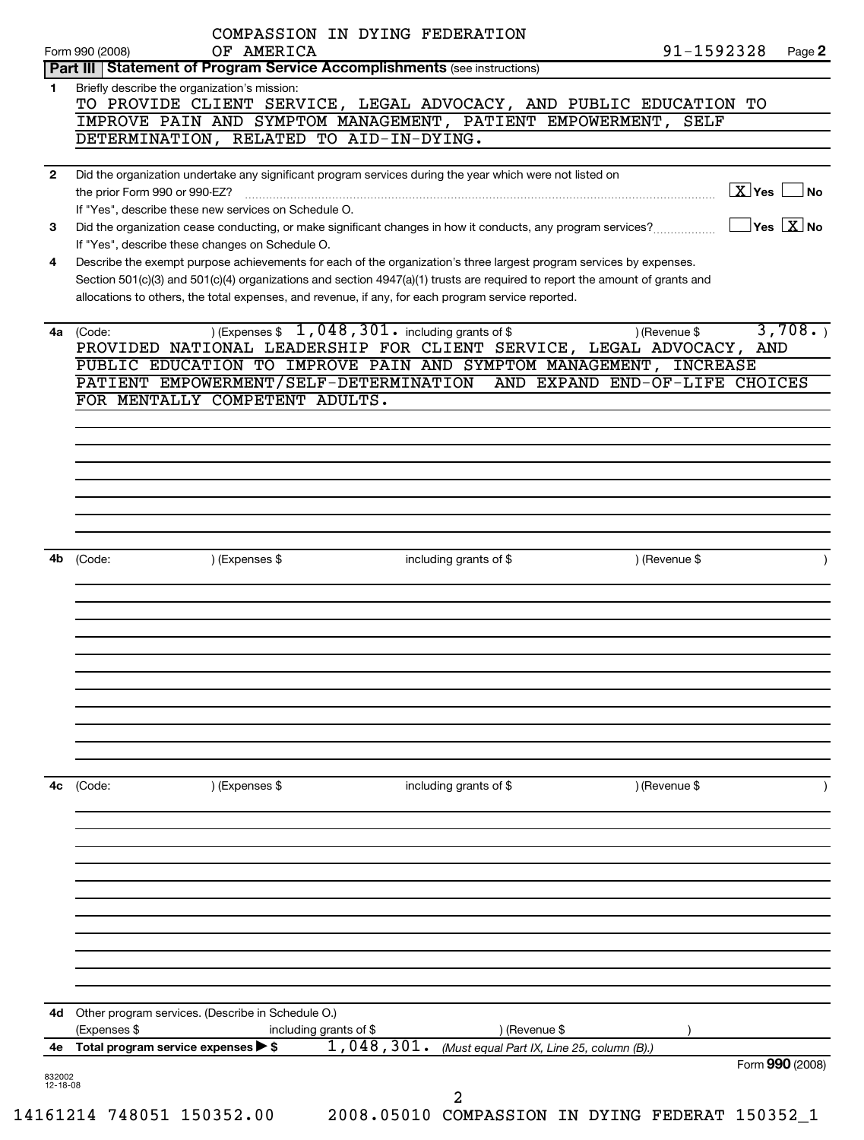| Form 990 (2008)    | COMPASSION IN DYING FEDERATION<br>91-1592328<br>OF AMERICA                                                                                                                                                                                                                                                                                               | Page 2                                                  |
|--------------------|----------------------------------------------------------------------------------------------------------------------------------------------------------------------------------------------------------------------------------------------------------------------------------------------------------------------------------------------------------|---------------------------------------------------------|
|                    | Part III   Statement of Program Service Accomplishments (see instructions)                                                                                                                                                                                                                                                                               |                                                         |
| 1.                 | Briefly describe the organization's mission:<br>TO PROVIDE CLIENT SERVICE, LEGAL ADVOCACY, AND PUBLIC EDUCATION TO<br>IMPROVE PAIN AND SYMPTOM MANAGEMENT, PATIENT EMPOWERMENT, SELF<br>DETERMINATION, RELATED TO AID-IN-DYING.                                                                                                                          |                                                         |
|                    |                                                                                                                                                                                                                                                                                                                                                          |                                                         |
| $\mathbf{2}$       | Did the organization undertake any significant program services during the year which were not listed on<br>the prior Form 990 or 990-EZ?<br>If "Yes", describe these new services on Schedule O.                                                                                                                                                        | $\boxed{\text{X}}$ Yes $\boxed{\ }$                     |
| 3                  | Did the organization cease conducting, or make significant changes in how it conducts, any program services?<br>If "Yes", describe these changes on Schedule O.                                                                                                                                                                                          | $\overline{\phantom{a}}$ Yes $\overline{\mathrm{X}}$ No |
| 4                  | Describe the exempt purpose achievements for each of the organization's three largest program services by expenses.<br>Section 501(c)(3) and 501(c)(4) organizations and section 4947(a)(1) trusts are required to report the amount of grants and<br>allocations to others, the total expenses, and revenue, if any, for each program service reported. |                                                         |
| (Code:<br>4а       | ) (Expenses $$1,048,301$ including grants of \$<br>) (Revenue \$<br>PROVIDED NATIONAL LEADERSHIP FOR CLIENT SERVICE, LEGAL ADVOCACY, AND<br>PUBLIC EDUCATION TO IMPROVE PAIN AND SYMPTOM MANAGEMENT, INCREASE                                                                                                                                            | 3,708.                                                  |
|                    | PATIENT EMPOWERMENT/SELF-DETERMINATION<br>AND EXPAND END-OF-LIFE CHOICES                                                                                                                                                                                                                                                                                 |                                                         |
|                    | FOR MENTALLY COMPETENT ADULTS.                                                                                                                                                                                                                                                                                                                           |                                                         |
|                    |                                                                                                                                                                                                                                                                                                                                                          |                                                         |
|                    |                                                                                                                                                                                                                                                                                                                                                          |                                                         |
|                    |                                                                                                                                                                                                                                                                                                                                                          |                                                         |
|                    |                                                                                                                                                                                                                                                                                                                                                          |                                                         |
|                    |                                                                                                                                                                                                                                                                                                                                                          |                                                         |
|                    |                                                                                                                                                                                                                                                                                                                                                          |                                                         |
|                    |                                                                                                                                                                                                                                                                                                                                                          |                                                         |
|                    |                                                                                                                                                                                                                                                                                                                                                          |                                                         |
|                    |                                                                                                                                                                                                                                                                                                                                                          |                                                         |
| 4b                 | ) (Revenue \$<br>) (Expenses \$<br>(Code:<br>including grants of $$$                                                                                                                                                                                                                                                                                     |                                                         |
|                    |                                                                                                                                                                                                                                                                                                                                                          |                                                         |
|                    |                                                                                                                                                                                                                                                                                                                                                          |                                                         |
|                    |                                                                                                                                                                                                                                                                                                                                                          |                                                         |
|                    |                                                                                                                                                                                                                                                                                                                                                          |                                                         |
|                    |                                                                                                                                                                                                                                                                                                                                                          |                                                         |
|                    |                                                                                                                                                                                                                                                                                                                                                          |                                                         |
|                    |                                                                                                                                                                                                                                                                                                                                                          |                                                         |
|                    |                                                                                                                                                                                                                                                                                                                                                          |                                                         |
|                    |                                                                                                                                                                                                                                                                                                                                                          |                                                         |
|                    |                                                                                                                                                                                                                                                                                                                                                          |                                                         |
|                    |                                                                                                                                                                                                                                                                                                                                                          |                                                         |
|                    |                                                                                                                                                                                                                                                                                                                                                          |                                                         |
|                    |                                                                                                                                                                                                                                                                                                                                                          |                                                         |
| (Code:<br>4c       | ) (Expenses \$<br>including grants of \$<br>) (Revenue \$                                                                                                                                                                                                                                                                                                |                                                         |
|                    |                                                                                                                                                                                                                                                                                                                                                          |                                                         |
|                    |                                                                                                                                                                                                                                                                                                                                                          |                                                         |
|                    |                                                                                                                                                                                                                                                                                                                                                          |                                                         |
|                    |                                                                                                                                                                                                                                                                                                                                                          |                                                         |
|                    |                                                                                                                                                                                                                                                                                                                                                          |                                                         |
|                    |                                                                                                                                                                                                                                                                                                                                                          |                                                         |
|                    |                                                                                                                                                                                                                                                                                                                                                          |                                                         |
|                    |                                                                                                                                                                                                                                                                                                                                                          |                                                         |
|                    |                                                                                                                                                                                                                                                                                                                                                          |                                                         |
|                    |                                                                                                                                                                                                                                                                                                                                                          |                                                         |
|                    |                                                                                                                                                                                                                                                                                                                                                          |                                                         |
|                    |                                                                                                                                                                                                                                                                                                                                                          |                                                         |
|                    |                                                                                                                                                                                                                                                                                                                                                          |                                                         |
|                    | Other program services. (Describe in Schedule O.)                                                                                                                                                                                                                                                                                                        |                                                         |
| 4d                 |                                                                                                                                                                                                                                                                                                                                                          |                                                         |
|                    | (Expenses \$<br>including grants of $$$<br>) (Revenue \$                                                                                                                                                                                                                                                                                                 |                                                         |
| 4е                 |                                                                                                                                                                                                                                                                                                                                                          |                                                         |
|                    | 1,048,301.<br>Total program service expenses > \$<br>(Must equal Part IX, Line 25, column (B).)                                                                                                                                                                                                                                                          |                                                         |
|                    |                                                                                                                                                                                                                                                                                                                                                          | Form 990 (2008)                                         |
| 832002<br>12-18-08 | 2                                                                                                                                                                                                                                                                                                                                                        |                                                         |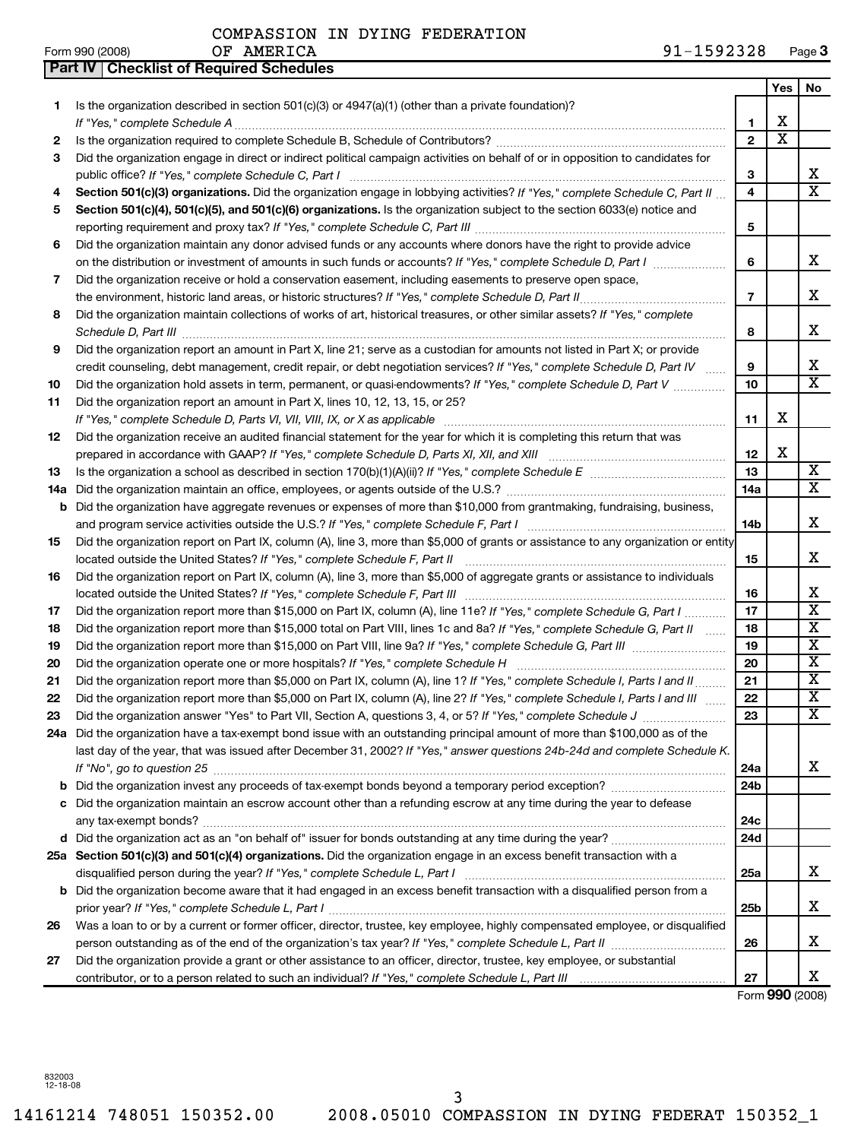|     | Part IV   Checklist of Required Schedules                                                                                                                                                                                                                 |                         |     |                         |
|-----|-----------------------------------------------------------------------------------------------------------------------------------------------------------------------------------------------------------------------------------------------------------|-------------------------|-----|-------------------------|
|     |                                                                                                                                                                                                                                                           |                         | Yes | No                      |
| 1   | Is the organization described in section $501(c)(3)$ or $4947(a)(1)$ (other than a private foundation)?                                                                                                                                                   |                         |     |                         |
|     |                                                                                                                                                                                                                                                           | 1                       | x   |                         |
| 2   |                                                                                                                                                                                                                                                           | $\overline{2}$          | X   |                         |
| 3   | Did the organization engage in direct or indirect political campaign activities on behalf of or in opposition to candidates for                                                                                                                           |                         |     |                         |
|     |                                                                                                                                                                                                                                                           | З                       |     | x                       |
| 4   | Section 501(c)(3) organizations. Did the organization engage in lobbying activities? If "Yes," complete Schedule C, Part II                                                                                                                               | $\overline{\mathbf{4}}$ |     | $\overline{\mathbf{X}}$ |
| 5   | Section 501(c)(4), 501(c)(5), and 501(c)(6) organizations. Is the organization subject to the section 6033(e) notice and                                                                                                                                  |                         |     |                         |
|     |                                                                                                                                                                                                                                                           | 5                       |     |                         |
| 6   | Did the organization maintain any donor advised funds or any accounts where donors have the right to provide advice                                                                                                                                       |                         |     |                         |
|     | on the distribution or investment of amounts in such funds or accounts? If "Yes," complete Schedule D, Part I manument                                                                                                                                    | 6                       |     | x                       |
|     |                                                                                                                                                                                                                                                           |                         |     |                         |
| 7   | Did the organization receive or hold a conservation easement, including easements to preserve open space,                                                                                                                                                 | $\overline{7}$          |     | x                       |
|     |                                                                                                                                                                                                                                                           |                         |     |                         |
| 8   | Did the organization maintain collections of works of art, historical treasures, or other similar assets? If "Yes," complete                                                                                                                              | 8                       |     | x                       |
| 9   | Did the organization report an amount in Part X, line 21; serve as a custodian for amounts not listed in Part X; or provide                                                                                                                               |                         |     |                         |
|     | credit counseling, debt management, credit repair, or debt negotiation services? If "Yes," complete Schedule D, Part IV                                                                                                                                   | 9                       |     | x                       |
| 10  | Did the organization hold assets in term, permanent, or quasi-endowments? If "Yes," complete Schedule D, Part V                                                                                                                                           | 10                      |     | $\overline{\mathbf{x}}$ |
| 11  | Did the organization report an amount in Part X, lines 10, 12, 13, 15, or 25?                                                                                                                                                                             |                         |     |                         |
|     |                                                                                                                                                                                                                                                           | 11                      | x   |                         |
| 12  | Did the organization receive an audited financial statement for the year for which it is completing this return that was                                                                                                                                  |                         |     |                         |
|     |                                                                                                                                                                                                                                                           | 12                      | х   |                         |
| 13  |                                                                                                                                                                                                                                                           | 13                      |     | X                       |
| 14a |                                                                                                                                                                                                                                                           | 14a                     |     | $\overline{\mathbf{x}}$ |
| b   | Did the organization have aggregate revenues or expenses of more than \$10,000 from grantmaking, fundraising, business,                                                                                                                                   |                         |     |                         |
|     |                                                                                                                                                                                                                                                           | 14 <sub>b</sub>         |     | x                       |
| 15  | Did the organization report on Part IX, column (A), line 3, more than \$5,000 of grants or assistance to any organization or entity                                                                                                                       |                         |     |                         |
|     |                                                                                                                                                                                                                                                           | 15                      |     | x                       |
| 16  | Did the organization report on Part IX, column (A), line 3, more than \$5,000 of aggregate grants or assistance to individuals                                                                                                                            |                         |     |                         |
|     |                                                                                                                                                                                                                                                           | 16                      |     | х                       |
| 17  | Did the organization report more than \$15,000 on Part IX, column (A), line 11e? If "Yes," complete Schedule G, Part I                                                                                                                                    | 17                      |     | $\mathbf X$             |
|     | Did the organization report more than \$15,000 total on Part VIII, lines 1c and 8a? If "Yes," complete Schedule G, Part II                                                                                                                                | 18                      |     | $\mathbf X$             |
| 18  |                                                                                                                                                                                                                                                           | 19                      |     | $\mathbf X$             |
| 19  |                                                                                                                                                                                                                                                           | 20                      |     | $\mathbf X$             |
| 20  | Did the organization report more than \$5,000 on Part IX, column (A), line 1? If "Yes," complete Schedule I, Parts I and II                                                                                                                               | 21                      |     | X                       |
| 21  |                                                                                                                                                                                                                                                           | 22                      |     | $\mathbf X$             |
| 22  | Did the organization report more than \$5,000 on Part IX, column (A), line 2? If "Yes," complete Schedule I, Parts I and III                                                                                                                              | 23                      |     | $\overline{\mathtt{x}}$ |
| 23  |                                                                                                                                                                                                                                                           |                         |     |                         |
|     | 24a Did the organization have a tax-exempt bond issue with an outstanding principal amount of more than \$100,000 as of the<br>last day of the year, that was issued after December 31, 2002? If "Yes," answer questions 24b-24d and complete Schedule K. |                         |     |                         |
|     |                                                                                                                                                                                                                                                           |                         |     |                         |
|     |                                                                                                                                                                                                                                                           | 24a                     |     | х                       |
| b   |                                                                                                                                                                                                                                                           | 24 <sub>b</sub>         |     |                         |
|     | c Did the organization maintain an escrow account other than a refunding escrow at any time during the year to defease                                                                                                                                    |                         |     |                         |
|     |                                                                                                                                                                                                                                                           | 24c                     |     |                         |
|     |                                                                                                                                                                                                                                                           | 24d                     |     |                         |
|     | 25a Section 501(c)(3) and 501(c)(4) organizations. Did the organization engage in an excess benefit transaction with a                                                                                                                                    |                         |     |                         |
|     |                                                                                                                                                                                                                                                           | 25a                     |     | x                       |
|     | b Did the organization become aware that it had engaged in an excess benefit transaction with a disqualified person from a                                                                                                                                |                         |     |                         |
|     |                                                                                                                                                                                                                                                           | 25b                     |     | х                       |
| 26  | Was a loan to or by a current or former officer, director, trustee, key employee, highly compensated employee, or disqualified                                                                                                                            | 26                      |     | х                       |
|     |                                                                                                                                                                                                                                                           |                         |     |                         |
| 27  | Did the organization provide a grant or other assistance to an officer, director, trustee, key employee, or substantial                                                                                                                                   |                         |     |                         |
|     |                                                                                                                                                                                                                                                           | 27                      |     | Χ                       |

Form **990** (2008)

832003 12-18-08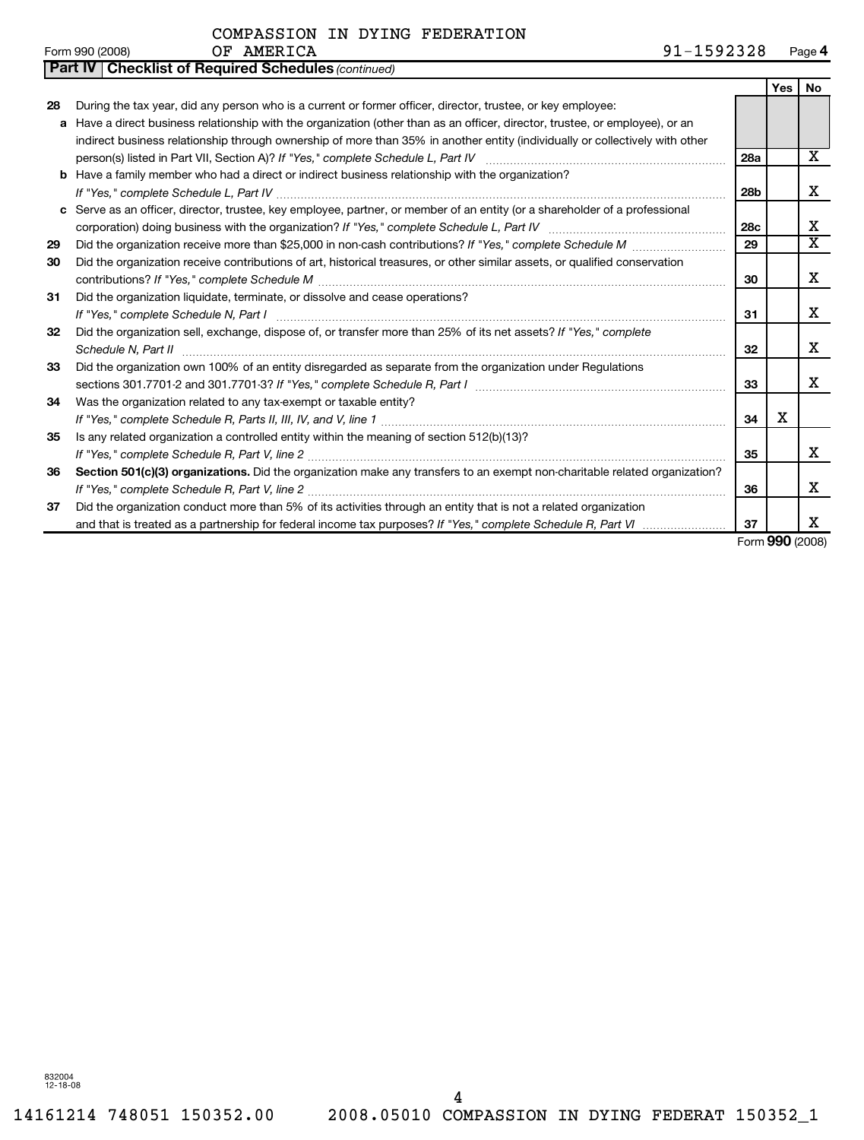|    | <b>Part IV   Checklist of Required Schedules (continued)</b>                                                                  |                 |                                |                         |
|----|-------------------------------------------------------------------------------------------------------------------------------|-----------------|--------------------------------|-------------------------|
|    |                                                                                                                               |                 | <b>Yes</b>                     | <b>No</b>               |
| 28 | During the tax year, did any person who is a current or former officer, director, trustee, or key employee:                   |                 |                                |                         |
|    | a Have a direct business relationship with the organization (other than as an officer, director, trustee, or employee), or an |                 |                                |                         |
|    | indirect business relationship through ownership of more than 35% in another entity (individually or collectively with other  |                 |                                |                         |
|    |                                                                                                                               | 28a             |                                | x                       |
|    | <b>b</b> Have a family member who had a direct or indirect business relationship with the organization?                       |                 |                                |                         |
|    |                                                                                                                               | 28b             |                                | x                       |
|    | c Serve as an officer, director, trustee, key employee, partner, or member of an entity (or a shareholder of a professional   |                 |                                |                         |
|    |                                                                                                                               | 28 <sub>c</sub> |                                | x                       |
| 29 | Did the organization receive more than \$25,000 in non-cash contributions? If "Yes," complete Schedule M                      | 29              |                                | $\overline{\textbf{x}}$ |
| 30 | Did the organization receive contributions of art, historical treasures, or other similar assets, or qualified conservation   |                 |                                |                         |
|    |                                                                                                                               | 30              |                                | x                       |
| 31 | Did the organization liquidate, terminate, or dissolve and cease operations?                                                  |                 |                                |                         |
|    |                                                                                                                               | 31              |                                | x                       |
| 32 | Did the organization sell, exchange, dispose of, or transfer more than 25% of its net assets? If "Yes," complete              |                 |                                |                         |
|    | Schedule N, Part II                                                                                                           | 32              |                                | x                       |
| 33 | Did the organization own 100% of an entity disregarded as separate from the organization under Regulations                    |                 |                                |                         |
|    |                                                                                                                               | 33              |                                | x                       |
| 34 | Was the organization related to any tax-exempt or taxable entity?                                                             |                 |                                |                         |
|    |                                                                                                                               | 34              | х                              |                         |
| 35 | Is any related organization a controlled entity within the meaning of section 512(b)(13)?                                     |                 |                                |                         |
|    |                                                                                                                               | 35              |                                | x                       |
| 36 | Section 501(c)(3) organizations. Did the organization make any transfers to an exempt non-charitable related organization?    |                 |                                |                         |
|    |                                                                                                                               | 36              |                                | x                       |
| 37 | Did the organization conduct more than 5% of its activities through an entity that is not a related organization              |                 |                                |                         |
|    |                                                                                                                               | 37              |                                | x                       |
|    |                                                                                                                               |                 | $F_{\text{max}}$ 000 $(0.000)$ |                         |

Form **990** (2008)

832004 12-18-08

4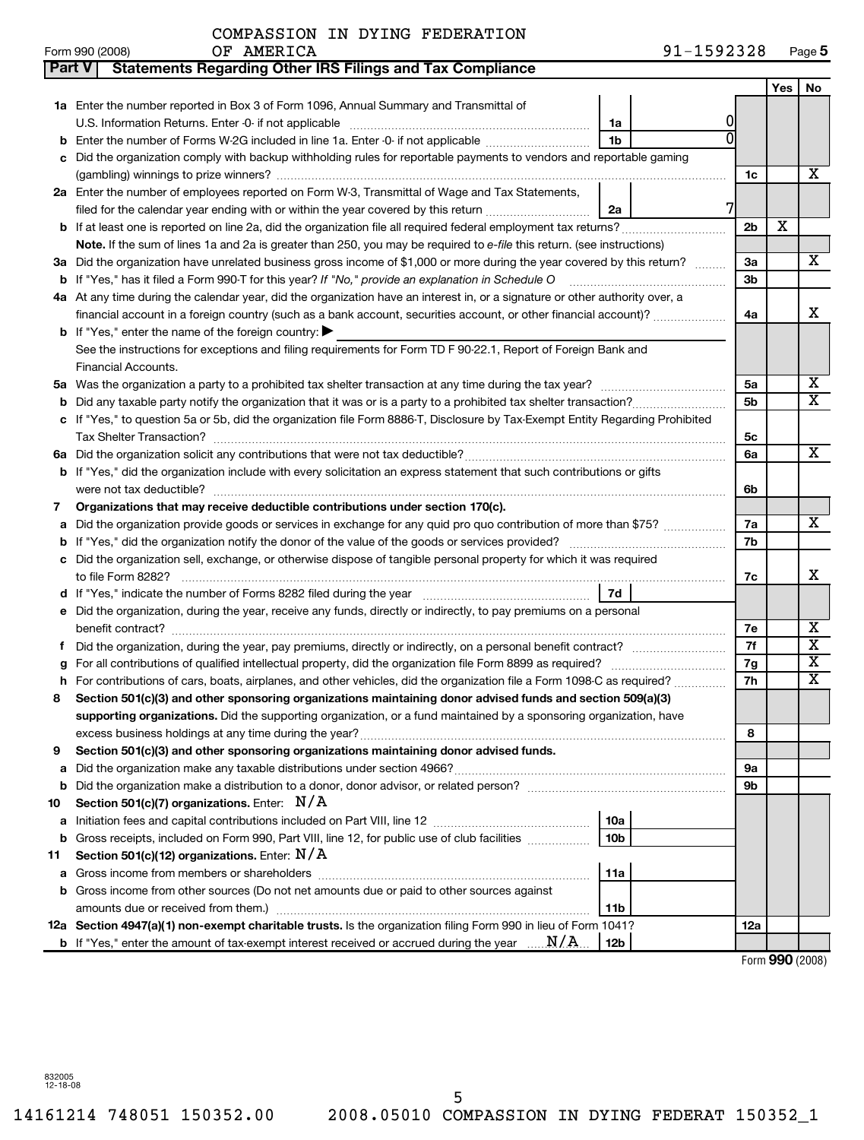| COMPASSION IN DYING FEDERATION |  |  |  |  |  |
|--------------------------------|--|--|--|--|--|
|--------------------------------|--|--|--|--|--|

| Form 990 (2008) | AMERICA<br>ОF | 1592328<br>Page 5 |
|-----------------|---------------|-------------------|
|                 |               |                   |

| Part V | <b>Statements Regarding Other IRS Filings and Tax Compliance</b>                                                                          |                |     |                         |
|--------|-------------------------------------------------------------------------------------------------------------------------------------------|----------------|-----|-------------------------|
|        |                                                                                                                                           |                | Yes | No                      |
|        | <b>1a</b> Enter the number reported in Box 3 of Form 1096, Annual Summary and Transmittal of                                              |                |     |                         |
|        | 1a                                                                                                                                        |                |     |                         |
|        | <b>b</b> Enter the number of Forms W-2G included in line 1a. Enter -0- if not applicable <i>manumumum</i><br>1b                           |                |     |                         |
|        | c Did the organization comply with backup withholding rules for reportable payments to vendors and reportable gaming                      |                |     |                         |
|        |                                                                                                                                           | 1c             |     | х                       |
|        | 2a Enter the number of employees reported on Form W-3, Transmittal of Wage and Tax Statements,                                            |                |     |                         |
|        | filed for the calendar year ending with or within the year covered by this return <i>manumumumum</i><br>2a                                |                |     |                         |
|        | <b>b</b> If at least one is reported on line 2a, did the organization file all required federal employment tax returns?                   | 2 <sub>b</sub> | X   |                         |
|        | Note. If the sum of lines 1a and 2a is greater than 250, you may be required to e-file this return. (see instructions)                    |                |     |                         |
|        | 3a Did the organization have unrelated business gross income of \$1,000 or more during the year covered by this return?                   | За             |     | х                       |
|        | <b>b</b> If "Yes," has it filed a Form 990-T for this year? If "No," provide an explanation in Schedule O                                 | 3b             |     |                         |
|        | 4a At any time during the calendar year, did the organization have an interest in, or a signature or other authority over, a              |                |     |                         |
|        | financial account in a foreign country (such as a bank account, securities account, or other financial account)?                          | 4a             |     | х                       |
|        | <b>b</b> If "Yes," enter the name of the foreign country: $\blacktriangleright$                                                           |                |     |                         |
|        | See the instructions for exceptions and filing requirements for Form TD F 90-22.1, Report of Foreign Bank and                             |                |     |                         |
|        | Financial Accounts.                                                                                                                       |                |     |                         |
|        |                                                                                                                                           | 5a             |     | х                       |
|        | <b>b</b> Did any taxable party notify the organization that it was or is a party to a prohibited tax shelter transaction?                 | 5b             |     | $\overline{\mathbf{X}}$ |
|        | c If "Yes," to question 5a or 5b, did the organization file Form 8886-T, Disclosure by Tax-Exempt Entity Regarding Prohibited             |                |     |                         |
|        |                                                                                                                                           | 5c             |     |                         |
|        |                                                                                                                                           | 6a             |     | X                       |
|        | <b>b</b> If "Yes," did the organization include with every solicitation an express statement that such contributions or gifts             |                |     |                         |
|        | were not tax deductible?                                                                                                                  | 6b             |     |                         |
| 7      | Organizations that may receive deductible contributions under section 170(c).                                                             |                |     |                         |
|        | a Did the organization provide goods or services in exchange for any quid pro quo contribution of more than \$75?                         | 7a             |     | X                       |
|        |                                                                                                                                           | 7b             |     |                         |
|        | c Did the organization sell, exchange, or otherwise dispose of tangible personal property for which it was required<br>to file Form 8282? |                |     | х                       |
|        | 7d                                                                                                                                        | 7c             |     |                         |
|        | e Did the organization, during the year, receive any funds, directly or indirectly, to pay premiums on a personal                         |                |     |                         |
|        |                                                                                                                                           | 7е             |     | X                       |
|        |                                                                                                                                           | 7f             |     | $\overline{\mathbf{X}}$ |
| g      |                                                                                                                                           | 7g             |     | $\overline{\mathbf{x}}$ |
|        | h For contributions of cars, boats, airplanes, and other vehicles, did the organization file a Form 1098-C as required?                   | 7h             |     | $\overline{\mathbf{x}}$ |
| 8      | Section 501(c)(3) and other sponsoring organizations maintaining donor advised funds and section 509(a)(3)                                |                |     |                         |
|        | supporting organizations. Did the supporting organization, or a fund maintained by a sponsoring organization, have                        |                |     |                         |
|        |                                                                                                                                           | 8              |     |                         |
| 9      | Section 501(c)(3) and other sponsoring organizations maintaining donor advised funds.                                                     |                |     |                         |
| а      |                                                                                                                                           | 9а             |     |                         |
| b      |                                                                                                                                           | 9b             |     |                         |
| 10     | Section 501(c)(7) organizations. Enter: $N/A$                                                                                             |                |     |                         |
| а      | 10a                                                                                                                                       |                |     |                         |
| b      | Gross receipts, included on Form 990, Part VIII, line 12, for public use of club facilities<br>10 <sub>b</sub>                            |                |     |                         |
| 11     | Section 501(c)(12) organizations. Enter: $N/A$                                                                                            |                |     |                         |
|        | 11a                                                                                                                                       |                |     |                         |
|        | <b>b</b> Gross income from other sources (Do not net amounts due or paid to other sources against                                         |                |     |                         |
|        | 11 <sub>b</sub>                                                                                                                           |                |     |                         |
|        | 12a Section 4947(a)(1) non-exempt charitable trusts. Is the organization filing Form 990 in lieu of Form 1041?                            | 12a            |     |                         |
|        | <b>b</b> If "Yes," enter the amount of tax-exempt interest received or accrued during the year $\ldots$ $N/A$ .<br>12 <sub>b</sub>        |                |     |                         |

Form **990** (2008)

832005 12-18-08

5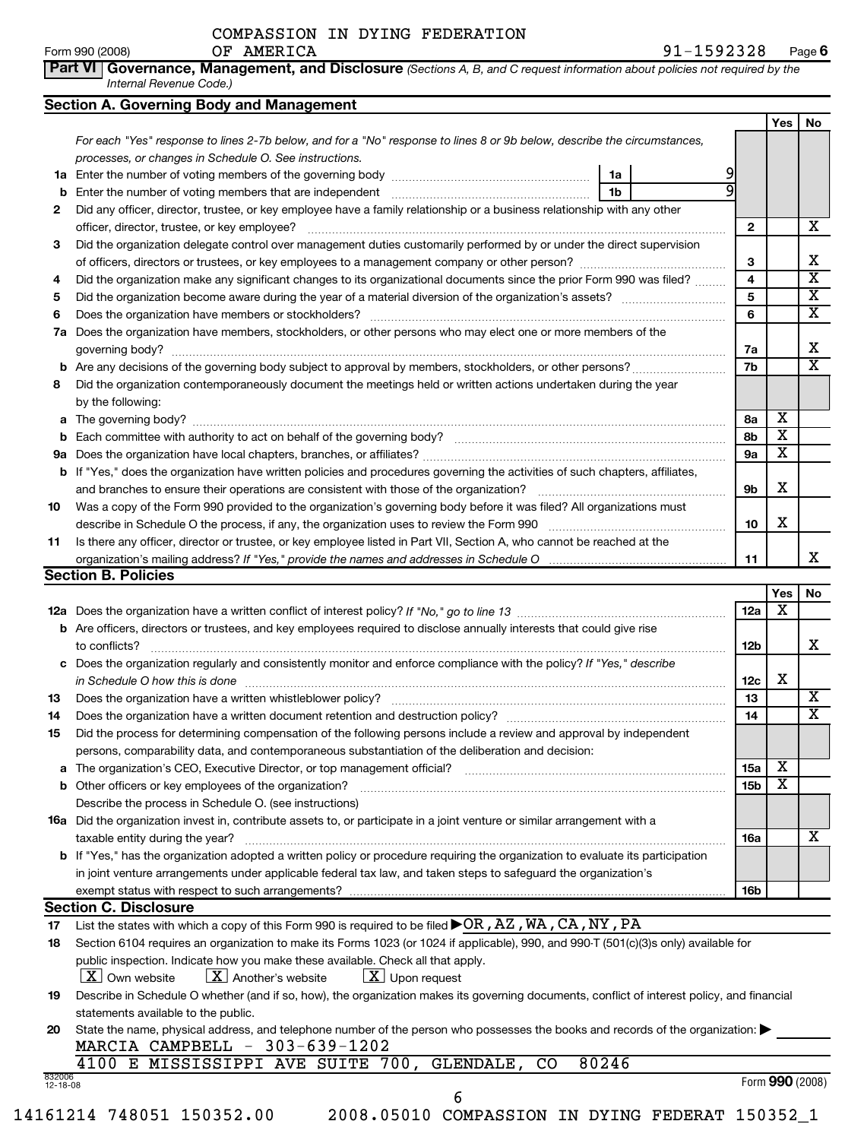*Internal Revenue Code.)*

COMPASSION IN DYING FEDERATION

|                                                              |                                                                                                                                                                                                                                |                 | Yes                     | No                                           |
|--------------------------------------------------------------|--------------------------------------------------------------------------------------------------------------------------------------------------------------------------------------------------------------------------------|-----------------|-------------------------|----------------------------------------------|
|                                                              | For each "Yes" response to lines 2-7b below, and for a "No" response to lines 8 or 9b below, describe the circumstances,                                                                                                       |                 |                         |                                              |
|                                                              | processes, or changes in Schedule O. See instructions.                                                                                                                                                                         |                 |                         |                                              |
|                                                              | 1a                                                                                                                                                                                                                             |                 |                         |                                              |
|                                                              | 1 <sub>b</sub>                                                                                                                                                                                                                 |                 |                         |                                              |
| 2                                                            | Did any officer, director, trustee, or key employee have a family relationship or a business relationship with any other                                                                                                       |                 |                         |                                              |
|                                                              |                                                                                                                                                                                                                                | $\mathbf{2}$    |                         | х                                            |
| 3                                                            | Did the organization delegate control over management duties customarily performed by or under the direct supervision                                                                                                          |                 |                         |                                              |
|                                                              |                                                                                                                                                                                                                                | 3               |                         | Χ                                            |
| 4                                                            | Did the organization make any significant changes to its organizational documents since the prior Form 990 was filed?                                                                                                          | 4               |                         | $\overline{\mathbf{x}}$                      |
| 5                                                            |                                                                                                                                                                                                                                | 5               |                         | X                                            |
| 6                                                            |                                                                                                                                                                                                                                | 6               |                         | X                                            |
|                                                              | 7a Does the organization have members, stockholders, or other persons who may elect one or more members of the                                                                                                                 |                 |                         |                                              |
|                                                              |                                                                                                                                                                                                                                | 7a              |                         | x                                            |
|                                                              |                                                                                                                                                                                                                                | 7b              |                         | $\overline{\mathbf{X}}$                      |
|                                                              |                                                                                                                                                                                                                                |                 |                         |                                              |
| 8                                                            | Did the organization contemporaneously document the meetings held or written actions undertaken during the year<br>by the following:                                                                                           |                 |                         |                                              |
|                                                              |                                                                                                                                                                                                                                | 8a              | X                       |                                              |
|                                                              |                                                                                                                                                                                                                                | 8b              | $\overline{\mathbf{X}}$ |                                              |
|                                                              |                                                                                                                                                                                                                                | 9a              | $\overline{\mathbf{x}}$ |                                              |
|                                                              | b If "Yes," does the organization have written policies and procedures governing the activities of such chapters, affiliates,                                                                                                  | 9b              | х                       |                                              |
| 10                                                           | Was a copy of the Form 990 provided to the organization's governing body before it was filed? All organizations must                                                                                                           |                 |                         |                                              |
|                                                              |                                                                                                                                                                                                                                | 10              | x                       |                                              |
| 11                                                           | Is there any officer, director or trustee, or key employee listed in Part VII, Section A, who cannot be reached at the                                                                                                         |                 |                         |                                              |
|                                                              |                                                                                                                                                                                                                                | 11              |                         | х                                            |
|                                                              |                                                                                                                                                                                                                                |                 |                         |                                              |
|                                                              | <b>Section B. Policies</b>                                                                                                                                                                                                     |                 |                         |                                              |
|                                                              |                                                                                                                                                                                                                                |                 | Yes                     |                                              |
|                                                              |                                                                                                                                                                                                                                | 12a             | $\overline{\mathbf{x}}$ |                                              |
|                                                              | <b>b</b> Are officers, directors or trustees, and key employees required to disclose annually interests that could give rise                                                                                                   |                 |                         |                                              |
|                                                              | to conflicts?                                                                                                                                                                                                                  | 12b             |                         |                                              |
|                                                              | c Does the organization regularly and consistently monitor and enforce compliance with the policy? If "Yes," describe                                                                                                          |                 |                         |                                              |
|                                                              |                                                                                                                                                                                                                                | 12c             | х                       |                                              |
|                                                              | in Schedule O how this is done measurements and the contract of the state of the state of the state of the state of the state of the state of the state of the state of the state of the state of the state of the state of th | 13              |                         |                                              |
|                                                              |                                                                                                                                                                                                                                | 14              |                         |                                              |
|                                                              | Did the process for determining compensation of the following persons include a review and approval by independent                                                                                                             |                 |                         |                                              |
|                                                              |                                                                                                                                                                                                                                |                 |                         |                                              |
|                                                              | persons, comparability data, and contemporaneous substantiation of the deliberation and decision:<br>a The organization's CEO, Executive Director, or top management official? [[[[[[[[[[[[[[[[[[[[[[[[[[[[[[[[]]]]            | 15a             | Х                       |                                              |
|                                                              |                                                                                                                                                                                                                                | 15 <sub>b</sub> | $\mathbf x$             |                                              |
|                                                              | <b>b</b> Other officers or key employees of the organization?<br>Describe the process in Schedule O. (see instructions)                                                                                                        |                 |                         |                                              |
|                                                              |                                                                                                                                                                                                                                |                 |                         |                                              |
|                                                              | 16a Did the organization invest in, contribute assets to, or participate in a joint venture or similar arrangement with a                                                                                                      |                 |                         |                                              |
|                                                              | taxable entity during the year?                                                                                                                                                                                                | 16a             |                         |                                              |
|                                                              | b If "Yes," has the organization adopted a written policy or procedure requiring the organization to evaluate its participation                                                                                                |                 |                         |                                              |
|                                                              | in joint venture arrangements under applicable federal tax law, and taken steps to safeguard the organization's                                                                                                                |                 |                         |                                              |
|                                                              |                                                                                                                                                                                                                                | <b>16b</b>      |                         |                                              |
|                                                              | <b>Section C. Disclosure</b>                                                                                                                                                                                                   |                 |                         |                                              |
|                                                              | List the states with which a copy of this Form 990 is required to be filed $\blacktriangleright$ OR, AZ, WA, CA, NY, PA                                                                                                        |                 |                         |                                              |
|                                                              | Section 6104 requires an organization to make its Forms 1023 (or 1024 if applicable), 990, and 990-T (501(c)(3)s only) available for                                                                                           |                 |                         |                                              |
|                                                              | public inspection. Indicate how you make these available. Check all that apply.                                                                                                                                                |                 |                         |                                              |
|                                                              | $\lfloor x \rfloor$ Own website<br>$\lfloor x \rfloor$ Another's website<br>$\lfloor x \rfloor$ Upon request                                                                                                                   |                 |                         |                                              |
|                                                              | Describe in Schedule O whether (and if so, how), the organization makes its governing documents, conflict of interest policy, and financial                                                                                    |                 |                         |                                              |
|                                                              | statements available to the public.                                                                                                                                                                                            |                 |                         |                                              |
|                                                              | State the name, physical address, and telephone number of the person who possesses the books and records of the organization:                                                                                                  |                 |                         |                                              |
|                                                              | MARCIA CAMPBELL - 303-639-1202                                                                                                                                                                                                 |                 |                         |                                              |
| 13<br>14<br>15<br>17<br>18<br>19<br>20<br>832006<br>12-18-08 | 4100 E MISSISSIPPI AVE SUITE 700, GLENDALE, CO<br>80246                                                                                                                                                                        |                 | Form 990 (2008)         | No<br>х<br>X<br>$\overline{\mathbf{X}}$<br>х |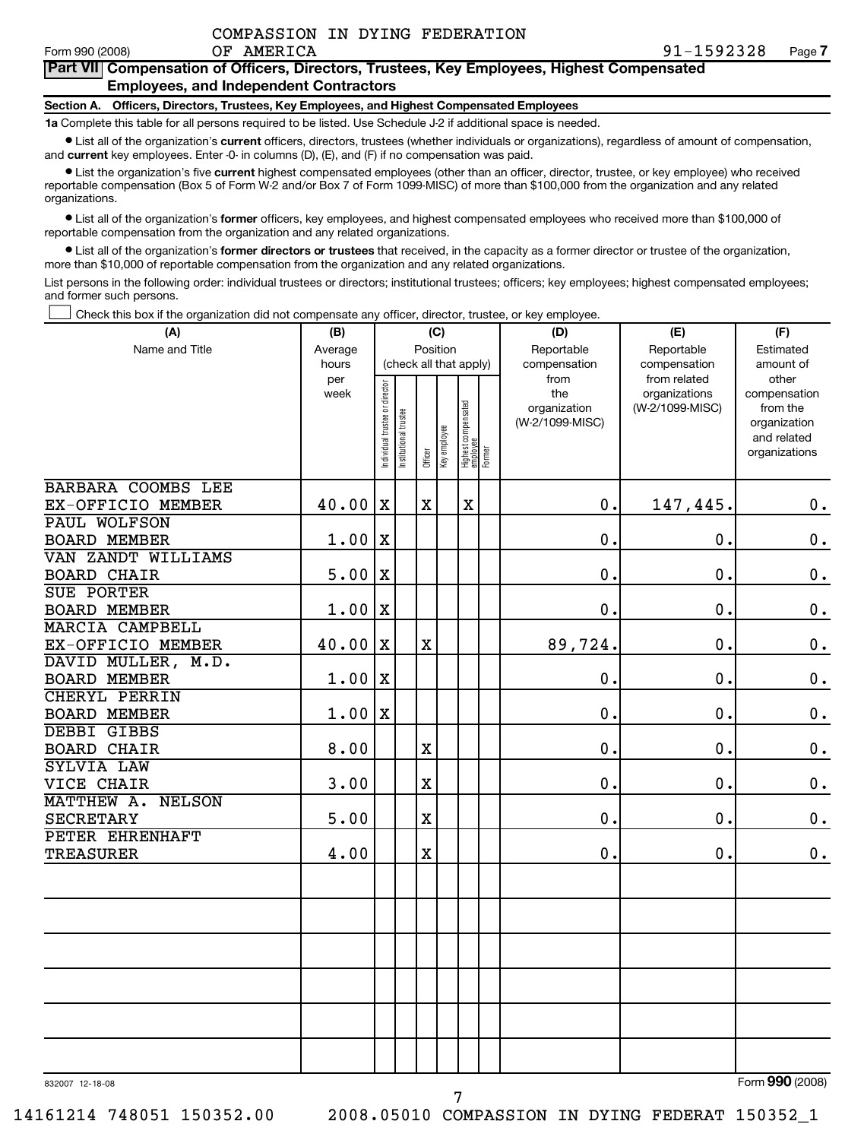### **Part VII Compensation of Officers, Directors, Trustees, Key Employees, Highest Compensated Employees, and Independent Contractors**

### **Section A. Officers, Directors, Trustees, Key Employees, and Highest Compensated Employees**

**1a** Complete this table for all persons required to be listed. Use Schedule J-2 if additional space is needed.

• List all of the organization's **current** officers, directors, trustees (whether individuals or organizations), regardless of amount of compensation, and **current** key employees. Enter -0- in columns (D), (E), and (F) if no compensation was paid.

• List the organization's five **current** highest compensated employees (other than an officer, director, trustee, or key employee) who received reportable compensation (Box 5 of Form W-2 and/or Box 7 of Form 1099-MISC) of more than \$100,000 from the organization and any related organizations.

• List all of the organization's **former** officers, key employees, and highest compensated employees who received more than \$100,000 of reportable compensation from the organization and any related organizations.

• List all of the organization's **former directors or trustees** that received, in the capacity as a former director or trustee of the organization, more than \$10,000 of reportable compensation from the organization and any related organizations.

List persons in the following order: individual trustees or directors; institutional trustees; officers; key employees; highest compensated employees; and former such persons.

† Check this box if the organization did not compensate any officer, director, trustee, or key employee.

| (A)                                       | (B)                  |                                                  |                      |                         | (C) |                                           |  | (D)                                                            | (E)                                                              | (F)                                                                                            |
|-------------------------------------------|----------------------|--------------------------------------------------|----------------------|-------------------------|-----|-------------------------------------------|--|----------------------------------------------------------------|------------------------------------------------------------------|------------------------------------------------------------------------------------------------|
| Name and Title                            | Average              | Position<br>Reportable<br>(check all that apply) |                      |                         |     |                                           |  |                                                                | Reportable                                                       | Estimated                                                                                      |
|                                           | hours<br>per<br>week | ndividual trustee or director                    | nstitutional trustee | Officer<br>Key employee |     | Highest compensated<br>employee<br>Former |  | compensation<br>from<br>the<br>organization<br>(W-2/1099-MISC) | compensation<br>from related<br>organizations<br>(W-2/1099-MISC) | amount of<br>other<br>compensation<br>from the<br>organization<br>and related<br>organizations |
| BARBARA COOMBS LEE                        |                      |                                                  |                      |                         |     |                                           |  |                                                                |                                                                  |                                                                                                |
| EX-OFFICIO MEMBER                         | 40.00                | $\mathbf X$                                      |                      | $\mathbf X$             |     | $\mathbf X$                               |  | $\mathbf 0$ .                                                  | 147,445.                                                         | 0.                                                                                             |
| PAUL WOLFSON                              |                      |                                                  |                      |                         |     |                                           |  |                                                                |                                                                  |                                                                                                |
| <b>BOARD MEMBER</b>                       | 1.00                 | $\mathbf X$                                      |                      |                         |     |                                           |  | $\mathbf 0$ .                                                  | $\mathbf 0$ .                                                    | $\mathbf 0$ .                                                                                  |
| VAN ZANDT WILLIAMS                        |                      |                                                  |                      |                         |     |                                           |  |                                                                |                                                                  |                                                                                                |
| <b>BOARD CHAIR</b>                        | 5.00                 | X                                                |                      |                         |     |                                           |  | 0.                                                             | $\mathbf 0$ .                                                    | $\mathbf 0$ .                                                                                  |
| <b>SUE PORTER</b>                         |                      |                                                  |                      |                         |     |                                           |  |                                                                |                                                                  |                                                                                                |
| <b>BOARD MEMBER</b>                       | 1.00                 | $\mathbf X$                                      |                      |                         |     |                                           |  | $\mathbf 0$ .                                                  | 0.                                                               | $\mathbf 0$ .                                                                                  |
| <b>MARCIA CAMPBELL</b>                    |                      |                                                  |                      |                         |     |                                           |  |                                                                |                                                                  |                                                                                                |
| EX-OFFICIO MEMBER                         | 40.00                | X                                                |                      | $\mathbf X$             |     |                                           |  | 89,724.                                                        | 0.                                                               | $\mathbf 0$ .                                                                                  |
| DAVID MULLER, M.D.                        |                      |                                                  |                      |                         |     |                                           |  |                                                                |                                                                  |                                                                                                |
| <b>BOARD MEMBER</b>                       | 1.00                 | $\mathbf X$                                      |                      |                         |     |                                           |  | 0.                                                             | $\mathbf 0$ .                                                    | $\boldsymbol{0}$ .                                                                             |
| <b>CHERYL PERRIN</b>                      |                      | $\mathbf X$                                      |                      |                         |     |                                           |  | $\mathbf 0$ .                                                  | 0.                                                               |                                                                                                |
| <b>BOARD MEMBER</b><br><b>DEBBI GIBBS</b> | 1.00                 |                                                  |                      |                         |     |                                           |  |                                                                |                                                                  | $\mathbf 0$ .                                                                                  |
| <b>BOARD CHAIR</b>                        | 8.00                 |                                                  |                      | $\rm X$                 |     |                                           |  | 0.                                                             | 0.                                                               | $\mathbf 0$ .                                                                                  |
| SYLVIA LAW                                |                      |                                                  |                      |                         |     |                                           |  |                                                                |                                                                  |                                                                                                |
| VICE CHAIR                                | 3.00                 |                                                  |                      | $\overline{\text{X}}$   |     |                                           |  | $\mathbf 0$ .                                                  | 0.                                                               | $\mathbf 0$ .                                                                                  |
| MATTHEW A.<br><b>NELSON</b>               |                      |                                                  |                      |                         |     |                                           |  |                                                                |                                                                  |                                                                                                |
| <b>SECRETARY</b>                          | 5.00                 |                                                  |                      | $\overline{\text{X}}$   |     |                                           |  | $\mathbf 0$ .                                                  | 0.                                                               | $\mathbf 0$ .                                                                                  |
| PETER EHRENHAFT                           |                      |                                                  |                      |                         |     |                                           |  |                                                                |                                                                  |                                                                                                |
| <b>TREASURER</b>                          | 4.00                 |                                                  |                      | X                       |     |                                           |  | 0.                                                             | 0.                                                               | $\mathbf 0$ .                                                                                  |
|                                           |                      |                                                  |                      |                         |     |                                           |  |                                                                |                                                                  |                                                                                                |
|                                           |                      |                                                  |                      |                         |     |                                           |  |                                                                |                                                                  |                                                                                                |
|                                           |                      |                                                  |                      |                         |     |                                           |  |                                                                |                                                                  |                                                                                                |
|                                           |                      |                                                  |                      |                         |     |                                           |  |                                                                |                                                                  |                                                                                                |
| 832007 12-18-08                           |                      |                                                  |                      |                         |     |                                           |  |                                                                |                                                                  | Form 990 (2008)                                                                                |

7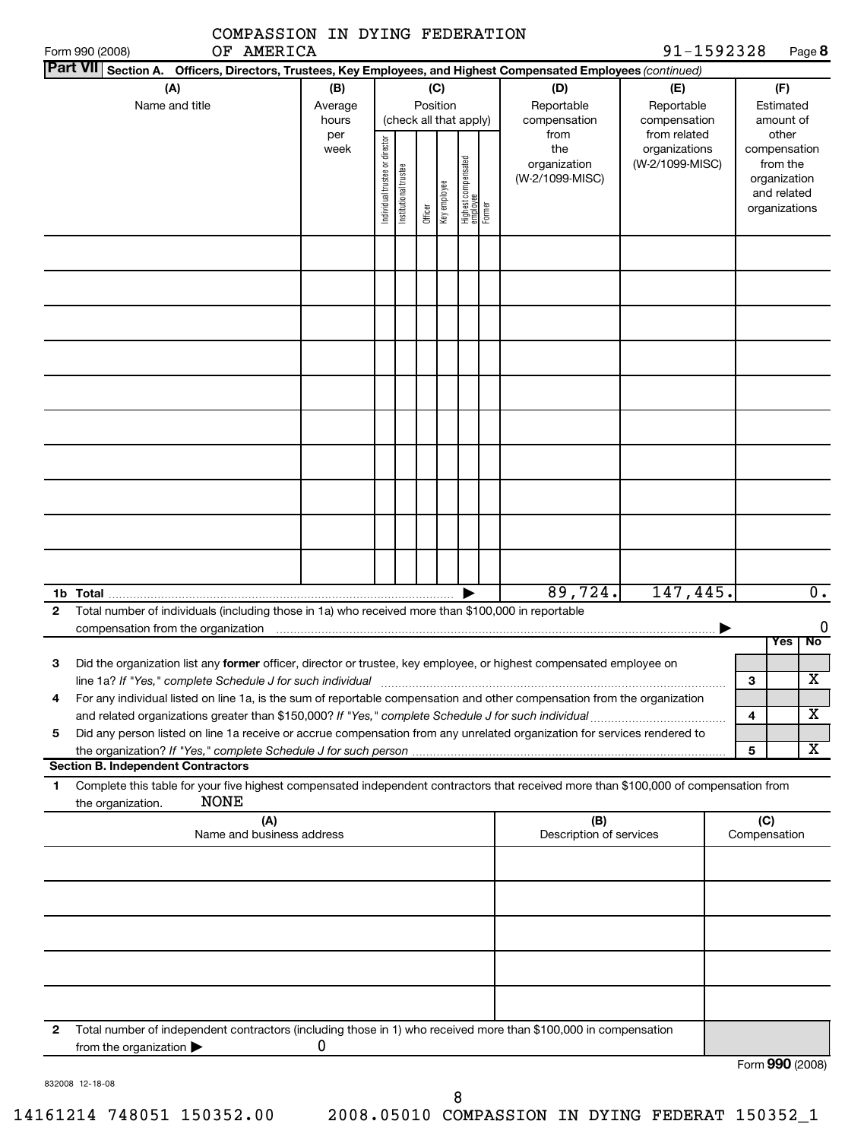| COMPASSION IN DYING FEDERATION |  |  |
|--------------------------------|--|--|
|                                |  |  |

| Form 990 (2008)                                                                                                                                                                                                                                                                                                                                                  | OF AMERICA                       |                                |                        |                         |                                           |                                                | 91-1592328                                       |                     | Page 8                                                                            |
|------------------------------------------------------------------------------------------------------------------------------------------------------------------------------------------------------------------------------------------------------------------------------------------------------------------------------------------------------------------|----------------------------------|--------------------------------|------------------------|-------------------------|-------------------------------------------|------------------------------------------------|--------------------------------------------------|---------------------|-----------------------------------------------------------------------------------|
| <b>Part VIII</b><br>Section A. Officers, Directors, Trustees, Key Employees, and Highest Compensated Employees (continued)                                                                                                                                                                                                                                       |                                  |                                |                        |                         |                                           |                                                |                                                  |                     |                                                                                   |
| (A)<br>Name and title                                                                                                                                                                                                                                                                                                                                            | (B)<br>Average<br>hours          |                                | (check all that apply) | (C)<br>Position         |                                           | (D)<br>Reportable<br>compensation              | (E)<br>Reportable<br>compensation                |                     | (F)<br>Estimated<br>amount of                                                     |
|                                                                                                                                                                                                                                                                                                                                                                  | per<br>week                      | Individual trustee or director | Institutional trustee  | Officer<br>Key employee | Highest compensated<br>employee<br>Former | from<br>the<br>organization<br>(W-2/1099-MISC) | from related<br>organizations<br>(W-2/1099-MISC) |                     | other<br>compensation<br>from the<br>organization<br>and related<br>organizations |
|                                                                                                                                                                                                                                                                                                                                                                  |                                  |                                |                        |                         |                                           |                                                |                                                  |                     |                                                                                   |
|                                                                                                                                                                                                                                                                                                                                                                  |                                  |                                |                        |                         |                                           |                                                |                                                  |                     |                                                                                   |
|                                                                                                                                                                                                                                                                                                                                                                  |                                  |                                |                        |                         |                                           |                                                |                                                  |                     |                                                                                   |
|                                                                                                                                                                                                                                                                                                                                                                  |                                  |                                |                        |                         |                                           |                                                |                                                  |                     |                                                                                   |
|                                                                                                                                                                                                                                                                                                                                                                  |                                  |                                |                        |                         |                                           |                                                |                                                  |                     |                                                                                   |
|                                                                                                                                                                                                                                                                                                                                                                  |                                  |                                |                        |                         |                                           |                                                |                                                  |                     |                                                                                   |
|                                                                                                                                                                                                                                                                                                                                                                  |                                  |                                |                        |                         |                                           | 89,724.                                        | 147,445.                                         |                     | $\overline{0}$ .                                                                  |
| Total number of individuals (including those in 1a) who received more than \$100,000 in reportable<br>2<br>compensation from the organization                                                                                                                                                                                                                    |                                  |                                |                        |                         |                                           |                                                |                                                  |                     | No<br><b>Yes</b>                                                                  |
| Did the organization list any former officer, director or trustee, key employee, or highest compensated employee on<br>3                                                                                                                                                                                                                                         |                                  |                                |                        |                         |                                           |                                                |                                                  | 3                   | х                                                                                 |
| For any individual listed on line 1a, is the sum of reportable compensation and other compensation from the organization<br>and related organizations greater than \$150,000? If "Yes," complete Schedule J for such individual<br>Did any person listed on line 1a receive or accrue compensation from any unrelated organization for services rendered to<br>5 |                                  |                                |                        |                         |                                           |                                                |                                                  | 4                   | X                                                                                 |
| <b>Section B. Independent Contractors</b>                                                                                                                                                                                                                                                                                                                        |                                  |                                |                        |                         |                                           |                                                |                                                  | 5                   | X                                                                                 |
| Complete this table for your five highest compensated independent contractors that received more than \$100,000 of compensation from<br>1.<br><b>NONE</b><br>the organization.                                                                                                                                                                                   |                                  |                                |                        |                         |                                           |                                                |                                                  |                     |                                                                                   |
|                                                                                                                                                                                                                                                                                                                                                                  | (A)<br>Name and business address |                                |                        |                         |                                           | (B)<br>Description of services                 |                                                  | (C)<br>Compensation |                                                                                   |
|                                                                                                                                                                                                                                                                                                                                                                  |                                  |                                |                        |                         |                                           |                                                |                                                  |                     |                                                                                   |
|                                                                                                                                                                                                                                                                                                                                                                  |                                  |                                |                        |                         |                                           |                                                |                                                  |                     |                                                                                   |
|                                                                                                                                                                                                                                                                                                                                                                  |                                  |                                |                        |                         |                                           |                                                |                                                  |                     |                                                                                   |
| Total number of independent contractors (including those in 1) who received more than \$100,000 in compensation<br>$\mathbf{2}$<br>from the organization $\blacktriangleright$                                                                                                                                                                                   | 0                                |                                |                        |                         |                                           |                                                |                                                  |                     |                                                                                   |
| 832008 12-18-08                                                                                                                                                                                                                                                                                                                                                  |                                  |                                |                        |                         |                                           |                                                |                                                  |                     | Form 990 (2008)                                                                   |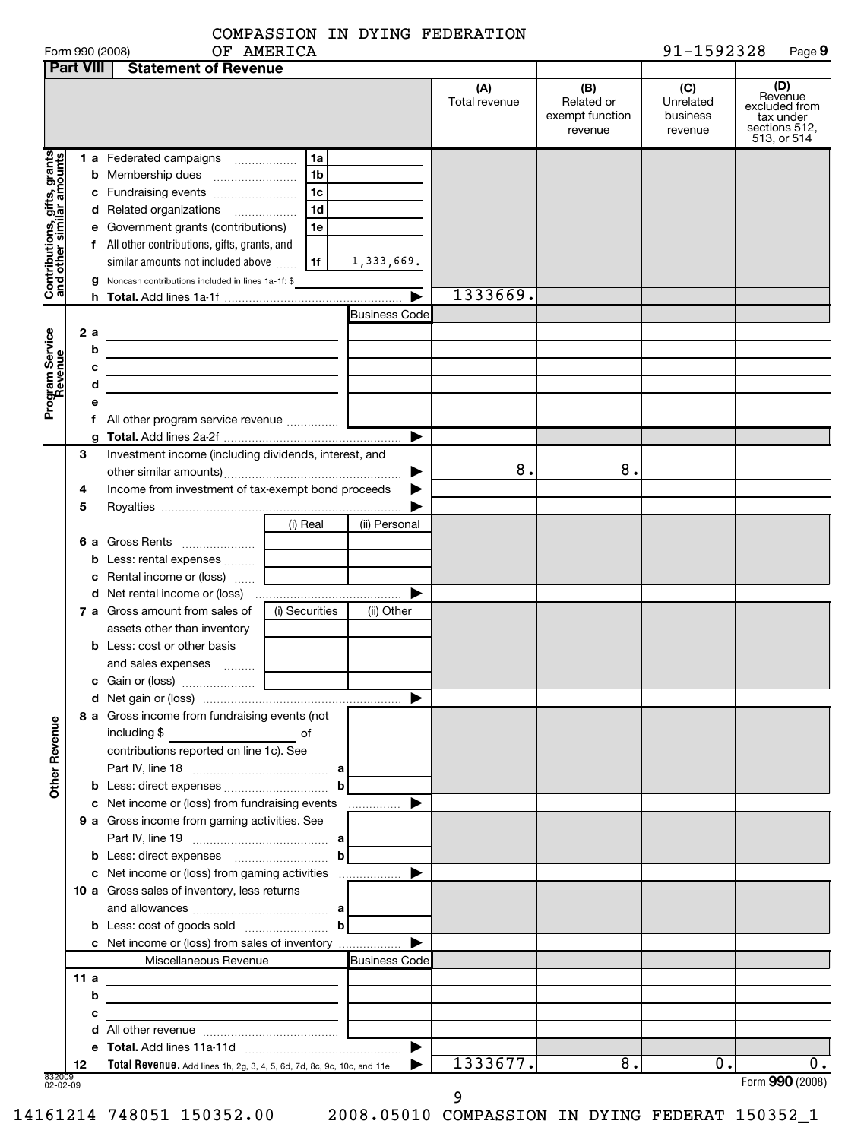| COMPASSION IN DYING FEDERATION |  |  |  |  |
|--------------------------------|--|--|--|--|
|--------------------------------|--|--|--|--|

| Form 990 (2008) | AMERICA<br>ОF | 1592328<br>$91 -$ | Page 9 |
|-----------------|---------------|-------------------|--------|
|                 |               |                   |        |

|                                                           | <b>Part VIII</b> | <b>Statement of Revenue</b>                                                                                         |                |                       |                      |                                                 |                                         |                                                                              |
|-----------------------------------------------------------|------------------|---------------------------------------------------------------------------------------------------------------------|----------------|-----------------------|----------------------|-------------------------------------------------|-----------------------------------------|------------------------------------------------------------------------------|
|                                                           |                  |                                                                                                                     |                |                       | (A)<br>Total revenue | (B)<br>Related or<br>exempt function<br>revenue | (C)<br>Unrelated<br>business<br>revenue | (D)<br>Revenue<br>excluded from<br>tax under<br>sections 512,<br>513, or 514 |
| Contributions, gifts, grants<br>and other similar amounts |                  | 1 a Federated campaigns                                                                                             | 1a             |                       |                      |                                                 |                                         |                                                                              |
|                                                           |                  |                                                                                                                     | 1 <sub>b</sub> |                       |                      |                                                 |                                         |                                                                              |
|                                                           |                  |                                                                                                                     | 1 <sub>c</sub> |                       |                      |                                                 |                                         |                                                                              |
|                                                           |                  | d Related organizations                                                                                             | 1 <sub>d</sub> |                       |                      |                                                 |                                         |                                                                              |
|                                                           |                  | e Government grants (contributions)                                                                                 | 1e             |                       |                      |                                                 |                                         |                                                                              |
|                                                           |                  | f All other contributions, gifts, grants, and                                                                       |                |                       |                      |                                                 |                                         |                                                                              |
|                                                           |                  | similar amounts not included above                                                                                  | 1f             | 1,333,669.            |                      |                                                 |                                         |                                                                              |
|                                                           |                  | g Noncash contributions included in lines 1a-1f: \$                                                                 |                |                       |                      |                                                 |                                         |                                                                              |
|                                                           |                  |                                                                                                                     |                |                       | 1333669.             |                                                 |                                         |                                                                              |
|                                                           |                  |                                                                                                                     |                | <b>Business Code</b>  |                      |                                                 |                                         |                                                                              |
|                                                           | 2 a              | the control of the control of the control of the control of the control of                                          |                |                       |                      |                                                 |                                         |                                                                              |
|                                                           | b                | <u> 1989 - Johann Stein, mars an deus Amerikaansk kommunister (</u>                                                 |                |                       |                      |                                                 |                                         |                                                                              |
|                                                           | с                | the control of the control of the control of the control of the control of                                          |                |                       |                      |                                                 |                                         |                                                                              |
|                                                           | d                | the control of the control of the control of the control of the control of                                          |                |                       |                      |                                                 |                                         |                                                                              |
| Program Service<br>Revenue                                | е                |                                                                                                                     |                |                       |                      |                                                 |                                         |                                                                              |
|                                                           |                  | f All other program service revenue                                                                                 |                |                       |                      |                                                 |                                         |                                                                              |
|                                                           |                  |                                                                                                                     |                | ▶                     |                      |                                                 |                                         |                                                                              |
|                                                           | З                | Investment income (including dividends, interest, and                                                               |                |                       |                      |                                                 |                                         |                                                                              |
|                                                           |                  |                                                                                                                     |                |                       | 8.                   | 8.                                              |                                         |                                                                              |
|                                                           | 4                | Income from investment of tax-exempt bond proceeds                                                                  |                |                       |                      |                                                 |                                         |                                                                              |
|                                                           | 5                |                                                                                                                     |                |                       |                      |                                                 |                                         |                                                                              |
|                                                           |                  |                                                                                                                     | (i) Real       | (ii) Personal         |                      |                                                 |                                         |                                                                              |
|                                                           |                  |                                                                                                                     |                |                       |                      |                                                 |                                         |                                                                              |
|                                                           |                  | <b>b</b> Less: rental expenses                                                                                      |                |                       |                      |                                                 |                                         |                                                                              |
|                                                           |                  | <b>c</b> Rental income or (loss) $\ldots$                                                                           |                |                       |                      |                                                 |                                         |                                                                              |
|                                                           |                  |                                                                                                                     |                | ▶                     |                      |                                                 |                                         |                                                                              |
|                                                           |                  | 7 a Gross amount from sales of                                                                                      | (i) Securities | (ii) Other            |                      |                                                 |                                         |                                                                              |
|                                                           |                  | assets other than inventory                                                                                         |                |                       |                      |                                                 |                                         |                                                                              |
|                                                           |                  | <b>b</b> Less: cost or other basis                                                                                  |                |                       |                      |                                                 |                                         |                                                                              |
|                                                           |                  | and sales expenses                                                                                                  |                |                       |                      |                                                 |                                         |                                                                              |
|                                                           |                  |                                                                                                                     |                |                       |                      |                                                 |                                         |                                                                              |
|                                                           |                  |                                                                                                                     |                |                       |                      |                                                 |                                         |                                                                              |
|                                                           |                  | 8 a Gross income from fundraising events (not                                                                       |                |                       |                      |                                                 |                                         |                                                                              |
| <b>Other Revenue</b>                                      |                  | including \$                                                                                                        |                |                       |                      |                                                 |                                         |                                                                              |
|                                                           |                  | contributions reported on line 1c). See                                                                             |                |                       |                      |                                                 |                                         |                                                                              |
|                                                           |                  |                                                                                                                     |                |                       |                      |                                                 |                                         |                                                                              |
|                                                           |                  |                                                                                                                     | b              |                       |                      |                                                 |                                         |                                                                              |
|                                                           |                  | c Net income or (loss) from fundraising events                                                                      |                | .                     |                      |                                                 |                                         |                                                                              |
|                                                           |                  | 9 a Gross income from gaming activities. See                                                                        |                |                       |                      |                                                 |                                         |                                                                              |
|                                                           |                  |                                                                                                                     |                |                       |                      |                                                 |                                         |                                                                              |
|                                                           |                  |                                                                                                                     |                |                       |                      |                                                 |                                         |                                                                              |
|                                                           |                  |                                                                                                                     |                |                       |                      |                                                 |                                         |                                                                              |
|                                                           |                  | 10 a Gross sales of inventory, less returns                                                                         |                |                       |                      |                                                 |                                         |                                                                              |
|                                                           |                  |                                                                                                                     |                |                       |                      |                                                 |                                         |                                                                              |
|                                                           |                  |                                                                                                                     |                |                       |                      |                                                 |                                         |                                                                              |
|                                                           |                  | c Net income or (loss) from sales of inventory                                                                      |                | ▶                     |                      |                                                 |                                         |                                                                              |
|                                                           |                  | Miscellaneous Revenue                                                                                               |                | <b>Business Code</b>  |                      |                                                 |                                         |                                                                              |
|                                                           | 11 a             | <u> 1989 - Johann John Stone, mars eta industrial eta industrial eta industrial eta industrial eta industrial e</u> |                |                       |                      |                                                 |                                         |                                                                              |
|                                                           | b                |                                                                                                                     |                |                       |                      |                                                 |                                         |                                                                              |
|                                                           | с                |                                                                                                                     |                |                       |                      |                                                 |                                         |                                                                              |
|                                                           |                  |                                                                                                                     |                |                       |                      |                                                 |                                         |                                                                              |
|                                                           |                  |                                                                                                                     |                | $\blacktriangleright$ |                      |                                                 |                                         |                                                                              |
|                                                           | 12               | Total Revenue. Add lines 1h, 2g, 3, 4, 5, 6d, 7d, 8c, 9c, 10c, and 11e                                              |                |                       | 1333677.             | $\overline{8}$ .                                | о.                                      | 0.                                                                           |
| 832009<br>02-02-09                                        |                  |                                                                                                                     |                |                       |                      |                                                 |                                         | Form 990 (2008)                                                              |

9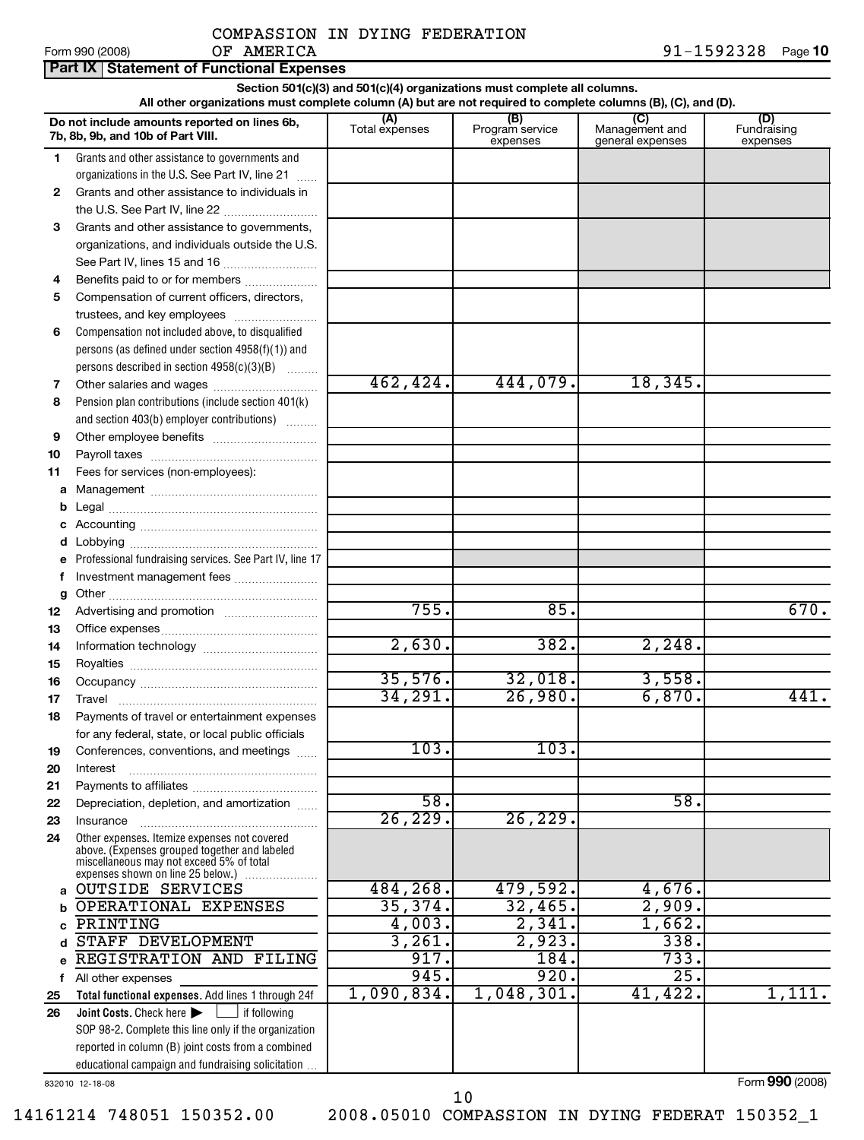|  |  | Form 990 (2008) |  |
|--|--|-----------------|--|
|--|--|-----------------|--|

|          | Part IX Statement of Functional Expenses                                                                                       |                                                                          |                                    |                                           |                                |
|----------|--------------------------------------------------------------------------------------------------------------------------------|--------------------------------------------------------------------------|------------------------------------|-------------------------------------------|--------------------------------|
|          |                                                                                                                                | Section 501(c)(3) and 501(c)(4) organizations must complete all columns. |                                    |                                           |                                |
|          | All other organizations must complete column (A) but are not required to complete columns (B), (C), and (D).                   |                                                                          |                                    |                                           |                                |
|          | Do not include amounts reported on lines 6b,<br>7b, 8b, 9b, and 10b of Part VIII.                                              | (A)<br>Total expenses                                                    | (B)<br>Program service<br>expenses | (C)<br>Management and<br>general expenses | (D)<br>Fundraising<br>expenses |
| 1.       | Grants and other assistance to governments and                                                                                 |                                                                          |                                    |                                           |                                |
|          | organizations in the U.S. See Part IV, line 21                                                                                 |                                                                          |                                    |                                           |                                |
| 2        | Grants and other assistance to individuals in                                                                                  |                                                                          |                                    |                                           |                                |
|          | the U.S. See Part IV, line 22                                                                                                  |                                                                          |                                    |                                           |                                |
| 3        | Grants and other assistance to governments,                                                                                    |                                                                          |                                    |                                           |                                |
|          | organizations, and individuals outside the U.S.                                                                                |                                                                          |                                    |                                           |                                |
|          | See Part IV, lines 15 and 16                                                                                                   |                                                                          |                                    |                                           |                                |
| 4        | Benefits paid to or for members                                                                                                |                                                                          |                                    |                                           |                                |
| 5        | Compensation of current officers, directors,                                                                                   |                                                                          |                                    |                                           |                                |
|          |                                                                                                                                |                                                                          |                                    |                                           |                                |
| 6        | Compensation not included above, to disqualified                                                                               |                                                                          |                                    |                                           |                                |
|          | persons (as defined under section $4958(f)(1)$ ) and                                                                           |                                                                          |                                    |                                           |                                |
|          | persons described in section 4958(c)(3)(B)                                                                                     | 462, 424.                                                                | 444,079.                           | 18,345.                                   |                                |
| 7<br>8   | Pension plan contributions (include section 401(k)                                                                             |                                                                          |                                    |                                           |                                |
|          | and section 403(b) employer contributions)                                                                                     |                                                                          |                                    |                                           |                                |
| 9        |                                                                                                                                |                                                                          |                                    |                                           |                                |
| 10       |                                                                                                                                |                                                                          |                                    |                                           |                                |
| 11       | Fees for services (non-employees):                                                                                             |                                                                          |                                    |                                           |                                |
| a        |                                                                                                                                |                                                                          |                                    |                                           |                                |
|          |                                                                                                                                |                                                                          |                                    |                                           |                                |
|          |                                                                                                                                |                                                                          |                                    |                                           |                                |
|          |                                                                                                                                |                                                                          |                                    |                                           |                                |
| е        | Professional fundraising services. See Part IV, line 17                                                                        |                                                                          |                                    |                                           |                                |
| f        | Investment management fees                                                                                                     |                                                                          |                                    |                                           |                                |
| g        |                                                                                                                                |                                                                          |                                    |                                           |                                |
| 12       |                                                                                                                                | 755.                                                                     | 85.                                |                                           | 670.                           |
| 13       |                                                                                                                                |                                                                          |                                    |                                           |                                |
| 14       |                                                                                                                                | 2,630.                                                                   | 382.                               | 2, 248.                                   |                                |
| 15       |                                                                                                                                |                                                                          |                                    |                                           |                                |
| 16       |                                                                                                                                | 35,576.                                                                  | 32,018.                            | 3,558.                                    |                                |
| 17       |                                                                                                                                | 34,291.                                                                  | 26,980.                            | 6,870.                                    | 441.                           |
| 18       | Payments of travel or entertainment expenses                                                                                   |                                                                          |                                    |                                           |                                |
|          | for any federal, state, or local public officials                                                                              |                                                                          |                                    |                                           |                                |
| 19       | Conferences, conventions, and meetings                                                                                         | 103.                                                                     | 103.                               |                                           |                                |
| 20       | Interest                                                                                                                       |                                                                          |                                    |                                           |                                |
| 21       |                                                                                                                                | $\overline{58}$ .                                                        |                                    | 58.                                       |                                |
| 22<br>23 | Depreciation, depletion, and amortization<br>Insurance                                                                         | 26, 229.                                                                 | 26, 229.                           |                                           |                                |
| 24       | Other expenses. Itemize expenses not covered                                                                                   |                                                                          |                                    |                                           |                                |
|          | above. (Expenses grouped together and labeled<br>miscellaneous may not exceed 5% of total<br>expenses shown on line 25 below.) |                                                                          |                                    |                                           |                                |
| a        | <b>OUTSIDE SERVICES</b>                                                                                                        | 484,268.                                                                 | 479,592.                           | 4,676.                                    |                                |
| b        | OPERATIONAL EXPENSES                                                                                                           | 35,374.                                                                  | 32,465.                            | 2,909.                                    |                                |
| с        | PRINTING                                                                                                                       | 4,003.                                                                   | 2,341.                             | 1,662.                                    |                                |
| d        | STAFF DEVELOPMENT                                                                                                              | 3,261.                                                                   | 2,923.                             | 338.                                      |                                |
| e        | REGISTRATION AND FILING                                                                                                        | 917.                                                                     | 184.                               | 733.                                      |                                |
|          | f All other expenses                                                                                                           | 945.                                                                     | 920.                               | $\overline{25}$ .                         |                                |
| 25       | Total functional expenses. Add lines 1 through 24f                                                                             | 1,090,834.                                                               | 1,048,301.                         | 41,422.                                   | 1,111.                         |
| 26       | Joint Costs. Check here <b>Dena</b><br>if following                                                                            |                                                                          |                                    |                                           |                                |
|          | SOP 98-2. Complete this line only if the organization                                                                          |                                                                          |                                    |                                           |                                |
|          | reported in column (B) joint costs from a combined                                                                             |                                                                          |                                    |                                           |                                |
|          | educational campaign and fundraising solicitation.                                                                             |                                                                          |                                    |                                           | Form 990 (2008)                |
|          | 832010 12-18-08                                                                                                                |                                                                          |                                    |                                           |                                |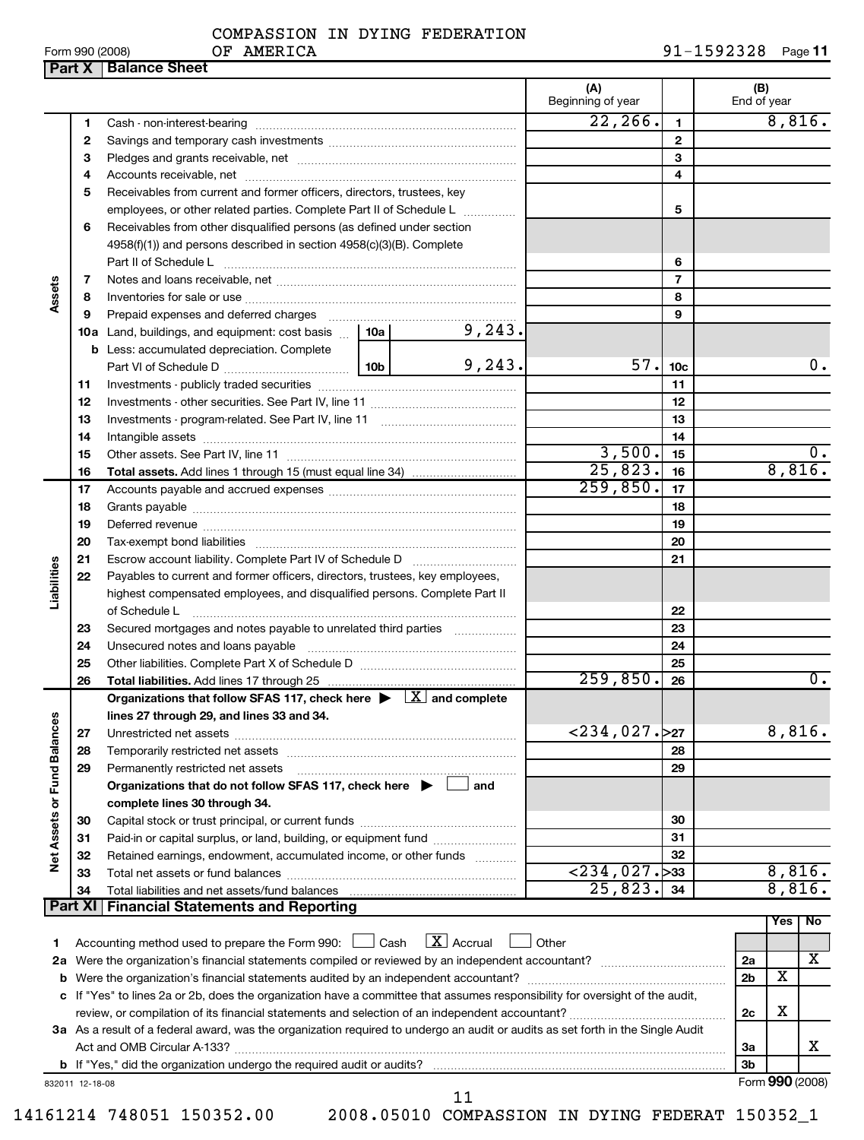14161214 748051 150352.00 2008.05010 COMPASSION IN DYING FEDERAT 150352\_1

**Part X** | Balance Sheet

|                 | COMPASSION IN DYING FEDERATION |                        |  |
|-----------------|--------------------------------|------------------------|--|
| Form 990 (2008) | AMERICA<br>ОF                  | $91 - 1592328$ Page 11 |  |

|                          |         |                                                                                                                                 |  |             | (A)<br>Beginning of year   |                 |  | (B)<br>End of year |                         |        |
|--------------------------|---------|---------------------------------------------------------------------------------------------------------------------------------|--|-------------|----------------------------|-----------------|--|--------------------|-------------------------|--------|
|                          | 1       |                                                                                                                                 |  |             | 22, 266.                   | $\mathbf{1}$    |  |                    |                         | 8,816. |
|                          | 2       |                                                                                                                                 |  |             |                            | $\mathbf{2}$    |  |                    |                         |        |
|                          | З       |                                                                                                                                 |  |             |                            | 3               |  |                    |                         |        |
|                          | 4       |                                                                                                                                 |  |             | 4                          |                 |  |                    |                         |        |
|                          | 5       | Receivables from current and former officers, directors, trustees, key                                                          |  |             |                            |                 |  |                    |                         |        |
|                          |         | employees, or other related parties. Complete Part II of Schedule L                                                             |  |             | 5                          |                 |  |                    |                         |        |
|                          | 6       | Receivables from other disqualified persons (as defined under section                                                           |  |             |                            |                 |  |                    |                         |        |
|                          |         | 4958(f)(1)) and persons described in section 4958(c)(3)(B). Complete                                                            |  |             |                            |                 |  |                    |                         |        |
|                          |         |                                                                                                                                 |  |             |                            | 6               |  |                    |                         |        |
|                          | 7       |                                                                                                                                 |  |             |                            | $\overline{7}$  |  |                    |                         |        |
| Assets                   | 8       |                                                                                                                                 |  |             |                            | 8               |  |                    |                         |        |
|                          | 9       |                                                                                                                                 |  |             |                            | 9               |  |                    |                         |        |
|                          |         | <b>10a</b> Land, buildings, and equipment: cost basis $\ldots$   <b>10a</b>                                                     |  | 9, 243.     |                            |                 |  |                    |                         |        |
|                          |         | <b>b</b> Less: accumulated depreciation. Complete                                                                               |  |             |                            |                 |  |                    |                         |        |
|                          |         |                                                                                                                                 |  | 9, 243.     | 57.                        | 10 <sub>c</sub> |  |                    |                         | 0.     |
|                          | 11      |                                                                                                                                 |  |             |                            | 11              |  |                    |                         |        |
|                          | 12      |                                                                                                                                 |  |             |                            | 12              |  |                    |                         |        |
|                          | 13      |                                                                                                                                 |  |             |                            | 13              |  |                    |                         |        |
|                          | 14      |                                                                                                                                 |  |             |                            | 14              |  |                    |                         |        |
|                          | 15      |                                                                                                                                 |  | 3,500.      | 15                         |                 |  |                    | 0.                      |        |
|                          | 16      |                                                                                                                                 |  |             | $\overline{25,823}$ .      | 16              |  |                    |                         | 8,816. |
|                          | 17      |                                                                                                                                 |  |             | 259,850.                   | 17              |  |                    |                         |        |
|                          | 18      |                                                                                                                                 |  | 18          |                            |                 |  |                    |                         |        |
|                          | 19      |                                                                                                                                 |  |             | 19                         |                 |  |                    |                         |        |
|                          | 20      |                                                                                                                                 |  | 20          |                            |                 |  |                    |                         |        |
|                          | 21      |                                                                                                                                 |  | 21          |                            |                 |  |                    |                         |        |
| Liabilities              | 22      | Payables to current and former officers, directors, trustees, key employees,                                                    |  |             |                            |                 |  |                    |                         |        |
|                          |         | highest compensated employees, and disqualified persons. Complete Part II                                                       |  |             |                            |                 |  |                    |                         |        |
|                          |         |                                                                                                                                 |  |             |                            | 22              |  |                    |                         |        |
|                          | 23      | Secured mortgages and notes payable to unrelated third parties                                                                  |  |             |                            | 23              |  |                    |                         |        |
|                          | 24      |                                                                                                                                 |  |             |                            | 24              |  |                    |                         |        |
|                          | 25      | Other liabilities. Complete Part X of Schedule D [111] [11] [12] [12] Other liabilities. Complete Part X of Schedule D          |  |             |                            | 25              |  |                    |                         |        |
|                          | 26      |                                                                                                                                 |  |             | 259,850.                   | 26              |  |                    |                         | 0.     |
|                          |         | Organizations that follow SFAS 117, check here $\blacktriangleright \lfloor X \rfloor$ and complete                             |  |             |                            |                 |  |                    |                         |        |
| ces                      |         | lines 27 through 29, and lines 33 and 34.                                                                                       |  |             |                            |                 |  |                    |                         |        |
|                          | 27      |                                                                                                                                 |  |             | <234,027 <b>.</b> > 27     |                 |  |                    | 8,816.                  |        |
|                          | 28      |                                                                                                                                 |  |             |                            | 28              |  |                    |                         |        |
| Net Assets or Fund Balan | 29      | Permanently restricted net assets                                                                                               |  |             |                            | 29              |  |                    |                         |        |
|                          |         | Organizations that do not follow SFAS 117, check here $\blacktriangleright$                                                     |  | and         |                            |                 |  |                    |                         |        |
|                          |         | complete lines 30 through 34.                                                                                                   |  |             |                            |                 |  |                    |                         |        |
|                          | 30      |                                                                                                                                 |  |             |                            | 30              |  |                    |                         |        |
|                          | 31      | Paid-in or capital surplus, or land, building, or equipment fund <i></i>                                                        |  |             |                            | 31              |  |                    |                         |        |
|                          | 32      | Retained earnings, endowment, accumulated income, or other funds                                                                |  |             |                            | 32              |  |                    |                         |        |
|                          | 33      |                                                                                                                                 |  |             | $\overline{234,027.}$ > 33 |                 |  | 8,816.             |                         |        |
|                          | 34      |                                                                                                                                 |  |             | 25,823.                    | 34              |  |                    |                         | 8,816. |
|                          | Part XI | <b>Financial Statements and Reporting</b>                                                                                       |  |             |                            |                 |  |                    |                         |        |
|                          |         |                                                                                                                                 |  |             |                            |                 |  |                    | Yes                     | No     |
| 1                        |         | Accounting method used to prepare the Form 990: <u>I</u> Cash                                                                   |  | $X$ Accrual | Other                      |                 |  |                    |                         |        |
|                          |         |                                                                                                                                 |  |             |                            |                 |  | 2a                 |                         | х      |
| b                        |         | Were the organization's financial statements audited by an independent accountant?                                              |  |             |                            |                 |  | 2 <sub>b</sub>     | $\overline{\mathbf{x}}$ |        |
|                          |         | c If "Yes" to lines 2a or 2b, does the organization have a committee that assumes responsibility for oversight of the audit,    |  |             |                            |                 |  |                    |                         |        |
|                          |         |                                                                                                                                 |  |             |                            |                 |  | 2c                 | х                       |        |
|                          |         | 3a As a result of a federal award, was the organization required to undergo an audit or audits as set forth in the Single Audit |  |             |                            |                 |  |                    |                         |        |

832011 12-18-08 Form **990** (2008)

X

**3a 3b**

11

Act and OMB Circular A-133? ~~~~~~~~~~~~~~~~~~~~~~~~~~~~~~~~~~~~~~~~~~~~~~~

**b** If "Yes," did the organization undergo the required audit or audits?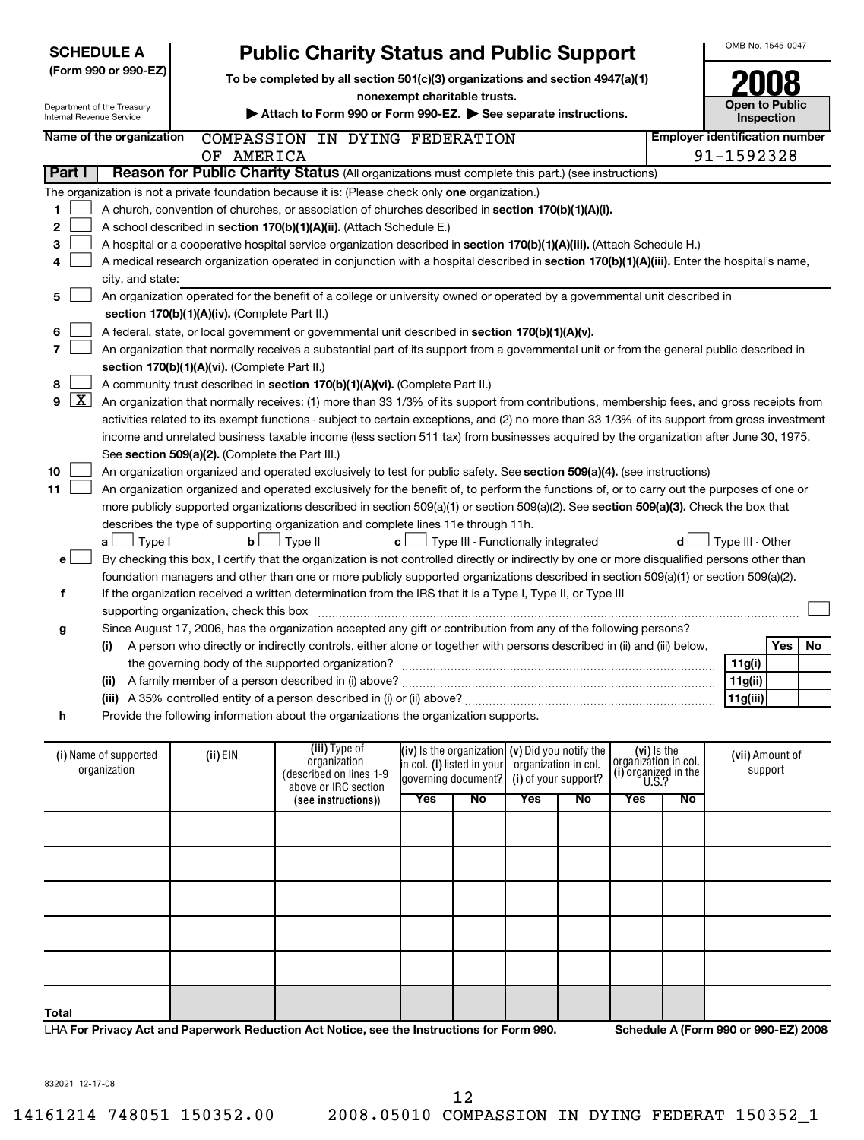| <b>SCHEDULE A</b>        |                                      |                                                 | <b>Public Charity Status and Public Support</b>                                                                                               |     |                                                     |                      |                      |                                     |    | OMB No. 1545-0047                     |            |    |
|--------------------------|--------------------------------------|-------------------------------------------------|-----------------------------------------------------------------------------------------------------------------------------------------------|-----|-----------------------------------------------------|----------------------|----------------------|-------------------------------------|----|---------------------------------------|------------|----|
| (Form 990 or 990-EZ)     |                                      |                                                 | To be completed by all section 501(c)(3) organizations and section 4947(a)(1)                                                                 |     |                                                     |                      |                      |                                     |    |                                       |            |    |
|                          | Department of the Treasury           |                                                 |                                                                                                                                               |     | nonexempt charitable trusts.                        |                      |                      |                                     |    | <b>Open to Public</b>                 |            |    |
| Internal Revenue Service |                                      |                                                 | Attach to Form 990 or Form 990-EZ. See separate instructions.                                                                                 |     |                                                     |                      |                      |                                     |    |                                       | Inspection |    |
|                          | Name of the organization             |                                                 | COMPASSION IN DYING FEDERATION                                                                                                                |     |                                                     |                      |                      |                                     |    | <b>Employer identification number</b> |            |    |
|                          |                                      | OF AMERICA                                      |                                                                                                                                               |     |                                                     |                      |                      |                                     |    | 91-1592328                            |            |    |
| Part I                   |                                      |                                                 | Reason for Public Charity Status (All organizations must complete this part.) (see instructions)                                              |     |                                                     |                      |                      |                                     |    |                                       |            |    |
|                          |                                      |                                                 | The organization is not a private foundation because it is: (Please check only one organization.)                                             |     |                                                     |                      |                      |                                     |    |                                       |            |    |
| 1                        |                                      |                                                 | A church, convention of churches, or association of churches described in section 170(b)(1)(A)(i).                                            |     |                                                     |                      |                      |                                     |    |                                       |            |    |
| 2                        |                                      |                                                 | A school described in section 170(b)(1)(A)(ii). (Attach Schedule E.)                                                                          |     |                                                     |                      |                      |                                     |    |                                       |            |    |
| 3                        |                                      |                                                 | A hospital or a cooperative hospital service organization described in section 170(b)(1)(A)(iii). (Attach Schedule H.)                        |     |                                                     |                      |                      |                                     |    |                                       |            |    |
| 4                        |                                      |                                                 | A medical research organization operated in conjunction with a hospital described in section 170(b)(1)(A)(iii). Enter the hospital's name,    |     |                                                     |                      |                      |                                     |    |                                       |            |    |
|                          | city, and state:                     |                                                 |                                                                                                                                               |     |                                                     |                      |                      |                                     |    |                                       |            |    |
| 5                        |                                      |                                                 | An organization operated for the benefit of a college or university owned or operated by a governmental unit described in                     |     |                                                     |                      |                      |                                     |    |                                       |            |    |
|                          |                                      | section 170(b)(1)(A)(iv). (Complete Part II.)   |                                                                                                                                               |     |                                                     |                      |                      |                                     |    |                                       |            |    |
| 6<br>7                   |                                      |                                                 | A federal, state, or local government or governmental unit described in section 170(b)(1)(A)(v).                                              |     |                                                     |                      |                      |                                     |    |                                       |            |    |
|                          |                                      | section 170(b)(1)(A)(vi). (Complete Part II.)   | An organization that normally receives a substantial part of its support from a governmental unit or from the general public described in     |     |                                                     |                      |                      |                                     |    |                                       |            |    |
| 8                        |                                      |                                                 | A community trust described in section 170(b)(1)(A)(vi). (Complete Part II.)                                                                  |     |                                                     |                      |                      |                                     |    |                                       |            |    |
| $\lfloor x \rfloor$<br>9 |                                      |                                                 | An organization that normally receives: (1) more than 33 1/3% of its support from contributions, membership fees, and gross receipts from     |     |                                                     |                      |                      |                                     |    |                                       |            |    |
|                          |                                      |                                                 | activities related to its exempt functions - subject to certain exceptions, and (2) no more than 33 1/3% of its support from gross investment |     |                                                     |                      |                      |                                     |    |                                       |            |    |
|                          |                                      |                                                 | income and unrelated business taxable income (less section 511 tax) from businesses acquired by the organization after June 30, 1975.         |     |                                                     |                      |                      |                                     |    |                                       |            |    |
|                          |                                      | See section 509(a)(2). (Complete the Part III.) |                                                                                                                                               |     |                                                     |                      |                      |                                     |    |                                       |            |    |
| 10                       |                                      |                                                 | An organization organized and operated exclusively to test for public safety. See section 509(a)(4). (see instructions)                       |     |                                                     |                      |                      |                                     |    |                                       |            |    |
| 11                       |                                      |                                                 | An organization organized and operated exclusively for the benefit of, to perform the functions of, or to carry out the purposes of one or    |     |                                                     |                      |                      |                                     |    |                                       |            |    |
|                          |                                      |                                                 | more publicly supported organizations described in section 509(a)(1) or section 509(a)(2). See section 509(a)(3). Check the box that          |     |                                                     |                      |                      |                                     |    |                                       |            |    |
|                          |                                      |                                                 | describes the type of supporting organization and complete lines 11e through 11h.                                                             |     |                                                     |                      |                      |                                     |    |                                       |            |    |
|                          | Type I<br>a l                        | bl                                              | Type II                                                                                                                                       | c l | Type III - Functionally integrated                  |                      |                      |                                     | d  | Type III - Other                      |            |    |
| e                        |                                      |                                                 | By checking this box, I certify that the organization is not controlled directly or indirectly by one or more disqualified persons other than |     |                                                     |                      |                      |                                     |    |                                       |            |    |
|                          |                                      |                                                 | foundation managers and other than one or more publicly supported organizations described in section 509(a)(1) or section 509(a)(2).          |     |                                                     |                      |                      |                                     |    |                                       |            |    |
| f                        |                                      |                                                 | If the organization received a written determination from the IRS that it is a Type I, Type II, or Type III                                   |     |                                                     |                      |                      |                                     |    |                                       |            |    |
|                          |                                      | supporting organization, check this box         |                                                                                                                                               |     |                                                     |                      |                      |                                     |    |                                       |            |    |
| g                        |                                      |                                                 | Since August 17, 2006, has the organization accepted any gift or contribution from any of the following persons?                              |     |                                                     |                      |                      |                                     |    |                                       |            |    |
|                          | (i)                                  |                                                 | A person who directly or indirectly controls, either alone or together with persons described in (ii) and (iii) below,                        |     |                                                     |                      |                      |                                     |    |                                       | Yes        | No |
|                          |                                      |                                                 |                                                                                                                                               |     |                                                     |                      |                      |                                     |    | 11g(i)                                |            |    |
|                          |                                      |                                                 | (ii) A family member of a person described in (i) above?                                                                                      |     |                                                     |                      |                      |                                     |    | 11g(ii)                               |            |    |
|                          |                                      |                                                 |                                                                                                                                               |     |                                                     |                      |                      |                                     |    | 11g(iii)                              |            |    |
| h                        |                                      |                                                 | Provide the following information about the organizations the organization supports.                                                          |     |                                                     |                      |                      |                                     |    |                                       |            |    |
|                          |                                      |                                                 |                                                                                                                                               |     |                                                     |                      |                      |                                     |    |                                       |            |    |
|                          | (i) Name of supported                | $(ii)$ EIN                                      | (iii) Type of<br>organization                                                                                                                 |     | $(iv)$ is the organization $(v)$ Did you notify the |                      |                      | (vi) is the<br>organizátion in col. |    | (vii) Amount of                       |            |    |
|                          | organization                         |                                                 | (described on lines 1-9                                                                                                                       |     | in col. (i) listed in your<br>laovernina document?l | organization in col. | (i) of your support? | (i) organized in the                |    |                                       | support    |    |
|                          | <b>U.S.?</b><br>above or IRC section |                                                 |                                                                                                                                               |     |                                                     |                      |                      |                                     |    |                                       |            |    |
|                          |                                      |                                                 | (see instructions))                                                                                                                           | Yes | No                                                  | <b>Yes</b>           | No                   | Yes                                 | No |                                       |            |    |
|                          |                                      |                                                 |                                                                                                                                               |     |                                                     |                      |                      |                                     |    |                                       |            |    |
|                          |                                      |                                                 |                                                                                                                                               |     |                                                     |                      |                      |                                     |    |                                       |            |    |
|                          |                                      |                                                 |                                                                                                                                               |     |                                                     |                      |                      |                                     |    |                                       |            |    |
|                          |                                      |                                                 |                                                                                                                                               |     |                                                     |                      |                      |                                     |    |                                       |            |    |
|                          |                                      |                                                 |                                                                                                                                               |     |                                                     |                      |                      |                                     |    |                                       |            |    |
|                          |                                      |                                                 |                                                                                                                                               |     |                                                     |                      |                      |                                     |    |                                       |            |    |
|                          |                                      |                                                 |                                                                                                                                               |     |                                                     |                      |                      |                                     |    |                                       |            |    |

| Total                                                                                     |  |  |  |
|-------------------------------------------------------------------------------------------|--|--|--|
| LHA For Privacy Act and Paperwork Reduction Act Notice, see the Instructions for Form 990 |  |  |  |

LHA **For Privacy Act and Paperwork Reduction Act Notice, see the Instructions for Form 990. Schedule A (Form 990 or 990-EZ) 2008**

832021 12-17-08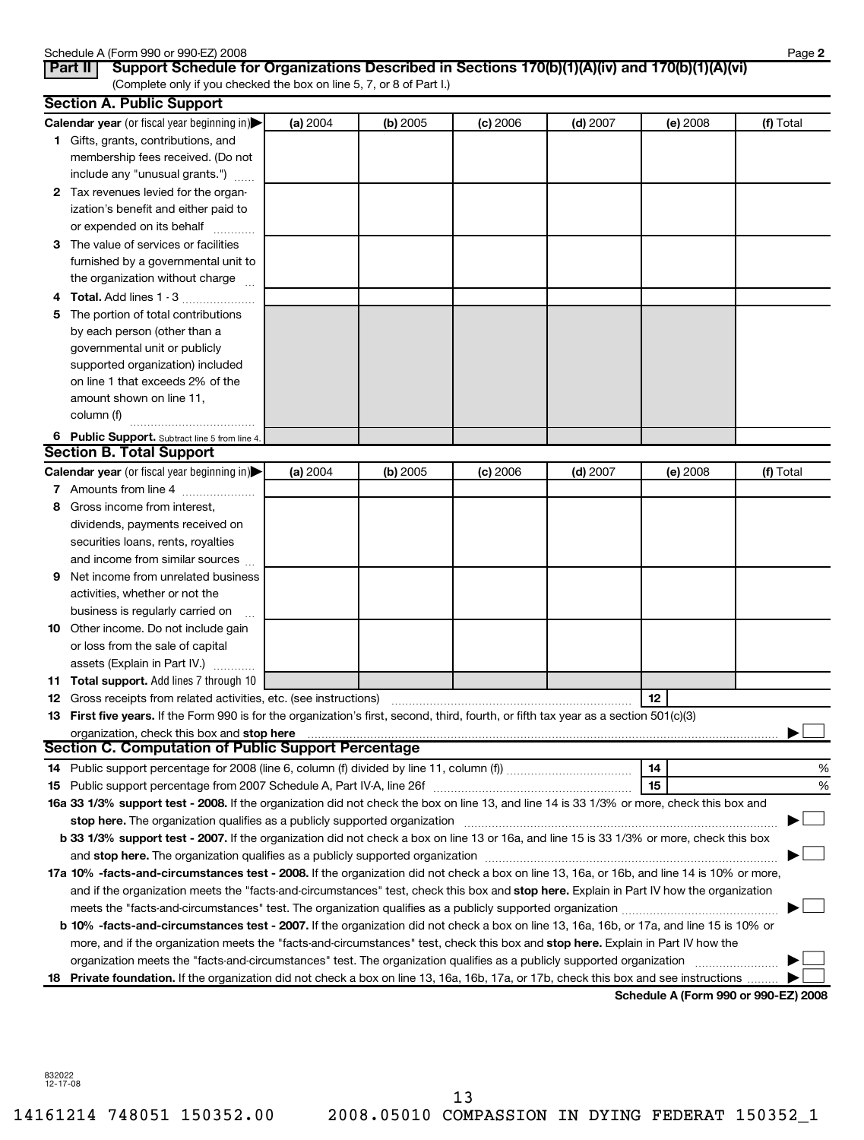|              | Schedule A (Form 990 or 990-EZ) 2008                                                                                                                                                                                           |          |          |          |            |          | Page 2                               |
|--------------|--------------------------------------------------------------------------------------------------------------------------------------------------------------------------------------------------------------------------------|----------|----------|----------|------------|----------|--------------------------------------|
|              | Support Schedule for Organizations Described in Sections 170(b)(1)(A)(iv) and 170(b)(1)(A)(vi)<br>Part II<br>(Complete only if you checked the box on line 5, 7, or 8 of Part I.)                                              |          |          |          |            |          |                                      |
|              | <b>Section A. Public Support</b>                                                                                                                                                                                               |          |          |          |            |          |                                      |
|              | Calendar year (or fiscal year beginning in)                                                                                                                                                                                    | (a) 2004 | (b) 2005 | (c) 2006 | $(d)$ 2007 | (e) 2008 | (f) Total                            |
|              | 1 Gifts, grants, contributions, and                                                                                                                                                                                            |          |          |          |            |          |                                      |
|              | membership fees received. (Do not                                                                                                                                                                                              |          |          |          |            |          |                                      |
|              | include any "unusual grants.")                                                                                                                                                                                                 |          |          |          |            |          |                                      |
| $\mathbf{2}$ | Tax revenues levied for the organ-                                                                                                                                                                                             |          |          |          |            |          |                                      |
|              | ization's benefit and either paid to                                                                                                                                                                                           |          |          |          |            |          |                                      |
|              | or expended on its behalf                                                                                                                                                                                                      |          |          |          |            |          |                                      |
| З            | The value of services or facilities                                                                                                                                                                                            |          |          |          |            |          |                                      |
|              | furnished by a governmental unit to                                                                                                                                                                                            |          |          |          |            |          |                                      |
|              | the organization without charge                                                                                                                                                                                                |          |          |          |            |          |                                      |
| 4            | <b>Total.</b> Add lines 1 - 3                                                                                                                                                                                                  |          |          |          |            |          |                                      |
| 5            | The portion of total contributions                                                                                                                                                                                             |          |          |          |            |          |                                      |
|              | by each person (other than a                                                                                                                                                                                                   |          |          |          |            |          |                                      |
|              | governmental unit or publicly                                                                                                                                                                                                  |          |          |          |            |          |                                      |
|              | supported organization) included                                                                                                                                                                                               |          |          |          |            |          |                                      |
|              | on line 1 that exceeds 2% of the                                                                                                                                                                                               |          |          |          |            |          |                                      |
|              | amount shown on line 11,                                                                                                                                                                                                       |          |          |          |            |          |                                      |
|              | column (f)                                                                                                                                                                                                                     |          |          |          |            |          |                                      |
|              | 6 Public Support. Subtract line 5 from line 4.                                                                                                                                                                                 |          |          |          |            |          |                                      |
|              | <b>Section B. Total Support</b>                                                                                                                                                                                                |          |          |          |            |          |                                      |
|              | Calendar year (or fiscal year beginning in)                                                                                                                                                                                    | (a) 2004 | (b) 2005 | (c) 2006 | $(d)$ 2007 | (e) 2008 | (f) Total                            |
|              | 7 Amounts from line 4                                                                                                                                                                                                          |          |          |          |            |          |                                      |
| 8            | Gross income from interest,                                                                                                                                                                                                    |          |          |          |            |          |                                      |
|              | dividends, payments received on                                                                                                                                                                                                |          |          |          |            |          |                                      |
|              | securities loans, rents, royalties                                                                                                                                                                                             |          |          |          |            |          |                                      |
|              | and income from similar sources                                                                                                                                                                                                |          |          |          |            |          |                                      |
| 9            | Net income from unrelated business                                                                                                                                                                                             |          |          |          |            |          |                                      |
|              | activities, whether or not the                                                                                                                                                                                                 |          |          |          |            |          |                                      |
|              | business is regularly carried on<br>$\mathbf{r}$                                                                                                                                                                               |          |          |          |            |          |                                      |
|              | <b>10</b> Other income. Do not include gain                                                                                                                                                                                    |          |          |          |            |          |                                      |
|              | or loss from the sale of capital                                                                                                                                                                                               |          |          |          |            |          |                                      |
|              | assets (Explain in Part IV.)                                                                                                                                                                                                   |          |          |          |            |          |                                      |
|              | 11 Total support. Add lines 7 through 10                                                                                                                                                                                       |          |          |          |            |          |                                      |
|              |                                                                                                                                                                                                                                |          |          |          |            |          |                                      |
|              | 13 First five years. If the Form 990 is for the organization's first, second, third, fourth, or fifth tax year as a section 501(c)(3)                                                                                          |          |          |          |            |          |                                      |
|              | organization, check this box and stop here material content to the content of the state of the content of the content of the content of the content of the content of the content of the content of the content of the content |          |          |          |            |          |                                      |
|              | <b>Section C. Computation of Public Support Percentage</b>                                                                                                                                                                     |          |          |          |            |          |                                      |
|              |                                                                                                                                                                                                                                |          |          |          |            | 14       | %                                    |
| 15           |                                                                                                                                                                                                                                |          |          |          |            | 15       | %                                    |
|              | 16a 33 1/3% support test - 2008. If the organization did not check the box on line 13, and line 14 is 33 1/3% or more, check this box and                                                                                      |          |          |          |            |          |                                      |
|              |                                                                                                                                                                                                                                |          |          |          |            |          |                                      |
|              | b 33 1/3% support test - 2007. If the organization did not check a box on line 13 or 16a, and line 15 is 33 1/3% or more, check this box                                                                                       |          |          |          |            |          |                                      |
|              |                                                                                                                                                                                                                                |          |          |          |            |          |                                      |
|              | 17a 10% -facts-and-circumstances test - 2008. If the organization did not check a box on line 13, 16a, or 16b, and line 14 is 10% or more,                                                                                     |          |          |          |            |          |                                      |
|              | and if the organization meets the "facts-and-circumstances" test, check this box and stop here. Explain in Part IV how the organization                                                                                        |          |          |          |            |          |                                      |
|              |                                                                                                                                                                                                                                |          |          |          |            |          |                                      |
|              | <b>b 10%</b> -facts-and-circumstances test - 2007. If the organization did not check a box on line 13, 16a, 16b, or 17a, and line 15 is 10% or                                                                                 |          |          |          |            |          |                                      |
|              | more, and if the organization meets the "facts-and-circumstances" test, check this box and stop here. Explain in Part IV how the                                                                                               |          |          |          |            |          |                                      |
|              |                                                                                                                                                                                                                                |          |          |          |            |          |                                      |
|              | 18 Private foundation. If the organization did not check a box on line 13, 16a, 16b, 17a, or 17b, check this box and see instructions                                                                                          |          |          |          |            |          | Schodule A (Form 000 or 000 EZ) 2008 |

**Schedule A (Form 990 or 990-EZ) 2008**

832022 12-17-08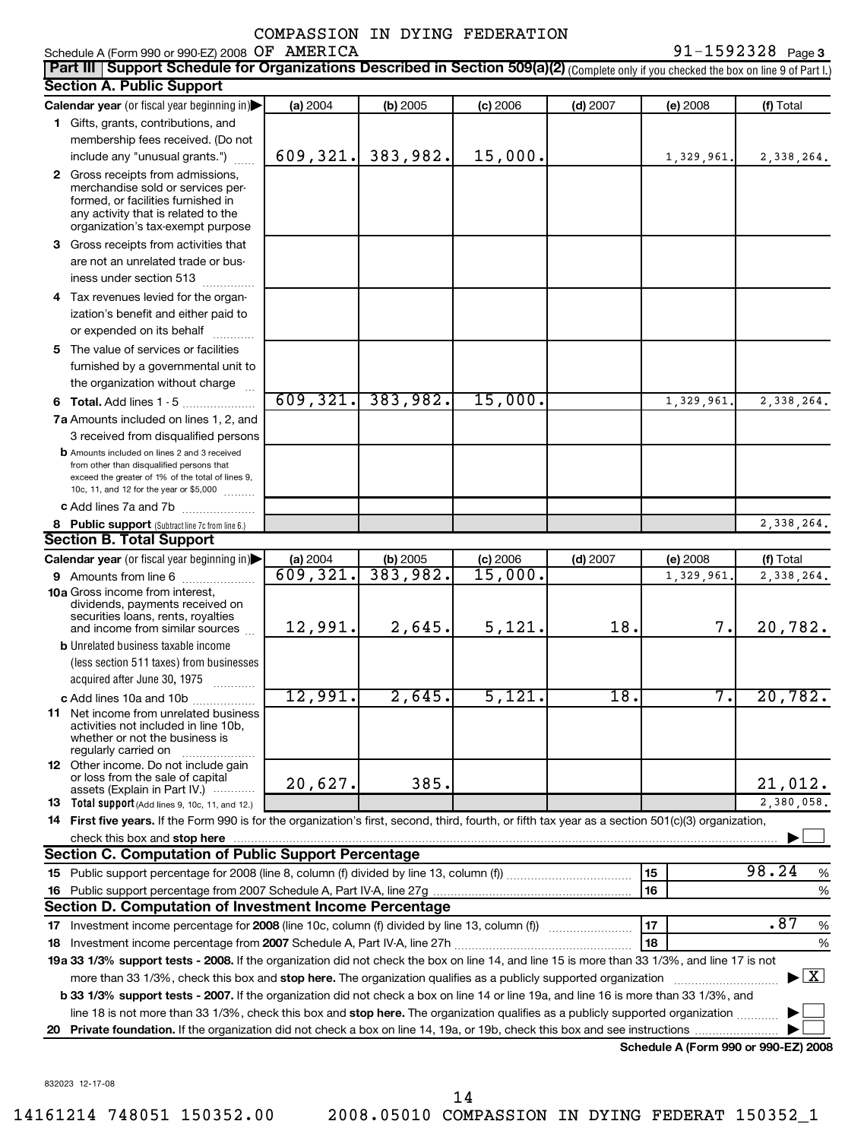Schedule A (Form 990 or 990-EZ) 2008 OF AMERICA

**Part III** | Support Schedule for Organizations Described in Section 509(a)(2) (Complete only if you checked the box on line 9 of Part I.) **Section A. Public Support Calendar year** (or fiscal year beginning in)| **(a)** 2004 **(b)** 2005 **(c)** 2006 **(d)** 2007 **(e)** 2008 **(f)** Total **1** Gifts, grants, contributions, and **2** Gross receipts from admissions, **3** Gross receipts from activities that **4** Tax revenues levied for the organ-**5** The value of services or facilities **6 Total.** Add lines 1 - 5 .................... **7 a** Amounts included on lines 1, 2, and membership fees received. (Do not  $include$  any "unusual grants.")  $\ldots$ merchandise sold or services performed, or facilities furnished in any activity that is related to the organization's tax-exempt purpose are not an unrelated trade or business under section 513  $\ldots$  $\ldots$ ization's benefit and either paid to or expended on its behalf ............ furnished by a governmental unit to the organization without charge 3 received from disqualified persons **b** Amounts included on lines 2 and 3 received from other than disqualified persons that  $91 - 1592328$  Page 3 609,321. 383,982. 15,000. 1,329,961. 2,338,264. 609,321. 383,982. 15,000. 1,329,961. 2,338,264.

|    | from other than disqualified persons that<br>exceed the greater of 1% of the total of lines 9,                                                                                                                                      |          |            |          |            |            |                                          |  |  |
|----|-------------------------------------------------------------------------------------------------------------------------------------------------------------------------------------------------------------------------------------|----------|------------|----------|------------|------------|------------------------------------------|--|--|
|    | 10c, 11, and 12 for the year or \$5,000                                                                                                                                                                                             |          |            |          |            |            |                                          |  |  |
|    | c Add lines 7a and 7b $\ldots$                                                                                                                                                                                                      |          |            |          |            |            |                                          |  |  |
|    | 8 Public support (Subtract line 7c from line 6.)                                                                                                                                                                                    |          |            |          |            |            | 2,338,264.                               |  |  |
|    | <b>Section B. Total Support</b>                                                                                                                                                                                                     |          |            |          |            |            |                                          |  |  |
|    | <b>Calendar year</b> (or fiscal year beginning in)                                                                                                                                                                                  | (a) 2004 | $(b)$ 2005 | (c) 2006 | $(d)$ 2007 | (e) 2008   | (f) Total                                |  |  |
|    | <b>9</b> Amounts from line 6                                                                                                                                                                                                        | 609,321. | 383,982.   | 15,000.  |            | 1,329,961. | 2,338,264.                               |  |  |
|    | <b>10a Gross income from interest.</b><br>dividends, payments received on<br>securities loans, rents, royalties<br>and income from similar sources                                                                                  | 12,991.  | 2,645.     | 5,121.   | 18.        | 7.         | 20,782.                                  |  |  |
|    | <b>b</b> Unrelated business taxable income                                                                                                                                                                                          |          |            |          |            |            |                                          |  |  |
|    | (less section 511 taxes) from businesses                                                                                                                                                                                            |          |            |          |            |            |                                          |  |  |
|    | acquired after June 30, 1975                                                                                                                                                                                                        |          |            |          |            |            |                                          |  |  |
|    | c Add lines 10a and 10b                                                                                                                                                                                                             | 12,991.  | 2,645.     | 5,121.   | 18.        | 7.         | 20, 782.                                 |  |  |
|    | 11 Net income from unrelated business<br>activities not included in line 10b.<br>whether or not the business is<br>regularly carried on                                                                                             |          |            |          |            |            |                                          |  |  |
|    | 12 Other income. Do not include gain<br>or loss from the sale of capital<br>assets (Explain in Part IV.)                                                                                                                            | 20,627.  | 385.       |          |            |            | 21,012.                                  |  |  |
|    | 13 Total support (Add lines 9, 10c, 11, and 12.)                                                                                                                                                                                    |          |            |          |            |            | 2,380,058.                               |  |  |
|    | 14 First five years. If the Form 990 is for the organization's first, second, third, fourth, or fifth tax year as a section 501(c)(3) organization,                                                                                 |          |            |          |            |            |                                          |  |  |
|    | check this box and stop here <i>machine and stop here</i> and stop here and stop here and stop here and stop here and stop here and stop here and stop here and stop here and stop here and stop here and stop here and stop here a |          |            |          |            |            |                                          |  |  |
|    | <b>Section C. Computation of Public Support Percentage</b>                                                                                                                                                                          |          |            |          |            |            |                                          |  |  |
| 15 |                                                                                                                                                                                                                                     |          |            |          |            | 15         | 98.24<br>%                               |  |  |
| 16 |                                                                                                                                                                                                                                     |          |            |          |            | 16         | %                                        |  |  |
|    | Section D. Computation of Investment Income Percentage                                                                                                                                                                              |          |            |          |            |            |                                          |  |  |
| 17 |                                                                                                                                                                                                                                     |          |            |          |            | 17         | .87<br>%                                 |  |  |
| 18 |                                                                                                                                                                                                                                     |          |            |          |            | 18         | %                                        |  |  |
|    | 19a 33 1/3% support tests - 2008. If the organization did not check the box on line 14, and line 15 is more than 33 1/3%, and line 17 is not                                                                                        |          |            |          |            |            |                                          |  |  |
|    | more than 33 1/3%, check this box and stop here. The organization qualifies as a publicly supported organization <i>manameroman</i> management                                                                                      |          |            |          |            |            | $\blacktriangleright$ $\boxed{\text{X}}$ |  |  |
|    | b 33 1/3% support tests - 2007. If the organization did not check a box on line 14 or line 19a, and line 16 is more than 33 1/3%, and                                                                                               |          |            |          |            |            |                                          |  |  |
|    | line 18 is not more than 33 1/3%, check this box and stop here. The organization qualifies as a publicly supported organization                                                                                                     |          |            |          |            |            |                                          |  |  |
|    |                                                                                                                                                                                                                                     |          |            |          |            |            |                                          |  |  |

**Schedule A (Form 990 or 990-EZ) 2008**

832023 12-17-08

14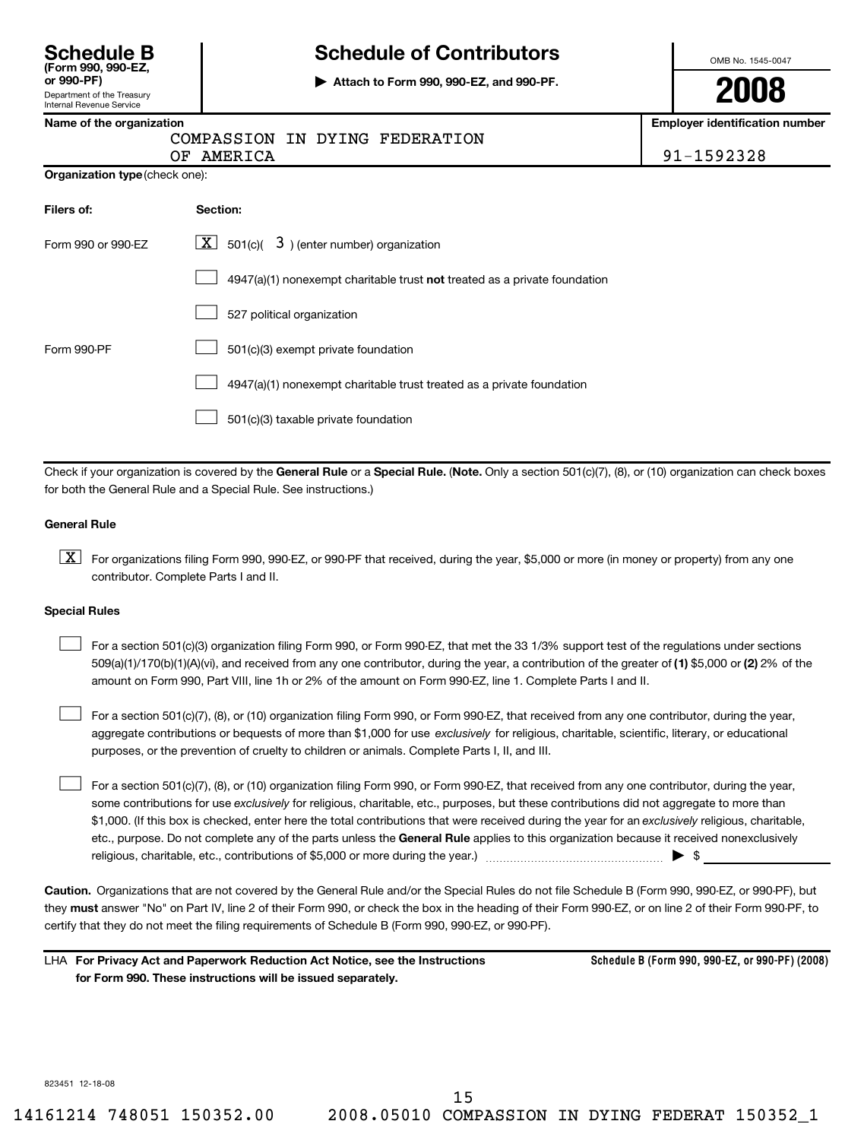| <b>Schedule B</b>  |  |
|--------------------|--|
| (Form 990, 990-EZ, |  |

Department of the Treasury<br>Internal Revenue Service

# **Schedule B Schedule of Contributors** (Form 990, 990-EZ, and 990-PF)<br>
omb No. 1545-0047<br>
or 990-PF)

**or 990-PF)**<br>Department of the Treasury **1990-PF.**<br>Internal Revenue Service **2008** 

**Name of the organization Employer identification number**

## COMPASSION IN DYING FEDERATION

OF AMERICA 91-1592328

**Organization type**(check one):

| Filers of:         | <b>Section:</b>                                                           |
|--------------------|---------------------------------------------------------------------------|
| Form 990 or 990-FZ | $\lfloor \underline{X} \rfloor$ 501(c)( 3) (enter number) organization    |
|                    | 4947(a)(1) nonexempt charitable trust not treated as a private foundation |
|                    | 527 political organization                                                |
| Form 990-PF        | 501(c)(3) exempt private foundation                                       |
|                    | 4947(a)(1) nonexempt charitable trust treated as a private foundation     |
|                    | 501(c)(3) taxable private foundation                                      |

Check if your organization is covered by the **General Rule** or a **Special Rule.** (**Note.** Only a section 501(c)(7), (8), or (10) organization can check boxes for both the General Rule and a Special Rule. See instructions.)

### **General Rule**

 $\boxed{\textbf{X}}$  For organizations filing Form 990, 990-EZ, or 990-PF that received, during the year, \$5,000 or more (in money or property) from any one contributor. Complete Parts I and II.

### **Special Rules**

 $\Box$ For a section 501(c)(3) organization filing Form 990, or Form 990-EZ, that met the 33 1/3% support test of the regulations under sections 509(a)(1)/170(b)(1)(A)(vi), and received from any one contributor, during the year, a contribution of the greater of **(1)** \$5,000 or **(2)** 2% of the amount on Form 990, Part VIII, line 1h or 2% of the amount on Form 990-EZ, line 1. Complete Parts I and II.

 $\Box$ For a section 501(c)(7), (8), or (10) organization filing Form 990, or Form 990-EZ, that received from any one contributor, during the year, aggregate contributions or bequests of more than \$1,000 for use *exclusively* for religious, charitable, scientific, literary, or educational purposes, or the prevention of cruelty to children or animals. Complete Parts I, II, and III.

 $\Box$ For a section 501(c)(7), (8), or (10) organization filing Form 990, or Form 990-EZ, that received from any one contributor, during the year, some contributions for use *exclusively* for religious, charitable, etc., purposes, but these contributions did not aggregate to more than \$1,000. (If this box is checked, enter here the total contributions that were received during the year for an *exclusively* religious, charitable, etc., purpose. Do not complete any of the parts unless the **General Rule** applies to this organization because it received nonexclusively religious, charitable, etc., contributions of \$5,000 or more during the year.)  $\ldots$  $\ldots$  $\ldots$  $\ldots$  $\ldots$  $\ldots$  $\ldots$ 

**Caution.** Organizations that are not covered by the General Rule and/or the Special Rules do not file Schedule B (Form 990, 990-EZ, or 990-PF), but they **must** answer "No" on Part IV, line 2 of their Form 990, or check the box in the heading of their Form 990-EZ, or on line 2 of their Form 990-PF, to certify that they do not meet the filing requirements of Schedule B (Form 990, 990-EZ, or 990-PF).

LHA **For Privacy Act and Paperwork Reduction Act Notice, see the Instructions for Form 990. These instructions will be issued separately. Schedule B (Form 990, 990-EZ, or 990-PF) (2008)**

823451 12-18-08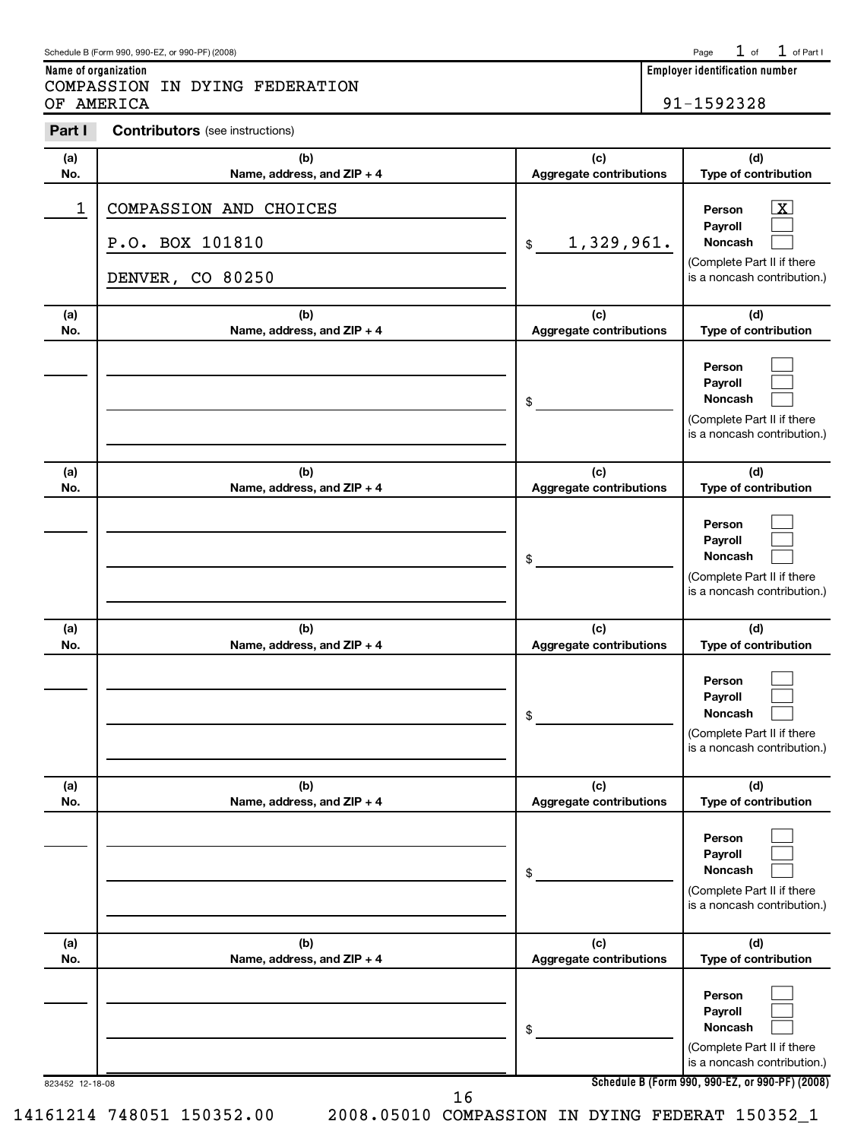**Name of organization Employer identification number**

OF AMERICA 91-1592328

# **Part I Contributors** (see instructions)

COMPASSION IN DYING FEDERATION

| Aggregate contributions<br>No.<br>Name, address, and ZIP + 4<br>COMPASSION AND CHOICES<br>1<br>Person<br>Payroll<br>P.O. BOX 101810<br>1,329,961.<br>Noncash<br>\$<br>DENVER, CO 80250<br>(c)<br>(b)<br>(a)<br>No.<br>Name, address, and ZIP + 4<br>Aggregate contributions<br>Person<br>Payroll<br>Noncash<br>\$<br>(c)<br>(b)<br>(a)<br>No.<br>Name, address, and ZIP + 4<br>Aggregate contributions<br>Person<br>Payroll<br>Noncash<br>\$<br>(c)<br>(b)<br>(a)<br>No.<br>Name, address, and ZIP + 4<br>Aggregate contributions<br>Person<br>Payroll<br>Noncash<br>\$<br>(b)<br>(c)<br>(a)<br>Aggregate contributions<br>No.<br>Name, address, and ZIP + 4<br>Person<br>Payroll<br>Noncash<br>\$<br>(c)<br>(b)<br>(a)<br>No.<br>Name, address, and ZIP + 4<br>Aggregate contributions | (a) | (b) | (c) | (d)                                                                               |
|-----------------------------------------------------------------------------------------------------------------------------------------------------------------------------------------------------------------------------------------------------------------------------------------------------------------------------------------------------------------------------------------------------------------------------------------------------------------------------------------------------------------------------------------------------------------------------------------------------------------------------------------------------------------------------------------------------------------------------------------------------------------------------------------|-----|-----|-----|-----------------------------------------------------------------------------------|
|                                                                                                                                                                                                                                                                                                                                                                                                                                                                                                                                                                                                                                                                                                                                                                                         |     |     |     | Type of contribution                                                              |
|                                                                                                                                                                                                                                                                                                                                                                                                                                                                                                                                                                                                                                                                                                                                                                                         |     |     |     | $\lfloor x \rfloor$<br>(Complete Part II if there<br>is a noncash contribution.)  |
|                                                                                                                                                                                                                                                                                                                                                                                                                                                                                                                                                                                                                                                                                                                                                                                         |     |     |     | (d)                                                                               |
|                                                                                                                                                                                                                                                                                                                                                                                                                                                                                                                                                                                                                                                                                                                                                                                         |     |     |     | Type of contribution<br>(Complete Part II if there<br>is a noncash contribution.) |
|                                                                                                                                                                                                                                                                                                                                                                                                                                                                                                                                                                                                                                                                                                                                                                                         |     |     |     | (d)<br>Type of contribution                                                       |
|                                                                                                                                                                                                                                                                                                                                                                                                                                                                                                                                                                                                                                                                                                                                                                                         |     |     |     | (Complete Part II if there<br>is a noncash contribution.)                         |
|                                                                                                                                                                                                                                                                                                                                                                                                                                                                                                                                                                                                                                                                                                                                                                                         |     |     |     | (d)<br>Type of contribution                                                       |
|                                                                                                                                                                                                                                                                                                                                                                                                                                                                                                                                                                                                                                                                                                                                                                                         |     |     |     | (Complete Part II if there<br>is a noncash contribution.)                         |
|                                                                                                                                                                                                                                                                                                                                                                                                                                                                                                                                                                                                                                                                                                                                                                                         |     |     |     | (d)<br>Type of contribution                                                       |
|                                                                                                                                                                                                                                                                                                                                                                                                                                                                                                                                                                                                                                                                                                                                                                                         |     |     |     | (Complete Part II if there<br>is a noncash contribution.)                         |
|                                                                                                                                                                                                                                                                                                                                                                                                                                                                                                                                                                                                                                                                                                                                                                                         |     |     |     | (d)<br>Type of contribution                                                       |
| Person<br>Payroll<br>Noncash<br>\$<br>Schedule B (Form 990, 990-EZ, or 990-PF) (2008)<br>823452 12-18-08                                                                                                                                                                                                                                                                                                                                                                                                                                                                                                                                                                                                                                                                                |     |     |     | (Complete Part II if there<br>is a noncash contribution.)                         |

16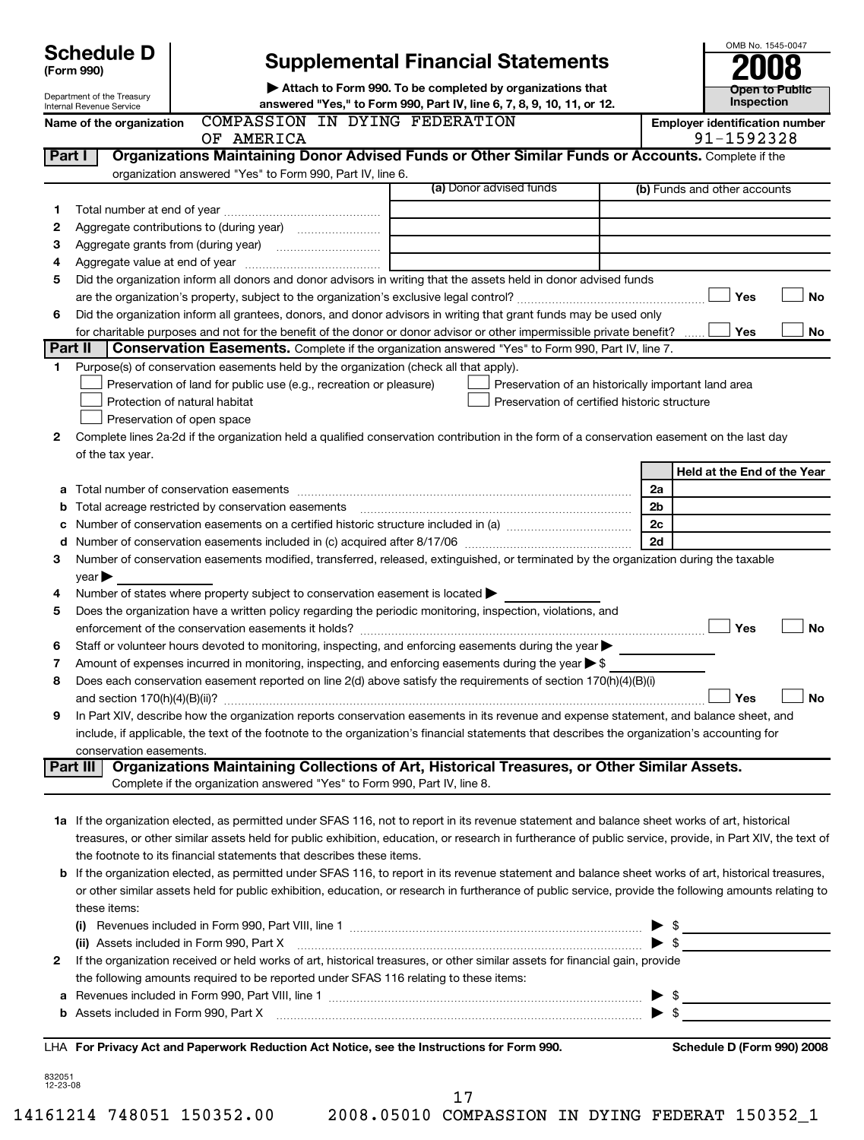|              | <b>Schedule D</b>          |                                                                                                                                                                                                                               |  |                                                     |          | OMB No. 1545-0047                                   |           |
|--------------|----------------------------|-------------------------------------------------------------------------------------------------------------------------------------------------------------------------------------------------------------------------------|--|-----------------------------------------------------|----------|-----------------------------------------------------|-----------|
|              | (Form 990)                 | <b>Supplemental Financial Statements</b>                                                                                                                                                                                      |  |                                                     |          |                                                     |           |
|              | Department of the Treasury | Attach to Form 990. To be completed by organizations that                                                                                                                                                                     |  | <b>Open to Public</b>                               |          |                                                     |           |
|              | Internal Revenue Service   | answered "Yes," to Form 990, Part IV, line 6, 7, 8, 9, 10, 11, or 12.                                                                                                                                                         |  |                                                     |          | Inspection                                          |           |
|              | Name of the organization   | COMPASSION IN DYING FEDERATION<br>OF AMERICA                                                                                                                                                                                  |  |                                                     |          | <b>Employer identification number</b><br>91-1592328 |           |
| Part I       |                            | Organizations Maintaining Donor Advised Funds or Other Similar Funds or Accounts. Complete if the                                                                                                                             |  |                                                     |          |                                                     |           |
|              |                            | organization answered "Yes" to Form 990, Part IV, line 6.                                                                                                                                                                     |  |                                                     |          |                                                     |           |
|              |                            |                                                                                                                                                                                                                               |  | (a) Donor advised funds                             |          | (b) Funds and other accounts                        |           |
| 1            |                            |                                                                                                                                                                                                                               |  |                                                     |          |                                                     |           |
| 2            |                            |                                                                                                                                                                                                                               |  |                                                     |          |                                                     |           |
| з            |                            |                                                                                                                                                                                                                               |  |                                                     |          |                                                     |           |
| 4<br>5       |                            | Did the organization inform all donors and donor advisors in writing that the assets held in donor advised funds                                                                                                              |  |                                                     |          |                                                     |           |
|              |                            |                                                                                                                                                                                                                               |  |                                                     |          | Yes                                                 | <b>No</b> |
| 6            |                            | Did the organization inform all grantees, donors, and donor advisors in writing that grant funds may be used only                                                                                                             |  |                                                     |          |                                                     |           |
|              |                            | for charitable purposes and not for the benefit of the donor or donor advisor or other impermissible private benefit?                                                                                                         |  |                                                     |          | Yes                                                 | <b>No</b> |
| Part II      |                            | <b>Conservation Easements.</b> Complete if the organization answered "Yes" to Form 990, Part IV, line 7.                                                                                                                      |  |                                                     |          |                                                     |           |
| 1.           |                            | Purpose(s) of conservation easements held by the organization (check all that apply).                                                                                                                                         |  |                                                     |          |                                                     |           |
|              |                            | Preservation of land for public use (e.g., recreation or pleasure)                                                                                                                                                            |  | Preservation of an historically important land area |          |                                                     |           |
|              |                            | Protection of natural habitat                                                                                                                                                                                                 |  | Preservation of certified historic structure        |          |                                                     |           |
|              |                            | Preservation of open space                                                                                                                                                                                                    |  |                                                     |          |                                                     |           |
| $\mathbf{2}$ |                            | Complete lines 2a-2d if the organization held a qualified conservation contribution in the form of a conservation easement on the last day                                                                                    |  |                                                     |          |                                                     |           |
|              | of the tax year.           |                                                                                                                                                                                                                               |  |                                                     |          |                                                     |           |
|              |                            |                                                                                                                                                                                                                               |  |                                                     |          | Held at the End of the Year                         |           |
| а<br>b       |                            | Total number of conservation easements<br>Total acreage restricted by conservation easements                                                                                                                                  |  |                                                     | 2a<br>2b |                                                     |           |
| c            |                            |                                                                                                                                                                                                                               |  |                                                     | 2c       |                                                     |           |
| d            |                            |                                                                                                                                                                                                                               |  |                                                     | 2d       |                                                     |           |
| 3            |                            | Number of conservation easements modified, transferred, released, extinguished, or terminated by the organization during the taxable                                                                                          |  |                                                     |          |                                                     |           |
|              | year                       |                                                                                                                                                                                                                               |  |                                                     |          |                                                     |           |
| 4            |                            | Number of states where property subject to conservation easement is located >                                                                                                                                                 |  |                                                     |          |                                                     |           |
| 5            |                            | Does the organization have a written policy regarding the periodic monitoring, inspection, violations, and                                                                                                                    |  |                                                     |          |                                                     |           |
|              |                            | enforcement of the conservation easements it holds?                                                                                                                                                                           |  |                                                     |          | Yes                                                 | <b>No</b> |
| 6            |                            | Staff or volunteer hours devoted to monitoring, inspecting, and enforcing easements during the year                                                                                                                           |  |                                                     |          |                                                     |           |
| 7            |                            | Amount of expenses incurred in monitoring, inspecting, and enforcing easements during the year $\blacktriangleright$ \$                                                                                                       |  |                                                     |          |                                                     |           |
| 8            |                            | Does each conservation easement reported on line 2(d) above satisfy the requirements of section 170(h)(4)(B)(i)                                                                                                               |  |                                                     |          |                                                     |           |
|              |                            | In Part XIV, describe how the organization reports conservation easements in its revenue and expense statement, and balance sheet, and                                                                                        |  |                                                     |          | Yes                                                 | No        |
| 9            |                            | include, if applicable, the text of the footnote to the organization's financial statements that describes the organization's accounting for                                                                                  |  |                                                     |          |                                                     |           |
|              | conservation easements.    |                                                                                                                                                                                                                               |  |                                                     |          |                                                     |           |
|              | Part III                   | Organizations Maintaining Collections of Art, Historical Treasures, or Other Similar Assets.                                                                                                                                  |  |                                                     |          |                                                     |           |
|              |                            | Complete if the organization answered "Yes" to Form 990, Part IV, line 8.                                                                                                                                                     |  |                                                     |          |                                                     |           |
|              |                            |                                                                                                                                                                                                                               |  |                                                     |          |                                                     |           |
|              |                            | 1a If the organization elected, as permitted under SFAS 116, not to report in its revenue statement and balance sheet works of art, historical                                                                                |  |                                                     |          |                                                     |           |
|              |                            | treasures, or other similar assets held for public exhibition, education, or research in furtherance of public service, provide, in Part XIV, the text of                                                                     |  |                                                     |          |                                                     |           |
|              |                            | the footnote to its financial statements that describes these items.                                                                                                                                                          |  |                                                     |          |                                                     |           |
|              |                            | b If the organization elected, as permitted under SFAS 116, to report in its revenue statement and balance sheet works of art, historical treasures,                                                                          |  |                                                     |          |                                                     |           |
|              |                            | or other similar assets held for public exhibition, education, or research in furtherance of public service, provide the following amounts relating to                                                                        |  |                                                     |          |                                                     |           |
|              | these items:               |                                                                                                                                                                                                                               |  |                                                     |          | -\$                                                 |           |
|              |                            | (ii) Assets included in Form 990, Part X                                                                                                                                                                                      |  |                                                     |          | - \$                                                |           |
| 2            |                            | If the organization received or held works of art, historical treasures, or other similar assets for financial gain, provide                                                                                                  |  |                                                     |          |                                                     |           |
|              |                            | the following amounts required to be reported under SFAS 116 relating to these items:                                                                                                                                         |  |                                                     |          |                                                     |           |
| а            |                            |                                                                                                                                                                                                                               |  |                                                     |          |                                                     |           |
| b            |                            | Assets included in Form 990, Part X [11] manufactured in the set of the Section of the Section of the Section of the Section of the Section of the Section of the Section of the Section of the Section of the Section of the |  |                                                     |          |                                                     |           |
|              |                            |                                                                                                                                                                                                                               |  |                                                     |          |                                                     |           |
|              |                            | LHA For Privacy Act and Paperwork Reduction Act Notice, see the Instructions for Form 990.                                                                                                                                    |  |                                                     |          | Schedule D (Form 990) 2008                          |           |

832051 12-23-08

17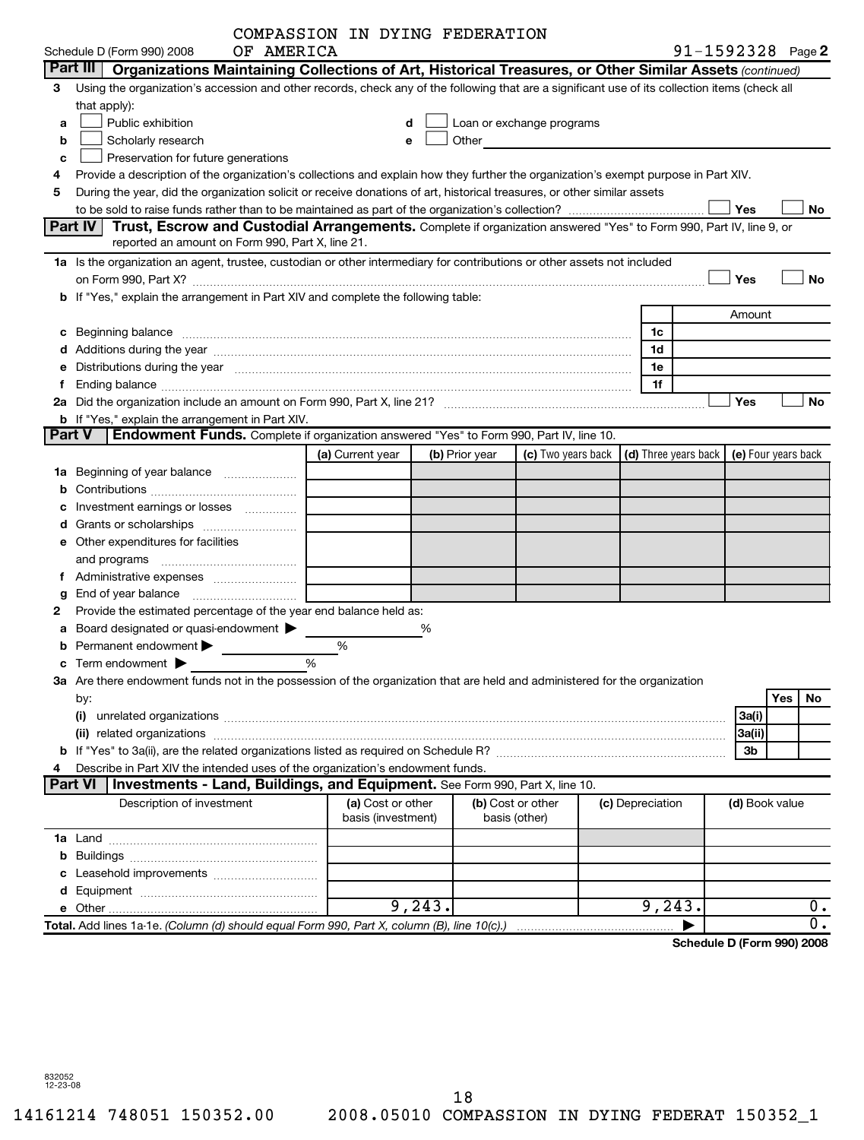|    |                                                                                                                                                                                                                                | COMPASSION IN DYING FEDERATION          |         |                |                                                                                                                                                                                                                                |                      |                       |                     |     |           |
|----|--------------------------------------------------------------------------------------------------------------------------------------------------------------------------------------------------------------------------------|-----------------------------------------|---------|----------------|--------------------------------------------------------------------------------------------------------------------------------------------------------------------------------------------------------------------------------|----------------------|-----------------------|---------------------|-----|-----------|
|    | OF AMERICA<br>Schedule D (Form 990) 2008                                                                                                                                                                                       |                                         |         |                |                                                                                                                                                                                                                                |                      | $91 - 1592328$ Page 2 |                     |     |           |
|    | Part III   Organizations Maintaining Collections of Art, Historical Treasures, or Other Similar Assets (continued)                                                                                                             |                                         |         |                |                                                                                                                                                                                                                                |                      |                       |                     |     |           |
| 3  | Using the organization's accession and other records, check any of the following that are a significant use of its collection items (check all                                                                                 |                                         |         |                |                                                                                                                                                                                                                                |                      |                       |                     |     |           |
|    | that apply):                                                                                                                                                                                                                   |                                         |         |                |                                                                                                                                                                                                                                |                      |                       |                     |     |           |
| a  | Public exhibition                                                                                                                                                                                                              |                                         |         |                | Loan or exchange programs                                                                                                                                                                                                      |                      |                       |                     |     |           |
| b  | Scholarly research                                                                                                                                                                                                             | e                                       |         |                | Other and the control of the control of the control of the control of the control of the control of the control of the control of the control of the control of the control of the control of the control of the control of th |                      |                       |                     |     |           |
| c  | Preservation for future generations                                                                                                                                                                                            |                                         |         |                |                                                                                                                                                                                                                                |                      |                       |                     |     |           |
|    | Provide a description of the organization's collections and explain how they further the organization's exempt purpose in Part XIV.                                                                                            |                                         |         |                |                                                                                                                                                                                                                                |                      |                       |                     |     |           |
| 5  | During the year, did the organization solicit or receive donations of art, historical treasures, or other similar assets                                                                                                       |                                         |         |                |                                                                                                                                                                                                                                |                      |                       |                     |     |           |
|    |                                                                                                                                                                                                                                |                                         |         |                |                                                                                                                                                                                                                                |                      |                       | Yes                 |     | No        |
|    | Part IV   Trust, Escrow and Custodial Arrangements. Complete if organization answered "Yes" to Form 990, Part IV, line 9, or<br>reported an amount on Form 990, Part X, line 21.                                               |                                         |         |                |                                                                                                                                                                                                                                |                      |                       |                     |     |           |
|    | 1a Is the organization an agent, trustee, custodian or other intermediary for contributions or other assets not included                                                                                                       |                                         |         |                |                                                                                                                                                                                                                                |                      |                       |                     |     |           |
|    | on Form 990, Part X? [11] matter contracts and contracts and contracts are contracted as a form 990, Part X?                                                                                                                   |                                         |         |                |                                                                                                                                                                                                                                |                      |                       | Yes                 |     | No        |
|    | b If "Yes," explain the arrangement in Part XIV and complete the following table:                                                                                                                                              |                                         |         |                |                                                                                                                                                                                                                                |                      |                       |                     |     |           |
|    |                                                                                                                                                                                                                                |                                         |         |                |                                                                                                                                                                                                                                |                      |                       | Amount              |     |           |
|    | c Beginning balance measurements and the contract of the contract of the contract of the contract of the contract of the contract of the contract of the contract of the contract of the contract of the contract of the contr |                                         |         |                |                                                                                                                                                                                                                                | 1c                   |                       |                     |     |           |
|    | d Additions during the year manufactured and an account of the year manufactured and account of the year manufactured and account of the year manufactured and account of the year manufactured and account of the year manufa |                                         |         |                |                                                                                                                                                                                                                                | 1d                   |                       |                     |     |           |
|    | e Distributions during the year with the continuum continuum control of the control of the control of the state of the control of the control of the control of the control of the control of the control of the control of th |                                         |         |                |                                                                                                                                                                                                                                | 1e                   |                       |                     |     |           |
| Ť. |                                                                                                                                                                                                                                |                                         |         |                |                                                                                                                                                                                                                                | 1f                   |                       |                     |     |           |
|    |                                                                                                                                                                                                                                |                                         |         |                |                                                                                                                                                                                                                                |                      |                       | Yes                 |     | <b>No</b> |
|    | <b>b</b> If "Yes," explain the arrangement in Part XIV.<br>Endowment Funds. Complete if organization answered "Yes" to Form 990, Part IV, line 10.<br><b>Part V</b>                                                            |                                         |         |                |                                                                                                                                                                                                                                |                      |                       |                     |     |           |
|    |                                                                                                                                                                                                                                | (a) Current year                        |         | (b) Prior year | (c) Two years back                                                                                                                                                                                                             | (d) Three years back |                       | (e) Four years back |     |           |
|    | <b>1a</b> Beginning of year balance                                                                                                                                                                                            |                                         |         |                |                                                                                                                                                                                                                                |                      |                       |                     |     |           |
|    |                                                                                                                                                                                                                                |                                         |         |                |                                                                                                                                                                                                                                |                      |                       |                     |     |           |
|    | c Investment earnings or losses                                                                                                                                                                                                |                                         |         |                |                                                                                                                                                                                                                                |                      |                       |                     |     |           |
|    |                                                                                                                                                                                                                                |                                         |         |                |                                                                                                                                                                                                                                |                      |                       |                     |     |           |
|    | e Other expenditures for facilities                                                                                                                                                                                            |                                         |         |                |                                                                                                                                                                                                                                |                      |                       |                     |     |           |
|    |                                                                                                                                                                                                                                |                                         |         |                |                                                                                                                                                                                                                                |                      |                       |                     |     |           |
|    | f Administrative expenses <i></i>                                                                                                                                                                                              |                                         |         |                |                                                                                                                                                                                                                                |                      |                       |                     |     |           |
| g  | End of year balance <i>manually contained</i>                                                                                                                                                                                  |                                         |         |                |                                                                                                                                                                                                                                |                      |                       |                     |     |           |
| 2  | Provide the estimated percentage of the year end balance held as:                                                                                                                                                              |                                         |         |                |                                                                                                                                                                                                                                |                      |                       |                     |     |           |
|    | a Board designated or quasi-endowment >                                                                                                                                                                                        |                                         | %       |                |                                                                                                                                                                                                                                |                      |                       |                     |     |           |
|    | Permanent endowment >                                                                                                                                                                                                          | %                                       |         |                |                                                                                                                                                                                                                                |                      |                       |                     |     |           |
|    | c Term endowment $\blacktriangleright$                                                                                                                                                                                         | $\frac{0}{0}$                           |         |                |                                                                                                                                                                                                                                |                      |                       |                     |     |           |
|    | 3a Are there endowment funds not in the possession of the organization that are held and administered for the organization                                                                                                     |                                         |         |                |                                                                                                                                                                                                                                |                      |                       |                     |     |           |
|    | by:                                                                                                                                                                                                                            |                                         |         |                |                                                                                                                                                                                                                                |                      |                       |                     | Yes | No.       |
|    | (i)                                                                                                                                                                                                                            |                                         |         |                |                                                                                                                                                                                                                                |                      |                       | 3a(i)               |     |           |
|    |                                                                                                                                                                                                                                |                                         |         |                |                                                                                                                                                                                                                                |                      |                       | 3a(ii)              |     |           |
|    |                                                                                                                                                                                                                                |                                         |         |                |                                                                                                                                                                                                                                |                      |                       | 3b                  |     |           |
|    | Describe in Part XIV the intended uses of the organization's endowment funds.                                                                                                                                                  |                                         |         |                |                                                                                                                                                                                                                                |                      |                       |                     |     |           |
|    | <b>Investments - Land, Buildings, and Equipment.</b> See Form 990, Part X, line 10.<br><b>Part VI</b>                                                                                                                          |                                         |         |                |                                                                                                                                                                                                                                |                      |                       |                     |     |           |
|    | Description of investment                                                                                                                                                                                                      | (a) Cost or other<br>basis (investment) |         |                | (b) Cost or other<br>basis (other)                                                                                                                                                                                             | (c) Depreciation     |                       | (d) Book value      |     |           |
|    |                                                                                                                                                                                                                                |                                         |         |                |                                                                                                                                                                                                                                |                      |                       |                     |     |           |
|    |                                                                                                                                                                                                                                |                                         |         |                |                                                                                                                                                                                                                                |                      |                       |                     |     |           |
|    |                                                                                                                                                                                                                                |                                         |         |                |                                                                                                                                                                                                                                |                      |                       |                     |     |           |
|    |                                                                                                                                                                                                                                |                                         |         |                |                                                                                                                                                                                                                                |                      |                       |                     |     |           |
|    |                                                                                                                                                                                                                                |                                         | 9, 243. |                |                                                                                                                                                                                                                                | 9, 243.              |                       |                     |     | 0.        |
|    | Total. Add lines 1a-1e. (Column (d) should equal Form 990, Part X, column (B), line 10(c).)                                                                                                                                    |                                         |         |                |                                                                                                                                                                                                                                |                      |                       |                     |     | о.        |
|    |                                                                                                                                                                                                                                |                                         |         |                |                                                                                                                                                                                                                                |                      |                       |                     |     |           |

**Schedule D (Form 990) 2008**

832052 12-23-08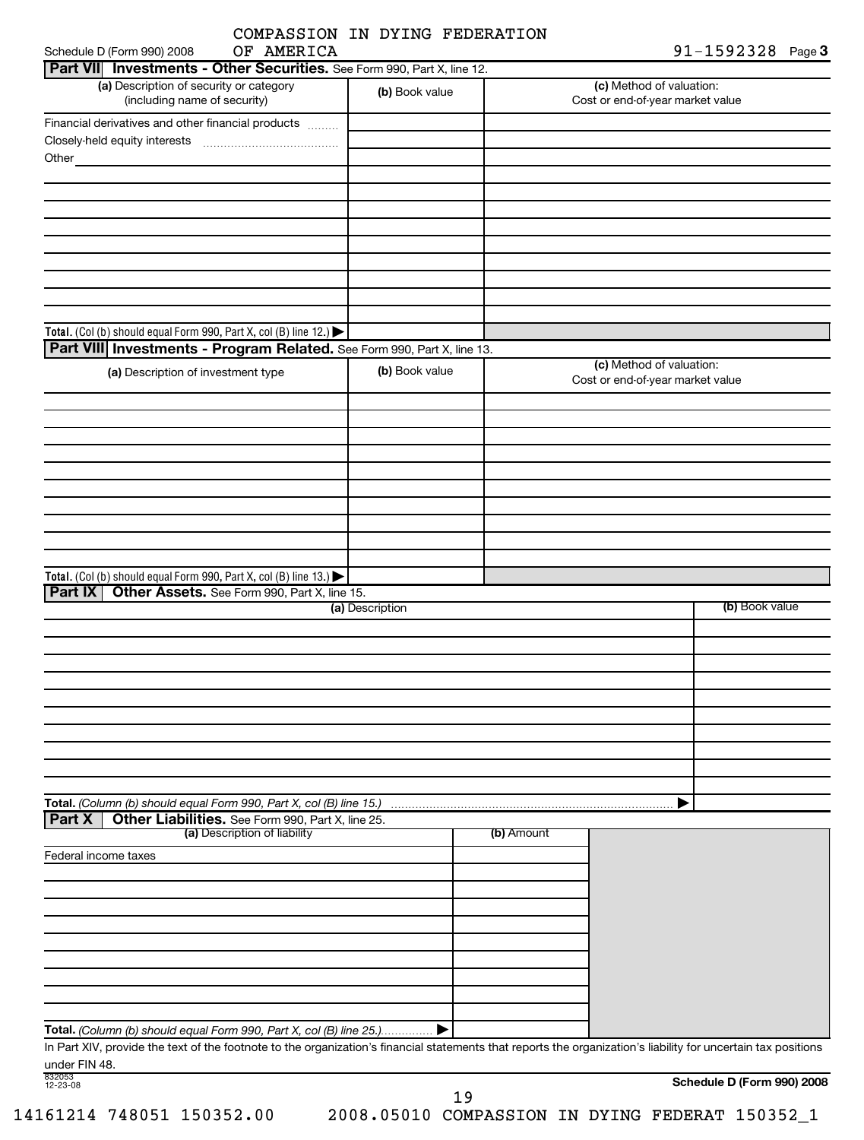| OF AMERICA<br>orm 990) 2008    |  |
|--------------------------------|--|
| COMPASSION IN DYING FEDERATION |  |

| OF AMERICA<br>Schedule D (Form 990) 2008                                |                 | $91 - 1592328$ Page 3                                        |  |
|-------------------------------------------------------------------------|-----------------|--------------------------------------------------------------|--|
| Part VII Investments - Other Securities. See Form 990, Part X, line 12. |                 |                                                              |  |
| (a) Description of security or category<br>(including name of security) | (b) Book value  | (c) Method of valuation:<br>Cost or end-of-year market value |  |
| Financial derivatives and other financial products                      |                 |                                                              |  |
|                                                                         |                 |                                                              |  |
| Other                                                                   |                 |                                                              |  |
|                                                                         |                 |                                                              |  |
|                                                                         |                 |                                                              |  |
|                                                                         |                 |                                                              |  |
|                                                                         |                 |                                                              |  |
|                                                                         |                 |                                                              |  |
|                                                                         |                 |                                                              |  |
|                                                                         |                 |                                                              |  |
|                                                                         |                 |                                                              |  |
|                                                                         |                 |                                                              |  |
| Total. (Col (b) should equal Form 990, Part X, col (B) line 12.)        |                 |                                                              |  |
| Part VIII Investments - Program Related. See Form 990, Part X, line 13. |                 | (c) Method of valuation:                                     |  |
| (a) Description of investment type                                      | (b) Book value  | Cost or end-of-year market value                             |  |
|                                                                         |                 |                                                              |  |
|                                                                         |                 |                                                              |  |
|                                                                         |                 |                                                              |  |
|                                                                         |                 |                                                              |  |
|                                                                         |                 |                                                              |  |
|                                                                         |                 |                                                              |  |
|                                                                         |                 |                                                              |  |
|                                                                         |                 |                                                              |  |
|                                                                         |                 |                                                              |  |
|                                                                         |                 |                                                              |  |
| Total. (Col (b) should equal Form 990, Part X, col (B) line 13.)        |                 |                                                              |  |
| <b>Part IX</b><br>Other Assets. See Form 990, Part X, line 15.          |                 |                                                              |  |
|                                                                         | (a) Description | (b) Book value                                               |  |
|                                                                         |                 |                                                              |  |
|                                                                         |                 |                                                              |  |
|                                                                         |                 |                                                              |  |
|                                                                         |                 |                                                              |  |
|                                                                         |                 |                                                              |  |
|                                                                         |                 |                                                              |  |
|                                                                         |                 |                                                              |  |
|                                                                         |                 |                                                              |  |
|                                                                         |                 |                                                              |  |
|                                                                         |                 |                                                              |  |
| Total. (Column (b) should equal Form 990, Part X, col (B) line 15.)     |                 | ▶                                                            |  |
| <b>Part X</b><br>Other Liabilities. See Form 990, Part X, line 25.      |                 |                                                              |  |

| (a) Description of liability                                                                                                                                   | (b) Amount |  |
|----------------------------------------------------------------------------------------------------------------------------------------------------------------|------------|--|
| Federal income taxes                                                                                                                                           |            |  |
|                                                                                                                                                                |            |  |
|                                                                                                                                                                |            |  |
|                                                                                                                                                                |            |  |
|                                                                                                                                                                |            |  |
|                                                                                                                                                                |            |  |
|                                                                                                                                                                |            |  |
|                                                                                                                                                                |            |  |
|                                                                                                                                                                |            |  |
|                                                                                                                                                                |            |  |
| Total. (Column (b) should equal Form 990, Part X, col (B) line 25                                                                                              |            |  |
| In Part XIV, provide the text of the footpote to the organization's financial statements that reports the organization's liability for uncertain tax positions |            |  |

In Part XIV, provide the text of the footnote to the organization's financial statements that reports the organization's liability for uncertain tax positions under FIN 48.

| 832053   |  |
|----------|--|
| 12-23-08 |  |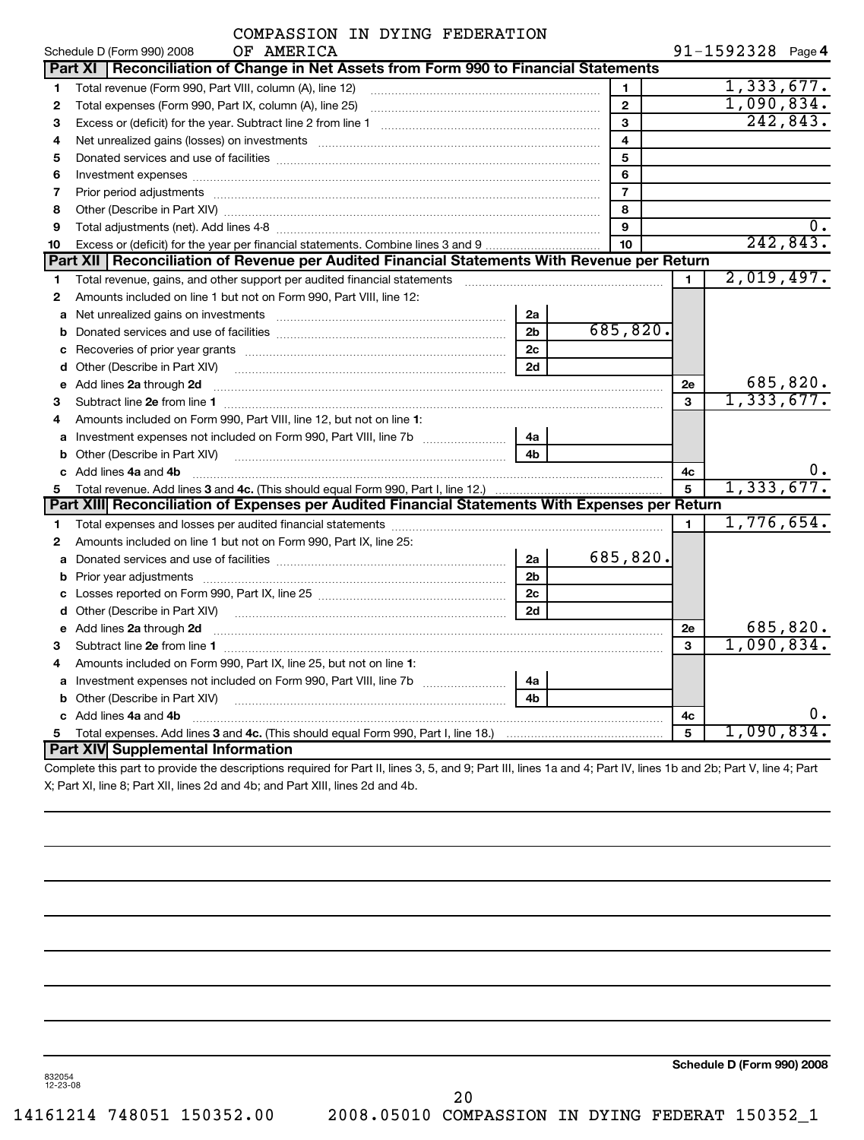| COMPASSION IN DYING FEDERATION |  |  |
|--------------------------------|--|--|

| $91 - 1592328$ Page 4 |  |  |  |  |  |  |
|-----------------------|--|--|--|--|--|--|
|-----------------------|--|--|--|--|--|--|

|    | OF AMERICA<br>Schedule D (Form 990) 2008                                                                                                                                                                                       |                |                         |              | $91 - 1592328$ Page 4 |          |
|----|--------------------------------------------------------------------------------------------------------------------------------------------------------------------------------------------------------------------------------|----------------|-------------------------|--------------|-----------------------|----------|
|    | Part XI   Reconciliation of Change in Net Assets from Form 990 to Financial Statements                                                                                                                                         |                |                         |              |                       |          |
| 1  | Total revenue (Form 990, Part VIII, column (A), line 12)                                                                                                                                                                       |                | 1                       |              | 1,333,677.            |          |
| 2  | Total expenses (Form 990, Part IX, column (A), line 25)                                                                                                                                                                        |                | $\mathbf{2}$            |              | 1,090,834.            |          |
| 3  |                                                                                                                                                                                                                                |                | 3                       |              |                       | 242,843. |
| 4  | Net unrealized gains (losses) on investments [11] matter contracts and the state of the state of the state of the state of the state of the state of the state of the state of the state of the state of the state of the stat |                | $\overline{\mathbf{4}}$ |              |                       |          |
| 5  |                                                                                                                                                                                                                                |                | 5                       |              |                       |          |
| 6  | Investment expenses [[11] has a manufactured and a manufactured and a manufactured and a manufactured and a ma                                                                                                                 |                | 6                       |              |                       |          |
| 7  |                                                                                                                                                                                                                                |                | $\overline{7}$          |              |                       |          |
| 8  |                                                                                                                                                                                                                                |                | 8                       |              |                       |          |
| 9  |                                                                                                                                                                                                                                |                | 9                       |              |                       |          |
| 10 | Excess or (deficit) for the year per financial statements. Combine lines 3 and 9                                                                                                                                               |                | 10                      |              |                       | 242,843. |
|    | Part XII   Reconciliation of Revenue per Audited Financial Statements With Revenue per Return                                                                                                                                  |                |                         |              |                       |          |
| 1  | Total revenue, gains, and other support per audited financial statements                                                                                                                                                       |                |                         | 1            | 2,019,497.            |          |
| 2  | Amounts included on line 1 but not on Form 990, Part VIII, line 12:                                                                                                                                                            |                |                         |              |                       |          |
| a  | Net unrealized gains on investments [11] Martin Martin Martin Martin Martin Martin Martin Martin Martin Martin                                                                                                                 | 2a             |                         |              |                       |          |
| b  |                                                                                                                                                                                                                                | 2 <sub>b</sub> | 685,820.                |              |                       |          |
| с  |                                                                                                                                                                                                                                | 2c             |                         |              |                       |          |
|    | d Other (Describe in Part XIV)                                                                                                                                                                                                 | 2d             |                         |              |                       |          |
| e  | Add lines 2a through 2d                                                                                                                                                                                                        |                |                         | 2e           |                       | 685,820. |
| 3  |                                                                                                                                                                                                                                |                |                         | $\mathbf{a}$ | 1,333,677.            |          |
| 4  | Amounts included on Form 990, Part VIII, line 12, but not on line 1:                                                                                                                                                           |                |                         |              |                       |          |
| a  |                                                                                                                                                                                                                                | 4a             |                         |              |                       |          |
| b  |                                                                                                                                                                                                                                | 4b             |                         |              |                       |          |
| c  | Add lines 4a and 4b                                                                                                                                                                                                            |                |                         | 4c           |                       |          |
| 5  |                                                                                                                                                                                                                                |                |                         | 5            | 1,333,677.            |          |
|    | Part XIII Reconciliation of Expenses per Audited Financial Statements With Expenses per Return                                                                                                                                 |                |                         |              |                       |          |
| 1  |                                                                                                                                                                                                                                |                |                         | 1.           | 1,776,654.            |          |
| 2  | Amounts included on line 1 but not on Form 990, Part IX, line 25:                                                                                                                                                              |                |                         |              |                       |          |
| a  |                                                                                                                                                                                                                                | 2a             | 685,820.                |              |                       |          |
| b  | Prior year adjustments [1111] Prior year adjustments [111] Masseum Masseum Masseum (1213)                                                                                                                                      | 2 <sub>b</sub> |                         |              |                       |          |
| С  |                                                                                                                                                                                                                                | 2c             |                         |              |                       |          |
|    |                                                                                                                                                                                                                                | 2d             |                         |              |                       |          |
|    | e Add lines 2a through 2d                                                                                                                                                                                                      |                |                         | 2e           |                       | 685,820. |
| 3  |                                                                                                                                                                                                                                |                |                         | 3            | 1,090,834.            |          |
| 4  | Amounts included on Form 990, Part IX, line 25, but not on line 1:                                                                                                                                                             |                |                         |              |                       |          |
| a  | Investment expenses not included on Form 990, Part VIII, line 7b                                                                                                                                                               | 4a             |                         |              |                       |          |
| b  | Other (Describe in Part XIV)                                                                                                                                                                                                   | 4b             |                         |              |                       |          |
|    | c Add lines 4a and 4b                                                                                                                                                                                                          |                |                         | 4c           |                       |          |
| 5. |                                                                                                                                                                                                                                |                |                         | 5            | 1,090,834.            |          |
|    | Part XIV Supplemental Information                                                                                                                                                                                              |                |                         |              |                       |          |
|    | Complete this position provide the descriptions required for Dart II. lines Q. E. and Q. Dart III. lines de and 4. Dart IV. lines dh. and Qb: Dart V. line. 4: Dart V. line. 4: Dart                                           |                |                         |              |                       |          |

Complete this part to provide the descriptions required for Part II, lines 3, 5, and 9; Part III, lines 1a and 4; Part IV, lines 1b and 2b; Part V, line 4; Part X; Part XI, line 8; Part XII, lines 2d and 4b; and Part XIII, lines 2d and 4b.

**Schedule D (Form 990) 2008**

832054 12-23-08

20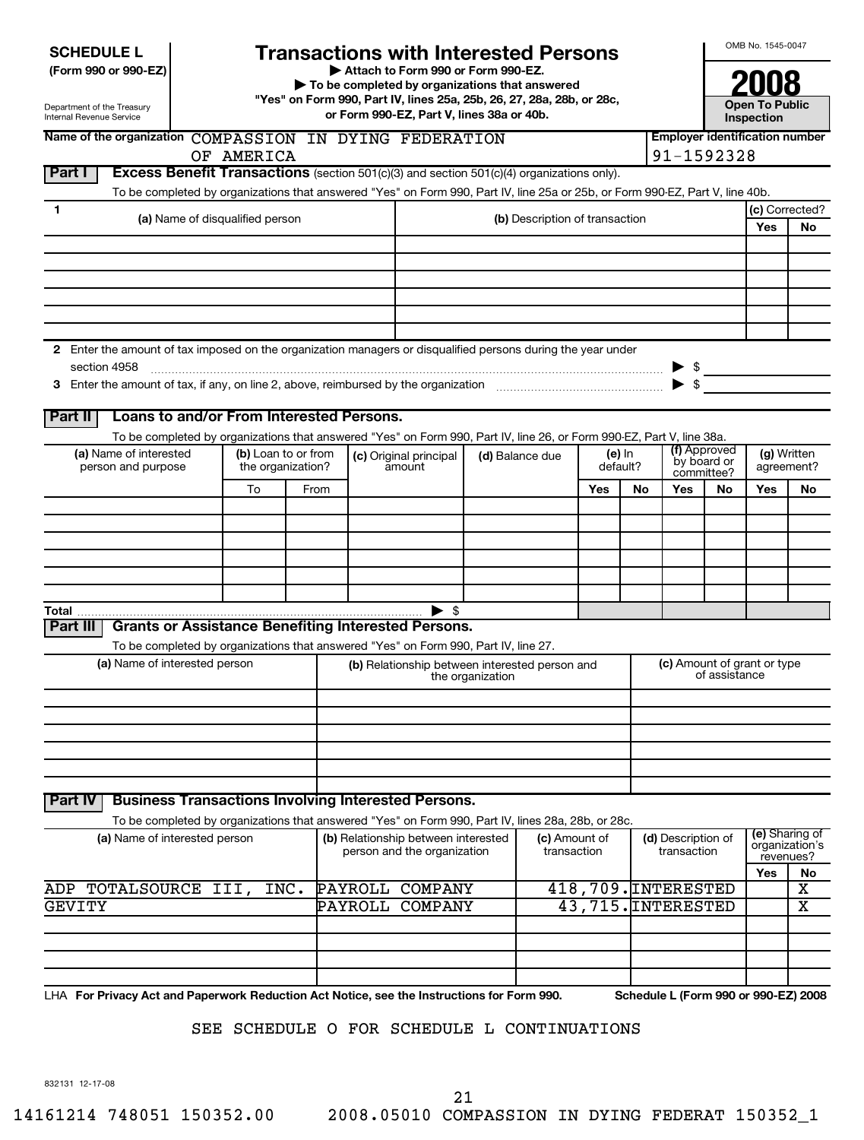| <b>SCHEDULE L</b> |  |
|-------------------|--|
|-------------------|--|

# **Transactions with Interested Persons**<br>
Attach to Form 990 or Form 990-EZ.

**2008** (Form 990 or 990-EZ)<br>
To be completed by organizations that answered<br>
■ Pressure Process 25, 25, 25, 26, 27, 28, 28b, or 28c **"Yes" on Form 990, Part IV, lines 25a, 25b, 26, 27, 28a, 28b, or 28c, or Form 990-EZ, Part V, lines 38a or 40b. Open To Public**

Name of the organization  $\text{COMPASSION}$  IN  $\text{DYING}$   $\text{FEDERATION}$  **Following the subset of**  $\text{Employer}$  identification number

OF AMERICA 91-1592328

**Inspection**

**(g)** Written

revenues?

| Department of the Treasury |
|----------------------------|
| Internal Revenue Service   |

# **Part I Excess Benefit Transactions** (section 501(c)(3) and section 501(c)(4) organizations only). To be completed by organizations that answered "Yes" on Form 990, Part IV, line 25a or 25b, or Form 990-EZ, Part V, line 40b. **1 (c)** Corrected? **(a)** Name of disqualified person **(b)** Description of transaction **Yes No 2** Enter the amount of tax imposed on the organization managers or disqualified persons during the year under **3** Enter the amount of tax, if any, on line 2, above, reimbursed by the organization  $\ldots$   $\ldots$   $\ldots$   $\ldots$   $\ldots$   $\ldots$   $\ldots$ section 4958 ~~~~~~~~~~~~~~~~~~~~~~~~~~~~~~~~~~~~~~~~~~~~~~~~~ |  $\blacktriangleright$ \$ **Part II Loans to and/or From Interested Persons. (a)** Name of interested person and purpose To be completed by organizations that answered "Yes" on Form 990, Part IV, line 26, or Form 990-EZ, Part V, line 38a. **(b)** Loan to or from the organization? **(c)** Original principal amount **(d)** Balance due **(e)** In default? **(f)** Approved by board or committee? agreement? To From **Yes No Yes No Yes No Total** | \$ **Part III Grants or Assistance Benefiting Interested Persons.** To be completed by organizations that answered "Yes" on Form 990, Part IV, line 27. **(b)** Relationship between interested person and **(a)** Name of interested person **(c)** Amount of grant or type the organization (c) Amount of grant or type<br>of assistance **Part IV Business Transactions Involving Interested Persons.** To be completed by organizations that answered "Yes" on Form 990, Part IV, lines 28a, 28b, or 28c. **(e)** Sharing of organization's **(a)** Name of interested person **(b)** Relationship between interested person and the organization **(c)** Amount of transaction **(d)** Description of transaction **Yes No** LHA **For Privacy Act and Paperwork Reduction Act Notice, see the Instructions for Form 990. Schedule L (Form 990 or 990-EZ) 2008** 832131 12-17-08 ADP TOTALSOURCE III, INC. PAYROLL COMPANY 418,709. INTERESTED X GEVITY PAYROLL COMPANY 43,715.INTERESTED X SEE SCHEDULE O FOR SCHEDULE L CONTINUATIONS 21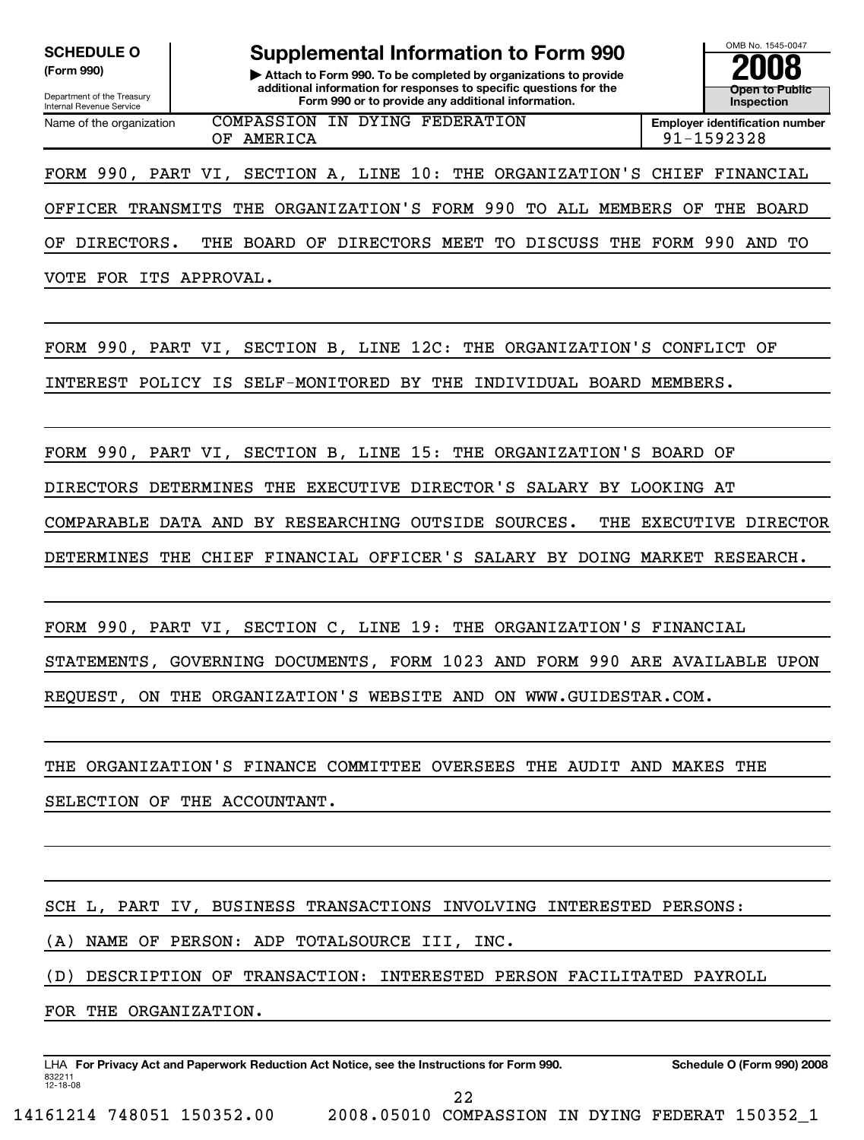SCHEDULE O **Supplemental Information to Form 990**  $\frac{\text{OMB No. 1545-0047}}{2008}$ 

**(Form 990) | Attach to Form 990. To be completed by organizations to provide 2008 additional information for responses to specific questions for the Form 990 or to provide any additional information.**<br>
Internal Revenue Service **Inspection Inspection Provide any additional information.** 

**Open to Public**

Department of the Treasury<br>Internal Revenue Service Name of the organization **COMPASSION IN DYING FEDERATION Employer identification number** OF AMERICA 91-1592328

FORM 990, PART VI, SECTION A, LINE 10: THE ORGANIZATION'S CHIEF FINANCIAL

OFFICER TRANSMITS THE ORGANIZATION'S FORM 990 TO ALL MEMBERS OF THE BOARD

OF DIRECTORS. THE BOARD OF DIRECTORS MEET TO DISCUSS THE FORM 990 AND TO

VOTE FOR ITS APPROVAL.

FORM 990, PART VI, SECTION B, LINE 12C: THE ORGANIZATION'S CONFLICT OF

INTEREST POLICY IS SELF-MONITORED BY THE INDIVIDUAL BOARD MEMBERS.

FORM 990, PART VI, SECTION B, LINE 15: THE ORGANIZATION'S BOARD OF

DIRECTORS DETERMINES THE EXECUTIVE DIRECTOR'S SALARY BY LOOKING AT

COMPARABLE DATA AND BY RESEARCHING OUTSIDE SOURCES. THE EXECUTIVE DIRECTOR

DETERMINES THE CHIEF FINANCIAL OFFICER'S SALARY BY DOING MARKET RESEARCH.

FORM 990, PART VI, SECTION C, LINE 19: THE ORGANIZATION'S FINANCIAL

STATEMENTS, GOVERNING DOCUMENTS, FORM 1023 AND FORM 990 ARE AVAILABLE UPON REQUEST, ON THE ORGANIZATION'S WEBSITE AND ON WWW.GUIDESTAR.COM.

THE ORGANIZATION'S FINANCE COMMITTEE OVERSEES THE AUDIT AND MAKES THE SELECTION OF THE ACCOUNTANT.

SCH L, PART IV, BUSINESS TRANSACTIONS INVOLVING INTERESTED PERSONS:

(A) NAME OF PERSON: ADP TOTALSOURCE III, INC.

(D) DESCRIPTION OF TRANSACTION: INTERESTED PERSON FACILITATED PAYROLL

FOR THE ORGANIZATION.

LHA **For Privacy Act and Paperwork Reduction Act Notice, see the Instructions for Form 990. Schedule O (Form 990) 2008** 832211 12-18-08

22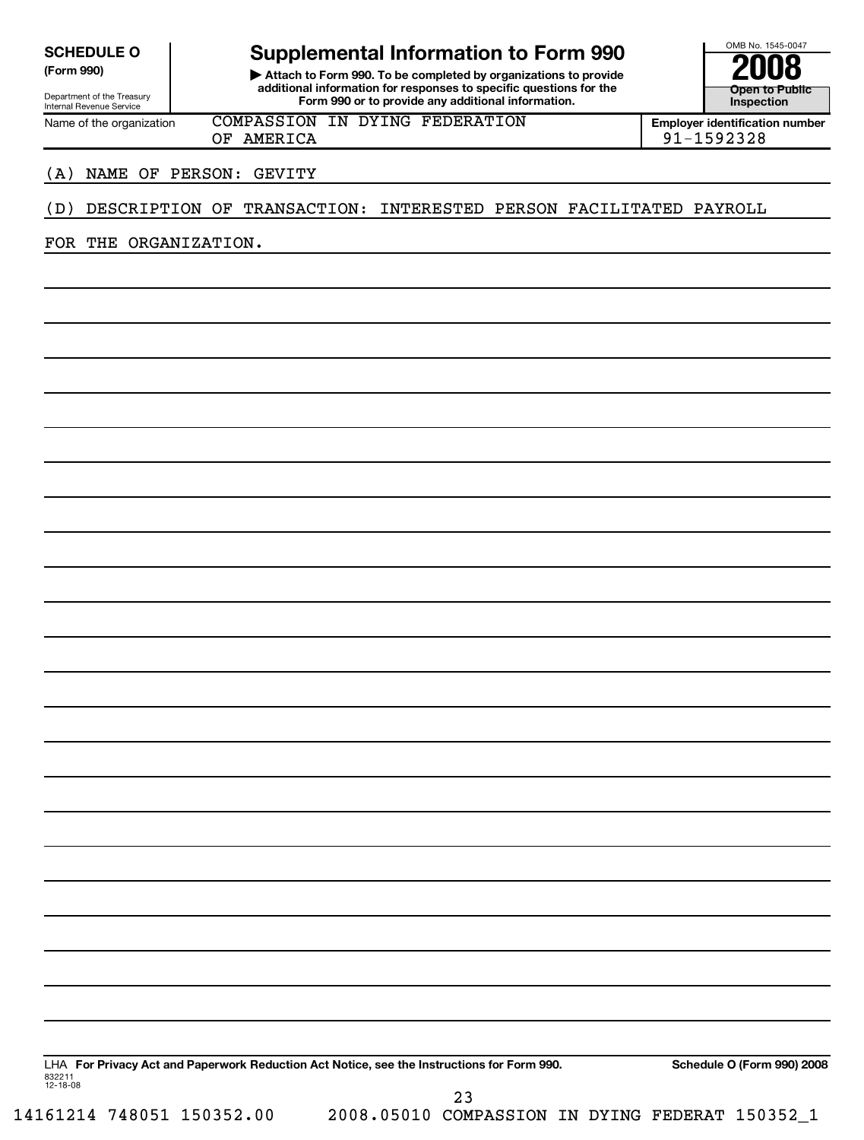# SCHEDULE O **Supplemental Information to Form 990**  $\frac{\text{OMB No. 1545-0047}}{2008}$

**(Form 990) | Attach to Form 990. To be completed by organizations to provide 2008 additional information for responses to specific questions for the Form 990 or to provide any additional information.**<br>
Internal Revenue Service **Inspection Inspection Provide any additional information.** 

**Open to Public**

Department of the Treasury<br>Internal Revenue Service

Name of the organization **COMPASSION IN DYING FEDERATION Employer identification number** OF AMERICA 2011 2022 28

### (A) NAME OF PERSON: GEVITY

## (D) DESCRIPTION OF TRANSACTION: INTERESTED PERSON FACILITATED PAYROLL

FOR THE ORGANIZATION.

LHA **For Privacy Act and Paperwork Reduction Act Notice, see the Instructions for Form 990. Schedule O (Form 990) 2008** 832211 12-18-08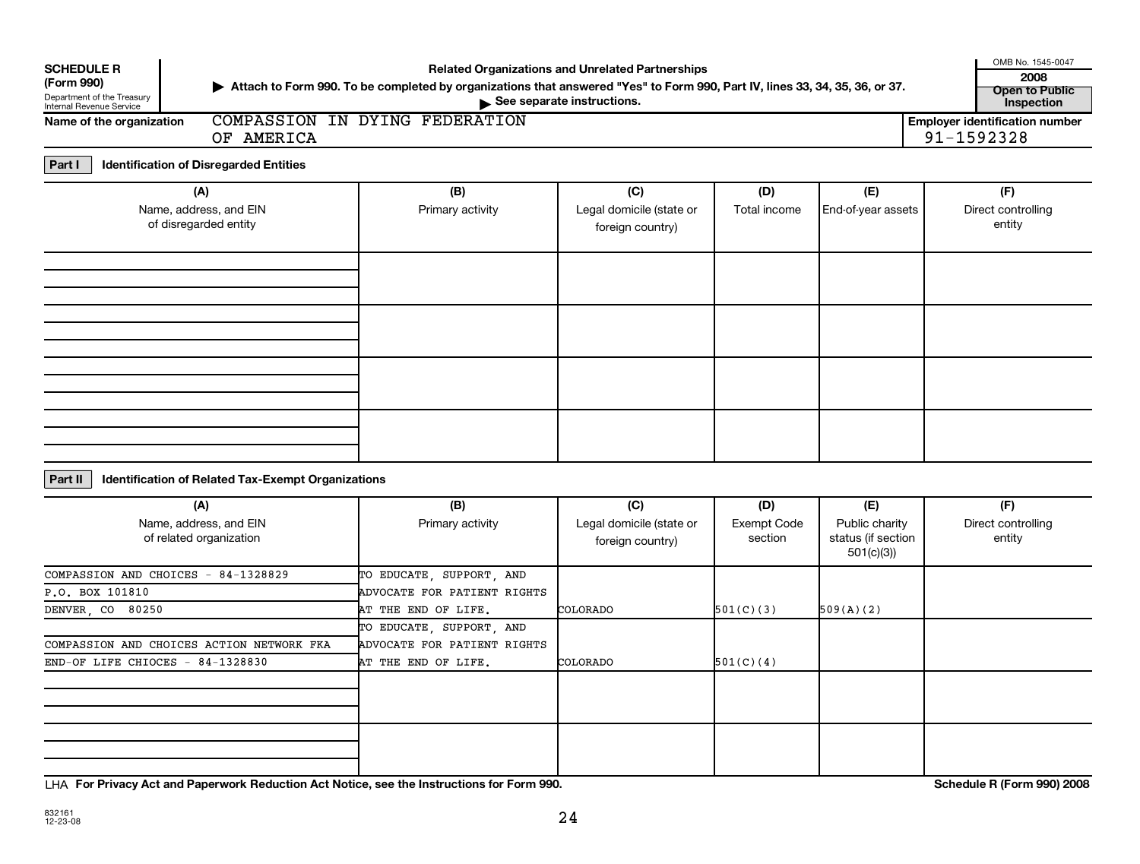| <b>SCHEDULE R</b>                                      | <b>Related Organizations and Unrelated Partnerships</b>                                                                       |                             |                                              |                        |                                                   |  |                                            |  |  |
|--------------------------------------------------------|-------------------------------------------------------------------------------------------------------------------------------|-----------------------------|----------------------------------------------|------------------------|---------------------------------------------------|--|--------------------------------------------|--|--|
| (Form 990)                                             | ▶ Attach to Form 990. To be completed by organizations that answered "Yes" to Form 990, Part IV, lines 33, 34, 35, 36, or 37. |                             |                                              |                        |                                                   |  |                                            |  |  |
| Department of the Treasury<br>Internal Revenue Service |                                                                                                                               |                             | See separate instructions.                   |                        |                                                   |  | <b>Open to Public</b><br><b>Inspection</b> |  |  |
| Name of the organization                               | COMPASSION IN DYING FEDERATION<br>OF AMERICA                                                                                  |                             |                                              |                        |                                                   |  |                                            |  |  |
|                                                        | 91-1592328                                                                                                                    |                             |                                              |                        |                                                   |  |                                            |  |  |
| Part I                                                 | <b>Identification of Disregarded Entities</b>                                                                                 |                             |                                              |                        |                                                   |  |                                            |  |  |
|                                                        | (A)                                                                                                                           | (B)                         | (C)                                          | (D)                    | (E)                                               |  | (F)                                        |  |  |
|                                                        | Name, address, and EIN<br>of disregarded entity                                                                               | Primary activity            | Legal domicile (state or<br>foreign country) | Total income           | End-of-year assets                                |  | Direct controlling<br>entity               |  |  |
|                                                        |                                                                                                                               |                             |                                              |                        |                                                   |  |                                            |  |  |
|                                                        |                                                                                                                               |                             |                                              |                        |                                                   |  |                                            |  |  |
|                                                        |                                                                                                                               |                             |                                              |                        |                                                   |  |                                            |  |  |
| Part II                                                | Identification of Related Tax-Exempt Organizations                                                                            |                             |                                              |                        |                                                   |  |                                            |  |  |
|                                                        | (A)                                                                                                                           | (B)                         | (C)                                          | (D)                    | (E)                                               |  | (F)                                        |  |  |
|                                                        | Name, address, and EIN<br>of related organization                                                                             | Primary activity            | Legal domicile (state or<br>foreign country) | Exempt Code<br>section | Public charity<br>status (if section<br>501(c)(3) |  | Direct controlling<br>entity               |  |  |
| COMPASSION AND CHOICES - 84-1328829                    |                                                                                                                               | TO EDUCATE, SUPPORT, AND    |                                              |                        |                                                   |  |                                            |  |  |
| P.O. BOX 101810                                        |                                                                                                                               | ADVOCATE FOR PATIENT RIGHTS |                                              |                        |                                                   |  |                                            |  |  |
| DENVER, CO 80250                                       |                                                                                                                               | AT THE END OF LIFE.         | COLORADO                                     | 501(C)(3)              | 509(A)(2)                                         |  |                                            |  |  |
|                                                        |                                                                                                                               | TO EDUCATE, SUPPORT, AND    |                                              |                        |                                                   |  |                                            |  |  |
| COMPASSION AND CHOICES ACTION NETWORK FKA              |                                                                                                                               | ADVOCATE FOR PATIENT RIGHTS |                                              |                        |                                                   |  |                                            |  |  |
| END-OF LIFE CHIOCES - $84-1328830$                     |                                                                                                                               | AT THE END OF LIFE.         | COLORADO                                     | 501(C)(4)              |                                                   |  |                                            |  |  |
|                                                        |                                                                                                                               |                             |                                              |                        |                                                   |  |                                            |  |  |
|                                                        |                                                                                                                               |                             |                                              |                        |                                                   |  |                                            |  |  |
|                                                        |                                                                                                                               |                             |                                              |                        |                                                   |  |                                            |  |  |
|                                                        |                                                                                                                               |                             |                                              |                        |                                                   |  |                                            |  |  |
|                                                        |                                                                                                                               |                             |                                              |                        |                                                   |  |                                            |  |  |

LHA **For Privacy Act and Paperwork Reduction Act Notice, see the Instructions for Form 990. Schedule R (Form 990) 2008**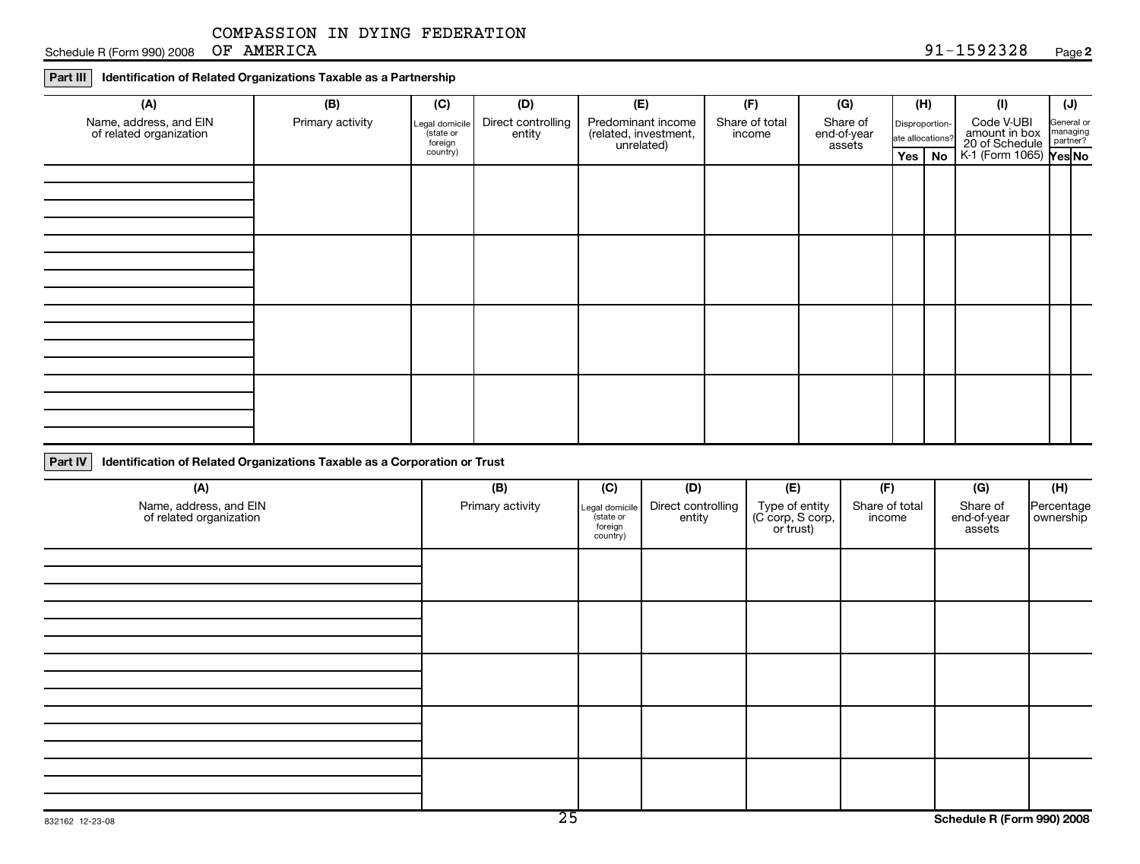Schedule R (Form 990) 2008 OF AMERICA **Page 2** 328 Page 2

### **Part III Identification of Related Organizations Taxable as a Partnership**

| (A)                                               | (B)              | (C)                                   | (D)                          | (E)                                                       | (F)                      | (G)                                |                                    |  |                                               |                                    |  | (H) | (1) | $(\mathsf{U})$ |
|---------------------------------------------------|------------------|---------------------------------------|------------------------------|-----------------------------------------------------------|--------------------------|------------------------------------|------------------------------------|--|-----------------------------------------------|------------------------------------|--|-----|-----|----------------|
| Name, address, and EIN<br>of related organization | Primary activity | Legal domicile<br>state or<br>foreign | Direct controlling<br>entity | Predominant income<br>(related, investment,<br>unrelated) | Share of total<br>income | Share of<br>end-of-year<br>assets  | Disproportion-<br>ate allocations? |  | Code V-UBI<br>amount in box<br>20 of Schedule | General or<br>managing<br>partner? |  |     |     |                |
|                                                   |                  | country)                              |                              | Yes                                                       |                          | $\sqrt{N_{\odot}}$ K-1 (Form 1065) | ∤Yes No                            |  |                                               |                                    |  |     |     |                |
|                                                   |                  |                                       |                              |                                                           |                          |                                    |                                    |  |                                               |                                    |  |     |     |                |
|                                                   |                  |                                       |                              |                                                           |                          |                                    |                                    |  |                                               |                                    |  |     |     |                |
|                                                   |                  |                                       |                              |                                                           |                          |                                    |                                    |  |                                               |                                    |  |     |     |                |
|                                                   |                  |                                       |                              |                                                           |                          |                                    |                                    |  |                                               |                                    |  |     |     |                |
|                                                   |                  |                                       |                              |                                                           |                          |                                    |                                    |  |                                               |                                    |  |     |     |                |
|                                                   |                  |                                       |                              |                                                           |                          |                                    |                                    |  |                                               |                                    |  |     |     |                |
|                                                   |                  |                                       |                              |                                                           |                          |                                    |                                    |  |                                               |                                    |  |     |     |                |
|                                                   |                  |                                       |                              |                                                           |                          |                                    |                                    |  |                                               |                                    |  |     |     |                |
|                                                   |                  |                                       |                              |                                                           |                          |                                    |                                    |  |                                               |                                    |  |     |     |                |
|                                                   |                  |                                       |                              |                                                           |                          |                                    |                                    |  |                                               |                                    |  |     |     |                |
|                                                   |                  |                                       |                              |                                                           |                          |                                    |                                    |  |                                               |                                    |  |     |     |                |
|                                                   |                  |                                       |                              |                                                           |                          |                                    |                                    |  |                                               |                                    |  |     |     |                |
|                                                   |                  |                                       |                              |                                                           |                          |                                    |                                    |  |                                               |                                    |  |     |     |                |
|                                                   |                  |                                       |                              |                                                           |                          |                                    |                                    |  |                                               |                                    |  |     |     |                |
|                                                   |                  |                                       |                              |                                                           |                          |                                    |                                    |  |                                               |                                    |  |     |     |                |
|                                                   |                  |                                       |                              |                                                           |                          |                                    |                                    |  |                                               |                                    |  |     |     |                |

**Part IV Identification of Related Organizations Taxable as a Corporation or Trust**

| (A)                                               | (B)              | (C)                                               | (D)                          | (E)                                             | (F)                      | (G)                               | (H)                       |  |
|---------------------------------------------------|------------------|---------------------------------------------------|------------------------------|-------------------------------------------------|--------------------------|-----------------------------------|---------------------------|--|
| Name, address, and EIN<br>of related organization | Primary activity | Legal domicile<br>state or<br>foreign<br>country) | Direct controlling<br>entity | Type of entity<br>(C corp, S corp,<br>or trust) | Share of total<br>income | Share of<br>end-of-year<br>assets | Percentage<br>  ownership |  |
|                                                   |                  |                                                   |                              |                                                 |                          |                                   |                           |  |
|                                                   |                  |                                                   |                              |                                                 |                          |                                   |                           |  |
|                                                   |                  |                                                   |                              |                                                 |                          |                                   |                           |  |
|                                                   |                  |                                                   |                              |                                                 |                          |                                   |                           |  |
|                                                   |                  |                                                   |                              |                                                 |                          |                                   |                           |  |
|                                                   |                  |                                                   |                              |                                                 |                          |                                   |                           |  |
|                                                   |                  |                                                   |                              |                                                 |                          |                                   |                           |  |
|                                                   |                  |                                                   |                              |                                                 |                          |                                   |                           |  |
|                                                   |                  |                                                   |                              |                                                 |                          |                                   |                           |  |
|                                                   |                  |                                                   |                              |                                                 |                          |                                   |                           |  |
|                                                   |                  |                                                   |                              |                                                 |                          |                                   |                           |  |
|                                                   |                  |                                                   |                              |                                                 |                          |                                   |                           |  |
|                                                   |                  |                                                   |                              |                                                 |                          |                                   |                           |  |
|                                                   |                  |                                                   |                              |                                                 |                          |                                   |                           |  |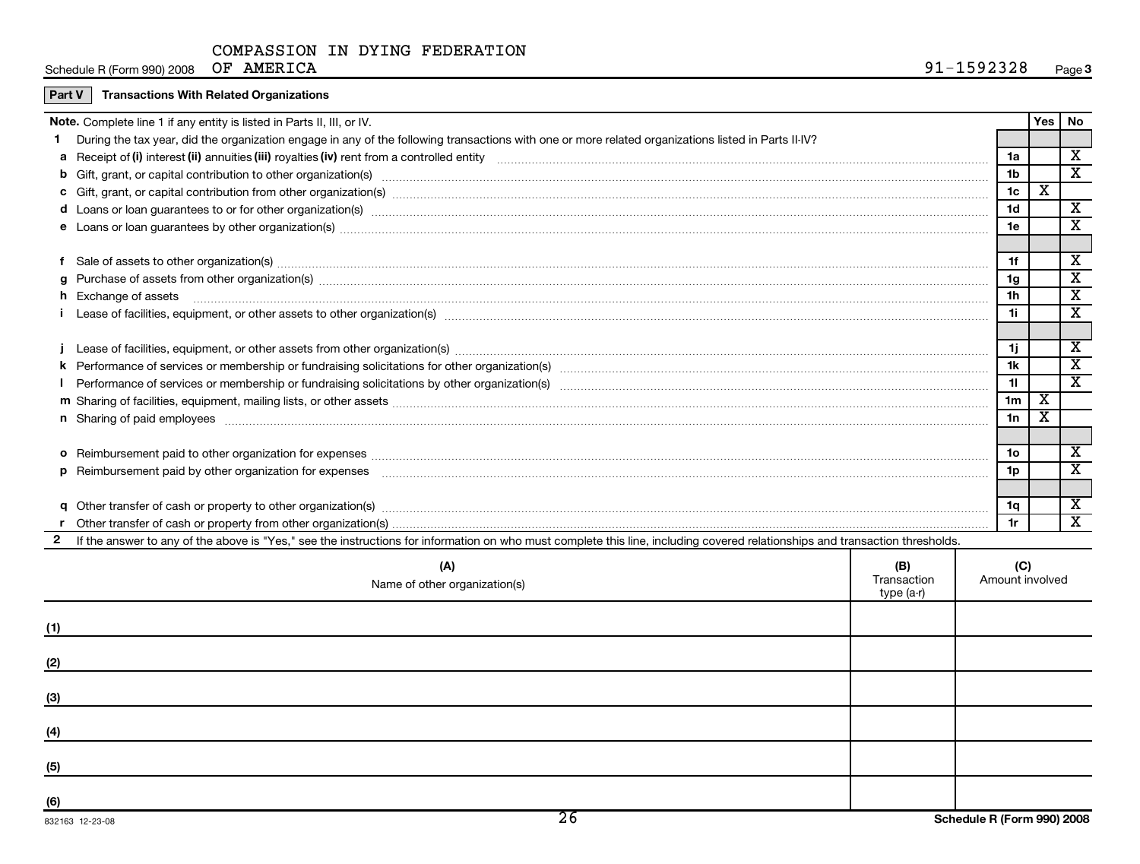Schedule R (Form 990) 2008 OF AMERICA

| <b>Part V</b> Transactions With Related Organizations |  |
|-------------------------------------------------------|--|
|-------------------------------------------------------|--|

|   | <b>Note.</b> Complete line 1 if any entity is listed in Parts II, III, or IV.                                                                                                                                                        |                | Yes   No |                         |
|---|--------------------------------------------------------------------------------------------------------------------------------------------------------------------------------------------------------------------------------------|----------------|----------|-------------------------|
|   | During the tax year, did the organization engage in any of the following transactions with one or more related organizations listed in Parts II-IV?                                                                                  |                |          |                         |
|   |                                                                                                                                                                                                                                      | 1a             |          | X                       |
|   | <b>b</b> Gift, grant, or capital contribution to other organization(s) manufaction contains and content of the organization (s) and contribution to other organization(s) manufactured content and content of the original contribu  | 1 <sub>b</sub> |          | $\overline{\textbf{x}}$ |
|   |                                                                                                                                                                                                                                      | 1 <sub>c</sub> | х        |                         |
|   | d Loans or loan guarantees to or for other organization(s) manufaction(s) and contain a substitution of the organization of the comparation of the content of the content of the content of the content of the content of the        | 1 <sub>d</sub> |          | X                       |
|   |                                                                                                                                                                                                                                      | 1e             |          | X                       |
|   |                                                                                                                                                                                                                                      |                |          |                         |
|   | Sale of assets to other organization(s) <i>machine machine machine machine machine machine machine machine machine machine machine machine machine machine machine machine machine machine machine machine machine machine machi</i> | 1f             |          | х                       |
| a |                                                                                                                                                                                                                                      | 1g             |          | х                       |
|   | h Exchange of assets <b>with a set and a set of the contract of the contract of the contract of the contract of the contract of the contract of the contract of the contract of the contract of the contract of the contract of </b> | 1 <sub>h</sub> |          | X                       |
|   | Lease of facilities, equipment, or other assets to other organization(s) manufaction content to content the content of the content of facilities, equipment, or other assets to other organization(s) manufaction content to c       | 1i.            |          | X                       |
|   |                                                                                                                                                                                                                                      |                |          |                         |
|   | Lease of facilities, equipment, or other assets from other organization(s) manufaction content to the content of the content of facilities, equipment, or other assets from other organization(s) manufaction content to the c       | 1j             |          | X                       |
|   |                                                                                                                                                                                                                                      | 1k             |          | X                       |
|   |                                                                                                                                                                                                                                      | 11             |          | $\overline{\textbf{x}}$ |
|   |                                                                                                                                                                                                                                      | 1 <sub>m</sub> | X        |                         |
|   | n Sharing of paid employees <b>construction and construction of the construction</b> and construction and construction of the construction of the construction of the construction of the construction of the construction of the c  | 1n             | X        |                         |
|   |                                                                                                                                                                                                                                      |                |          |                         |
|   |                                                                                                                                                                                                                                      | 1o             |          | X                       |
|   |                                                                                                                                                                                                                                      | 1p             |          | X                       |
|   |                                                                                                                                                                                                                                      |                |          |                         |
|   |                                                                                                                                                                                                                                      | 1q             |          | х                       |
|   |                                                                                                                                                                                                                                      | 1r             |          | X                       |
|   | If the answer to any of the above is "Yes," see the instructions for information on who must complete this line, including covered relationships and transaction thresholds.                                                         |                |          |                         |
|   |                                                                                                                                                                                                                                      |                |          |                         |

|                 | (A)<br>Name of other organization(s) | (B)<br>Transaction<br>type (a-r) | (C)<br>Amount involved     |
|-----------------|--------------------------------------|----------------------------------|----------------------------|
| (1)             |                                      |                                  |                            |
| (2)             |                                      |                                  |                            |
| (3)             |                                      |                                  |                            |
| (4)             |                                      |                                  |                            |
| (5)             |                                      |                                  |                            |
| (6)             |                                      |                                  |                            |
| 832163 12-23-08 | $\overline{26}$                      |                                  | Schedule R (Form 990) 2008 |